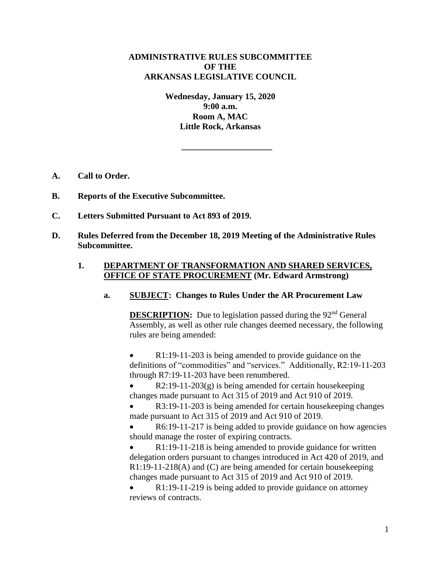# **ADMINISTRATIVE RULES SUBCOMMITTEE OF THE ARKANSAS LEGISLATIVE COUNCIL**

**Wednesday, January 15, 2020 9:00 a.m. Room A, MAC Little Rock, Arkansas**

**\_\_\_\_\_\_\_\_\_\_\_\_\_\_\_\_\_\_\_\_\_**

- **A. Call to Order.**
- **B. Reports of the Executive Subcommittee.**
- **C. Letters Submitted Pursuant to Act 893 of 2019.**
- **D. Rules Deferred from the December 18, 2019 Meeting of the Administrative Rules Subcommittee.**

# **1. DEPARTMENT OF TRANSFORMATION AND SHARED SERVICES, OFFICE OF STATE PROCUREMENT (Mr. Edward Armstrong)**

**a. SUBJECT: Changes to Rules Under the AR Procurement Law**

**DESCRIPTION:** Due to legislation passed during the 92<sup>nd</sup> General Assembly, as well as other rule changes deemed necessary, the following rules are being amended:

 R1:19-11-203 is being amended to provide guidance on the definitions of "commodities" and "services." Additionally, R2:19-11-203 through R7:19-11-203 have been renumbered.

 $R2:19-11-203(g)$  is being amended for certain housekeeping changes made pursuant to Act 315 of 2019 and Act 910 of 2019.

 R3:19-11-203 is being amended for certain housekeeping changes made pursuant to Act 315 of 2019 and Act 910 of 2019.

 R6:19-11-217 is being added to provide guidance on how agencies should manage the roster of expiring contracts.

 R1:19-11-218 is being amended to provide guidance for written delegation orders pursuant to changes introduced in Act 420 of 2019, and R1:19-11-218(A) and (C) are being amended for certain housekeeping changes made pursuant to Act 315 of 2019 and Act 910 of 2019.

 R1:19-11-219 is being added to provide guidance on attorney reviews of contracts.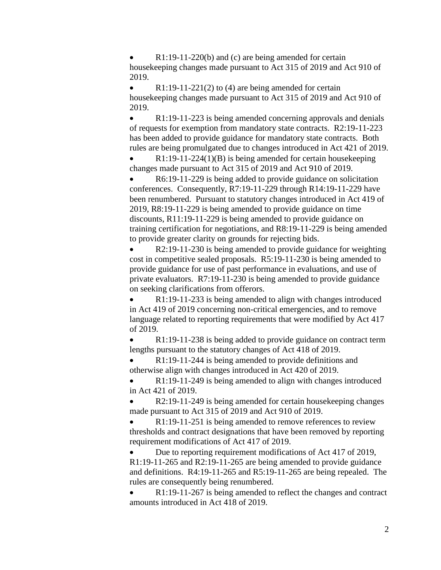R1:19-11-220(b) and (c) are being amended for certain housekeeping changes made pursuant to Act 315 of 2019 and Act 910 of 2019.

• R1:19-11-221(2) to (4) are being amended for certain housekeeping changes made pursuant to Act 315 of 2019 and Act 910 of 2019.

• R1:19-11-223 is being amended concerning approvals and denials of requests for exemption from mandatory state contracts. R2:19-11-223 has been added to provide guidance for mandatory state contracts. Both rules are being promulgated due to changes introduced in Act 421 of 2019.

 R1:19-11-224(1)(B) is being amended for certain housekeeping changes made pursuant to Act 315 of 2019 and Act 910 of 2019.

 R6:19-11-229 is being added to provide guidance on solicitation conferences. Consequently, R7:19-11-229 through R14:19-11-229 have been renumbered. Pursuant to statutory changes introduced in Act 419 of 2019, R8:19-11-229 is being amended to provide guidance on time discounts, R11:19-11-229 is being amended to provide guidance on training certification for negotiations, and R8:19-11-229 is being amended to provide greater clarity on grounds for rejecting bids.

 R2:19-11-230 is being amended to provide guidance for weighting cost in competitive sealed proposals. R5:19-11-230 is being amended to provide guidance for use of past performance in evaluations, and use of private evaluators. R7:19-11-230 is being amended to provide guidance on seeking clarifications from offerors.

 R1:19-11-233 is being amended to align with changes introduced in Act 419 of 2019 concerning non-critical emergencies, and to remove language related to reporting requirements that were modified by Act 417 of 2019.

 R1:19-11-238 is being added to provide guidance on contract term lengths pursuant to the statutory changes of Act 418 of 2019.

 R1:19-11-244 is being amended to provide definitions and otherwise align with changes introduced in Act 420 of 2019.

 R1:19-11-249 is being amended to align with changes introduced in Act 421 of 2019.

 R2:19-11-249 is being amended for certain housekeeping changes made pursuant to Act 315 of 2019 and Act 910 of 2019.

 R1:19-11-251 is being amended to remove references to review thresholds and contract designations that have been removed by reporting requirement modifications of Act 417 of 2019.

 Due to reporting requirement modifications of Act 417 of 2019, R1:19-11-265 and R2:19-11-265 are being amended to provide guidance and definitions. R4:19-11-265 and R5:19-11-265 are being repealed. The rules are consequently being renumbered.

 R1:19-11-267 is being amended to reflect the changes and contract amounts introduced in Act 418 of 2019.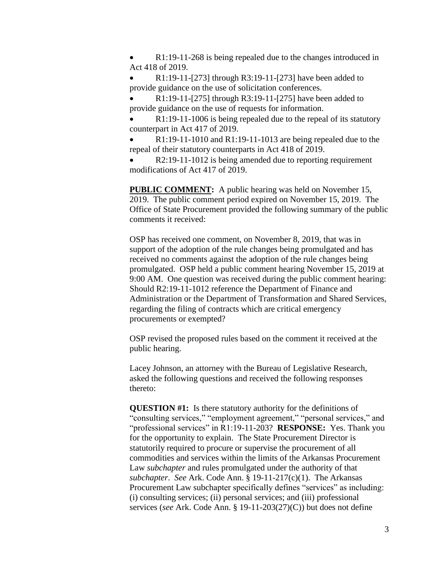R1:19-11-268 is being repealed due to the changes introduced in Act 418 of 2019.

 R1:19-11-[273] through R3:19-11-[273] have been added to provide guidance on the use of solicitation conferences.

 R1:19-11-[275] through R3:19-11-[275] have been added to provide guidance on the use of requests for information.

 R1:19-11-1006 is being repealed due to the repeal of its statutory counterpart in Act 417 of 2019.

 R1:19-11-1010 and R1:19-11-1013 are being repealed due to the repeal of their statutory counterparts in Act 418 of 2019.

 R2:19-11-1012 is being amended due to reporting requirement modifications of Act 417 of 2019.

**PUBLIC COMMENT:** A public hearing was held on November 15, 2019. The public comment period expired on November 15, 2019. The Office of State Procurement provided the following summary of the public comments it received:

OSP has received one comment, on November 8, 2019, that was in support of the adoption of the rule changes being promulgated and has received no comments against the adoption of the rule changes being promulgated. OSP held a public comment hearing November 15, 2019 at 9:00 AM. One question was received during the public comment hearing: Should R2:19-11-1012 reference the Department of Finance and Administration or the Department of Transformation and Shared Services, regarding the filing of contracts which are critical emergency procurements or exempted?

OSP revised the proposed rules based on the comment it received at the public hearing.

Lacey Johnson, an attorney with the Bureau of Legislative Research, asked the following questions and received the following responses thereto:

**QUESTION #1:** Is there statutory authority for the definitions of "consulting services," "employment agreement," "personal services," and "professional services" in R1:19-11-203? **RESPONSE:** Yes. Thank you for the opportunity to explain. The State Procurement Director is statutorily required to procure or supervise the procurement of all commodities and services within the limits of the Arkansas Procurement Law *subchapter* and rules promulgated under the authority of that *subchapter*. *See* Ark. Code Ann. § 19-11-217(c)(1). The Arkansas Procurement Law subchapter specifically defines "services" as including: (i) consulting services; (ii) personal services; and (iii) professional services (*see* Ark. Code Ann. § 19-11-203(27)(C)) but does not define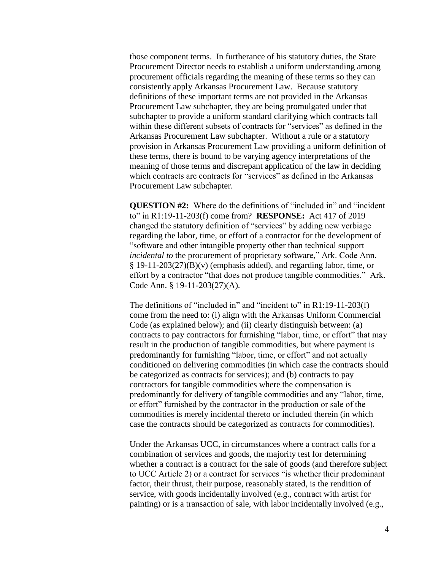those component terms. In furtherance of his statutory duties, the State Procurement Director needs to establish a uniform understanding among procurement officials regarding the meaning of these terms so they can consistently apply Arkansas Procurement Law. Because statutory definitions of these important terms are not provided in the Arkansas Procurement Law subchapter, they are being promulgated under that subchapter to provide a uniform standard clarifying which contracts fall within these different subsets of contracts for "services" as defined in the Arkansas Procurement Law subchapter. Without a rule or a statutory provision in Arkansas Procurement Law providing a uniform definition of these terms, there is bound to be varying agency interpretations of the meaning of those terms and discrepant application of the law in deciding which contracts are contracts for "services" as defined in the Arkansas Procurement Law subchapter.

**QUESTION #2:** Where do the definitions of "included in" and "incident to" in R1:19-11-203(f) come from? **RESPONSE:** Act 417 of 2019 changed the statutory definition of "services" by adding new verbiage regarding the labor, time, or effort of a contractor for the development of "software and other intangible property other than technical support *incidental to* the procurement of proprietary software," Ark. Code Ann.  $§$  19-11-203(27)(B)(v) (emphasis added), and regarding labor, time, or effort by a contractor "that does not produce tangible commodities." Ark. Code Ann. § 19-11-203(27)(A).

The definitions of "included in" and "incident to" in R1:19-11-203(f) come from the need to: (i) align with the Arkansas Uniform Commercial Code (as explained below); and (ii) clearly distinguish between: (a) contracts to pay contractors for furnishing "labor, time, or effort" that may result in the production of tangible commodities, but where payment is predominantly for furnishing "labor, time, or effort" and not actually conditioned on delivering commodities (in which case the contracts should be categorized as contracts for services); and (b) contracts to pay contractors for tangible commodities where the compensation is predominantly for delivery of tangible commodities and any "labor, time, or effort" furnished by the contractor in the production or sale of the commodities is merely incidental thereto or included therein (in which case the contracts should be categorized as contracts for commodities).

Under the Arkansas UCC, in circumstances where a contract calls for a combination of services and goods, the majority test for determining whether a contract is a contract for the sale of goods (and therefore subject to UCC Article 2) or a contract for services "is whether their predominant factor, their thrust, their purpose, reasonably stated, is the rendition of service, with goods incidentally involved (e.g., contract with artist for painting) or is a transaction of sale, with labor incidentally involved (e.g.,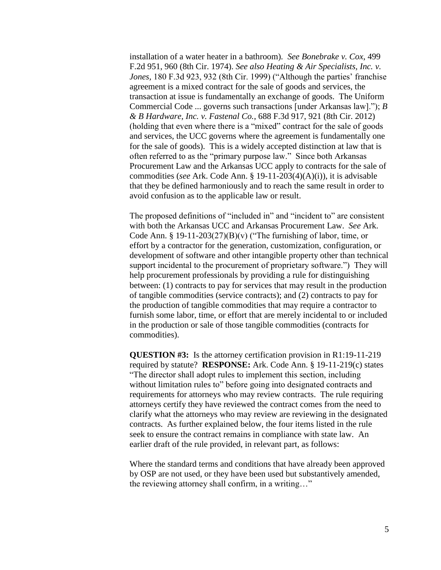installation of a water heater in a bathroom). *See Bonebrake v. Cox*, 499 F.2d 951, 960 (8th Cir. 1974). *See also Heating & Air Specialists, Inc. v. Jones,* 180 F.3d 923, 932 (8th Cir. 1999) ("Although the parties' franchise agreement is a mixed contract for the sale of goods and services, the transaction at issue is fundamentally an exchange of goods. The Uniform Commercial Code ... governs such transactions [under Arkansas law]."); *B & B Hardware, Inc. v. Fastenal Co.*, 688 F.3d 917, 921 (8th Cir. 2012) (holding that even where there is a "mixed" contract for the sale of goods and services, the UCC governs where the agreement is fundamentally one for the sale of goods). This is a widely accepted distinction at law that is often referred to as the "primary purpose law." Since both Arkansas Procurement Law and the Arkansas UCC apply to contracts for the sale of commodities (*see* Ark. Code Ann. § 19-11-203(4)(A)(i)), it is advisable that they be defined harmoniously and to reach the same result in order to avoid confusion as to the applicable law or result.

The proposed definitions of "included in" and "incident to" are consistent with both the Arkansas UCC and Arkansas Procurement Law. *See* Ark. Code Ann. § 19-11-203(27)(B)(v) ("The furnishing of labor, time, or effort by a contractor for the generation, customization, configuration, or development of software and other intangible property other than technical support incidental to the procurement of proprietary software.") They will help procurement professionals by providing a rule for distinguishing between: (1) contracts to pay for services that may result in the production of tangible commodities (service contracts); and (2) contracts to pay for the production of tangible commodities that may require a contractor to furnish some labor, time, or effort that are merely incidental to or included in the production or sale of those tangible commodities (contracts for commodities).

**QUESTION #3:** Is the attorney certification provision in R1:19-11-219 required by statute? **RESPONSE:** Ark. Code Ann. § 19-11-219(c) states "The director shall adopt rules to implement this section, including without limitation rules to" before going into designated contracts and requirements for attorneys who may review contracts. The rule requiring attorneys certify they have reviewed the contract comes from the need to clarify what the attorneys who may review are reviewing in the designated contracts. As further explained below, the four items listed in the rule seek to ensure the contract remains in compliance with state law. An earlier draft of the rule provided, in relevant part, as follows:

Where the standard terms and conditions that have already been approved by OSP are not used, or they have been used but substantively amended, the reviewing attorney shall confirm, in a writing…"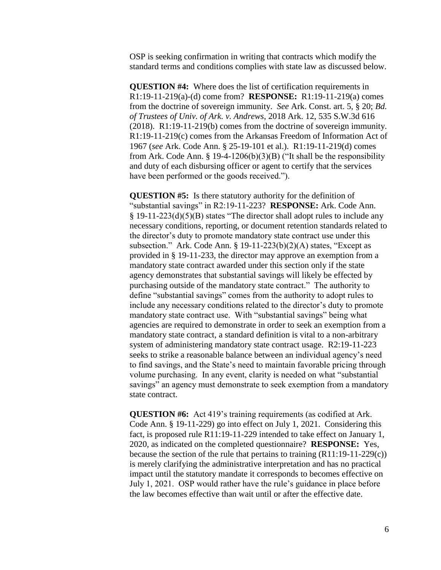OSP is seeking confirmation in writing that contracts which modify the standard terms and conditions complies with state law as discussed below.

**QUESTION #4:** Where does the list of certification requirements in R1:19-11-219(a)-(d) come from? **RESPONSE:** R1:19-11-219(a) comes from the doctrine of sovereign immunity. *See* Ark. Const. art. 5, § 20; *Bd. of Trustees of Univ. of Ark. v. Andrews*, 2018 Ark. 12, 535 S.W.3d 616 (2018). R1:19-11-219(b) comes from the doctrine of sovereign immunity. R1:19-11-219(c) comes from the Arkansas Freedom of Information Act of 1967 (*see* Ark. Code Ann. § 25-19-101 et al.). R1:19-11-219(d) comes from Ark. Code Ann. § 19-4-1206(b)(3)(B) ("It shall be the responsibility and duty of each disbursing officer or agent to certify that the services have been performed or the goods received.").

**QUESTION #5:** Is there statutory authority for the definition of "substantial savings" in R2:19-11-223? **RESPONSE:** Ark. Code Ann. § 19-11-223(d)(5)(B) states "The director shall adopt rules to include any necessary conditions, reporting, or document retention standards related to the director's duty to promote mandatory state contract use under this subsection." Ark. Code Ann.  $\S 19-11-223(b)(2)(A)$  states, "Except as provided in § 19-11-233, the director may approve an exemption from a mandatory state contract awarded under this section only if the state agency demonstrates that substantial savings will likely be effected by purchasing outside of the mandatory state contract." The authority to define "substantial savings" comes from the authority to adopt rules to include any necessary conditions related to the director's duty to promote mandatory state contract use. With "substantial savings" being what agencies are required to demonstrate in order to seek an exemption from a mandatory state contract, a standard definition is vital to a non-arbitrary system of administering mandatory state contract usage. R2:19-11-223 seeks to strike a reasonable balance between an individual agency's need to find savings, and the State's need to maintain favorable pricing through volume purchasing. In any event, clarity is needed on what "substantial savings" an agency must demonstrate to seek exemption from a mandatory state contract.

**QUESTION #6:** Act 419's training requirements (as codified at Ark. Code Ann. § 19-11-229) go into effect on July 1, 2021. Considering this fact, is proposed rule R11:19-11-229 intended to take effect on January 1, 2020, as indicated on the completed questionnaire? **RESPONSE:** Yes, because the section of the rule that pertains to training (R11:19-11-229(c)) is merely clarifying the administrative interpretation and has no practical impact until the statutory mandate it corresponds to becomes effective on July 1, 2021. OSP would rather have the rule's guidance in place before the law becomes effective than wait until or after the effective date.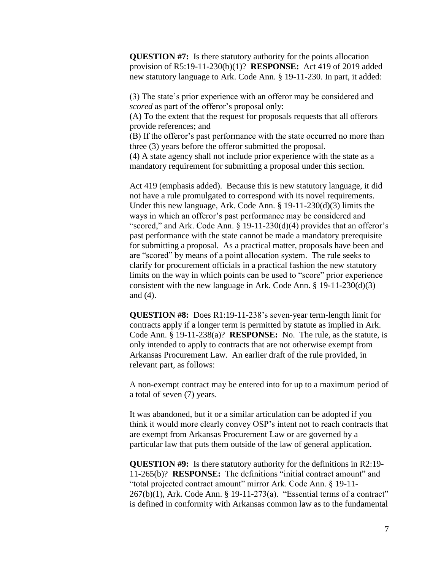**QUESTION #7:** Is there statutory authority for the points allocation provision of R5:19-11-230(b)(1)? **RESPONSE:** Act 419 of 2019 added new statutory language to Ark. Code Ann. § 19-11-230. In part, it added:

(3) The state's prior experience with an offeror may be considered and *scored* as part of the offeror's proposal only:

(A) To the extent that the request for proposals requests that all offerors provide references; and

(B) If the offeror's past performance with the state occurred no more than three (3) years before the offeror submitted the proposal.

(4) A state agency shall not include prior experience with the state as a mandatory requirement for submitting a proposal under this section.

Act 419 (emphasis added). Because this is new statutory language, it did not have a rule promulgated to correspond with its novel requirements. Under this new language, Ark. Code Ann. § 19-11-230(d)(3) limits the ways in which an offeror's past performance may be considered and "scored," and Ark. Code Ann. § 19-11-230(d)(4) provides that an offeror's past performance with the state cannot be made a mandatory prerequisite for submitting a proposal. As a practical matter, proposals have been and are "scored" by means of a point allocation system. The rule seeks to clarify for procurement officials in a practical fashion the new statutory limits on the way in which points can be used to "score" prior experience consistent with the new language in Ark. Code Ann. § 19-11-230(d)(3) and (4).

**QUESTION #8:** Does R1:19-11-238's seven-year term-length limit for contracts apply if a longer term is permitted by statute as implied in Ark. Code Ann. § 19-11-238(a)? **RESPONSE:** No. The rule, as the statute, is only intended to apply to contracts that are not otherwise exempt from Arkansas Procurement Law. An earlier draft of the rule provided, in relevant part, as follows:

A non-exempt contract may be entered into for up to a maximum period of a total of seven (7) years.

It was abandoned, but it or a similar articulation can be adopted if you think it would more clearly convey OSP's intent not to reach contracts that are exempt from Arkansas Procurement Law or are governed by a particular law that puts them outside of the law of general application.

**QUESTION #9:** Is there statutory authority for the definitions in R2:19- 11-265(b)? **RESPONSE:** The definitions "initial contract amount" and "total projected contract amount" mirror Ark. Code Ann. § 19-11- 267(b)(1), Ark. Code Ann. § 19-11-273(a). "Essential terms of a contract" is defined in conformity with Arkansas common law as to the fundamental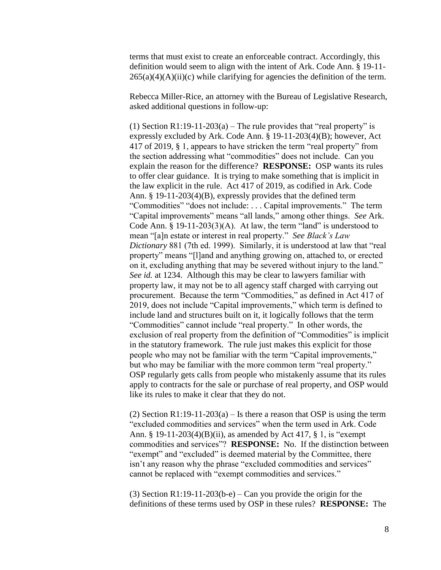terms that must exist to create an enforceable contract. Accordingly, this definition would seem to align with the intent of Ark. Code Ann. § 19-11-  $265(a)(4)(A)(ii)(c)$  while clarifying for agencies the definition of the term.

Rebecca Miller-Rice, an attorney with the Bureau of Legislative Research, asked additional questions in follow-up:

(1) Section R1:19-11-203(a) – The rule provides that "real property" is expressly excluded by Ark. Code Ann. § 19-11-203(4)(B); however, Act 417 of 2019, § 1, appears to have stricken the term "real property" from the section addressing what "commodities" does not include. Can you explain the reason for the difference? **RESPONSE:** OSP wants its rules to offer clear guidance. It is trying to make something that is implicit in the law explicit in the rule. Act 417 of 2019, as codified in Ark. Code Ann. § 19-11-203(4)(B), expressly provides that the defined term "Commodities" "does not include: . . . Capital improvements." The term "Capital improvements" means "all lands," among other things. *See* Ark. Code Ann.  $\S$  19-11-203(3)(A). At law, the term "land" is understood to mean "[a]n estate or interest in real property." *See Black's Law Dictionary* 881 (7th ed. 1999). Similarly, it is understood at law that "real property" means "[l]and and anything growing on, attached to, or erected on it, excluding anything that may be severed without injury to the land." *See id.* at 1234. Although this may be clear to lawyers familiar with property law, it may not be to all agency staff charged with carrying out procurement. Because the term "Commodities," as defined in Act 417 of 2019, does not include "Capital improvements," which term is defined to include land and structures built on it, it logically follows that the term "Commodities" cannot include "real property." In other words, the exclusion of real property from the definition of "Commodities" is implicit in the statutory framework. The rule just makes this explicit for those people who may not be familiar with the term "Capital improvements," but who may be familiar with the more common term "real property." OSP regularly gets calls from people who mistakenly assume that its rules apply to contracts for the sale or purchase of real property, and OSP would like its rules to make it clear that they do not.

(2) Section R1:19-11-203(a) – Is there a reason that OSP is using the term "excluded commodities and services" when the term used in Ark. Code Ann. § 19-11-203(4)(B)(ii), as amended by Act 417, § 1, is "exempt commodities and services"? **RESPONSE:** No. If the distinction between "exempt" and "excluded" is deemed material by the Committee, there isn't any reason why the phrase "excluded commodities and services" cannot be replaced with "exempt commodities and services."

(3) Section R1:19-11-203(b-e) – Can you provide the origin for the definitions of these terms used by OSP in these rules? **RESPONSE:** The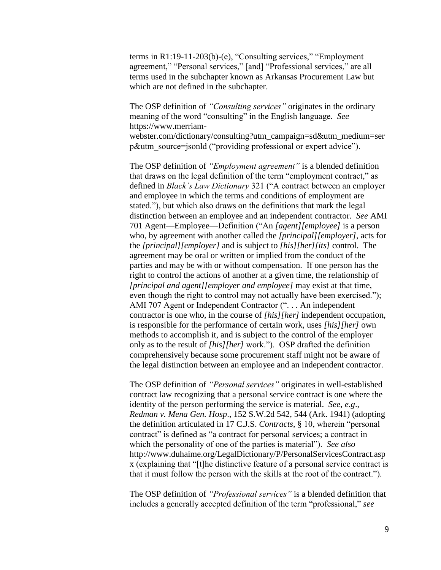terms in R1:19-11-203(b)-(e), "Consulting services," "Employment agreement," "Personal services," [and] "Professional services," are all terms used in the subchapter known as Arkansas Procurement Law but which are not defined in the subchapter.

The OSP definition of *"Consulting services"* originates in the ordinary meaning of the word "consulting" in the English language. *See* https://www.merriamwebster.com/dictionary/consulting?utm\_campaign=sd&utm\_medium=ser

p&utm\_source=jsonld ("providing professional or expert advice").

The OSP definition of *"Employment agreement"* is a blended definition that draws on the legal definition of the term "employment contract," as defined in *Black's Law Dictionary* 321 ("A contract between an employer and employee in which the terms and conditions of employment are stated."), but which also draws on the definitions that mark the legal distinction between an employee and an independent contractor. *See* AMI 701 Agent—Employee—Definition ("An *[agent][employee]* is a person who, by agreement with another called the *[principal][employer]*, acts for the *[principal][employer]* and is subject to *[his][her][its]* control. The agreement may be oral or written or implied from the conduct of the parties and may be with or without compensation. If one person has the right to control the actions of another at a given time, the relationship of *[principal and agent][employer and employee]* may exist at that time, even though the right to control may not actually have been exercised."); AMI 707 Agent or Independent Contractor (". . . An independent contractor is one who, in the course of *[his][her]* independent occupation, is responsible for the performance of certain work, uses *[his][her]* own methods to accomplish it, and is subject to the control of the employer only as to the result of *[his][her]* work."). OSP drafted the definition comprehensively because some procurement staff might not be aware of the legal distinction between an employee and an independent contractor.

The OSP definition of *"Personal services"* originates in well-established contract law recognizing that a personal service contract is one where the identity of the person performing the service is material. *See*, *e.g*., *Redman v. Mena Gen. Hosp*., 152 S.W.2d 542, 544 (Ark. 1941) (adopting the definition articulated in 17 C.J.S. *Contracts*, § 10, wherein "personal contract" is defined as "a contract for personal services; a contract in which the personality of one of the parties is material"). *See also* [http://www.duhaime.org/LegalDictionary/P/PersonalServicesContract.asp](http://www.duhaime.org/LegalDictionary/P/PersonalServicesContract.aspx) [x](http://www.duhaime.org/LegalDictionary/P/PersonalServicesContract.aspx) (explaining that "[t]he distinctive feature of a personal service contract is that it must follow the person with the skills at the root of the contract.").

The OSP definition of *"Professional services"* is a blended definition that includes a generally accepted definition of the term "professional," *see*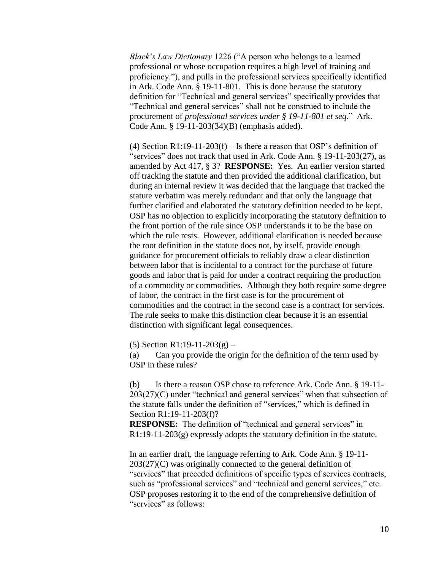*Black's Law Dictionary* 1226 ("A person who belongs to a learned professional or whose occupation requires a high level of training and proficiency."), and pulls in the professional services specifically identified in Ark. Code Ann. § 19-11-801. This is done because the statutory definition for "Technical and general services" specifically provides that "Technical and general services" shall not be construed to include the procurement of *professional services under § 19-11-801 et seq*." Ark. Code Ann. § 19-11-203(34)(B) (emphasis added).

(4) Section R1:19-11-203(f) – Is there a reason that OSP's definition of "services" does not track that used in Ark. Code Ann. § 19-11-203(27), as amended by Act 417, § 3? **RESPONSE:** Yes. An earlier version started off tracking the statute and then provided the additional clarification, but during an internal review it was decided that the language that tracked the statute verbatim was merely redundant and that only the language that further clarified and elaborated the statutory definition needed to be kept. OSP has no objection to explicitly incorporating the statutory definition to the front portion of the rule since OSP understands it to be the base on which the rule rests. However, additional clarification is needed because the root definition in the statute does not, by itself, provide enough guidance for procurement officials to reliably draw a clear distinction between labor that is incidental to a contract for the purchase of future goods and labor that is paid for under a contract requiring the production of a commodity or commodities. Although they both require some degree of labor, the contract in the first case is for the procurement of commodities and the contract in the second case is a contract for services. The rule seeks to make this distinction clear because it is an essential distinction with significant legal consequences.

(5) Section R1:19-11-203(g) –

(a) Can you provide the origin for the definition of the term used by OSP in these rules?

(b) Is there a reason OSP chose to reference Ark. Code Ann. § 19-11-  $203(27)(C)$  under "technical and general services" when that subsection of the statute falls under the definition of "services," which is defined in Section R1:19-11-203(f)?

**RESPONSE:** The definition of "technical and general services" in  $R1:19-11-203(g)$  expressly adopts the statutory definition in the statute.

In an earlier draft, the language referring to Ark. Code Ann. § 19-11- 203(27)(C) was originally connected to the general definition of "services" that preceded definitions of specific types of services contracts, such as "professional services" and "technical and general services," etc. OSP proposes restoring it to the end of the comprehensive definition of "services" as follows: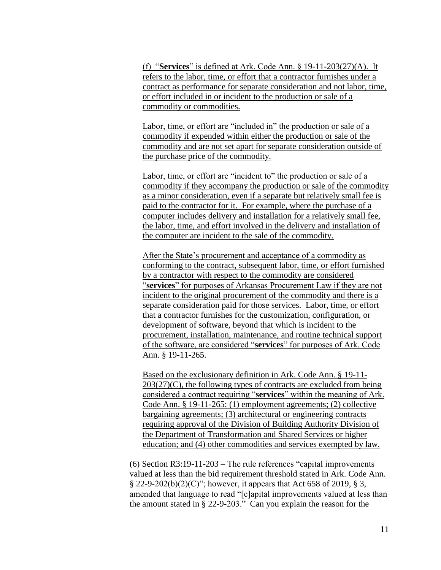(f) "**Services**" is defined at Ark. Code Ann. § 19-11-203(27)(A). It refers to the labor, time, or effort that a contractor furnishes under a contract as performance for separate consideration and not labor, time, or effort included in or incident to the production or sale of a commodity or commodities.

Labor, time, or effort are "included in" the production or sale of a commodity if expended within either the production or sale of the commodity and are not set apart for separate consideration outside of the purchase price of the commodity.

Labor, time, or effort are "incident to" the production or sale of a commodity if they accompany the production or sale of the commodity as a minor consideration, even if a separate but relatively small fee is paid to the contractor for it. For example, where the purchase of a computer includes delivery and installation for a relatively small fee, the labor, time, and effort involved in the delivery and installation of the computer are incident to the sale of the commodity.

After the State's procurement and acceptance of a commodity as conforming to the contract, subsequent labor, time, or effort furnished by a contractor with respect to the commodity are considered "**services**" for purposes of Arkansas Procurement Law if they are not incident to the original procurement of the commodity and there is a separate consideration paid for those services. Labor, time, or effort that a contractor furnishes for the customization, configuration, or development of software, beyond that which is incident to the procurement, installation, maintenance, and routine technical support of the software, are considered "**services**" for purposes of Ark. Code Ann. § 19-11-265.

Based on the exclusionary definition in Ark. Code Ann. § 19-11-  $203(27)(C)$ , the following types of contracts are excluded from being considered a contract requiring "**services**" within the meaning of Ark. Code Ann. § 19-11-265: (1) employment agreements; (2) collective bargaining agreements; (3) architectural or engineering contracts requiring approval of the Division of Building Authority Division of the Department of Transformation and Shared Services or higher education; and (4) other commodities and services exempted by law.

(6) Section R3:19-11-203 – The rule references "capital improvements valued at less than the bid requirement threshold stated in Ark. Code Ann.  $\S 22-9-202(b)(2)(C)$ "; however, it appears that Act 658 of 2019, § 3, amended that language to read "[c]apital improvements valued at less than the amount stated in § 22-9-203." Can you explain the reason for the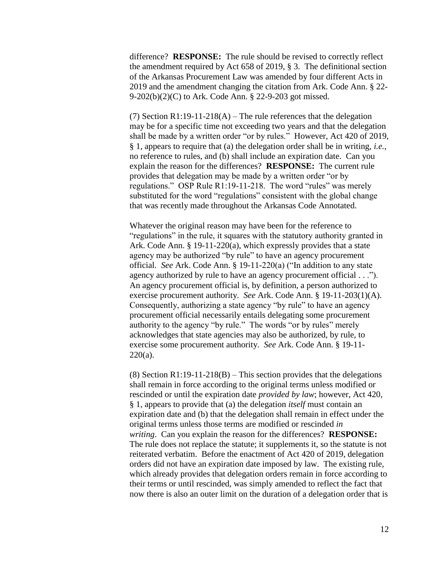difference? **RESPONSE:** The rule should be revised to correctly reflect the amendment required by Act 658 of 2019, § 3. The definitional section of the Arkansas Procurement Law was amended by four different Acts in 2019 and the amendment changing the citation from Ark. Code Ann. § 22- 9-202(b)(2)(C) to Ark. Code Ann. § 22-9-203 got missed.

(7) Section R1:19-11-218(A) – The rule references that the delegation may be for a specific time not exceeding two years and that the delegation shall be made by a written order "or by rules." However, Act 420 of 2019, § 1, appears to require that (a) the delegation order shall be in writing, *i.e.*, no reference to rules, and (b) shall include an expiration date. Can you explain the reason for the differences? **RESPONSE:** The current rule provides that delegation may be made by a written order "or by regulations." OSP Rule R1:19-11-218. The word "rules" was merely substituted for the word "regulations" consistent with the global change that was recently made throughout the Arkansas Code Annotated.

Whatever the original reason may have been for the reference to "regulations" in the rule, it squares with the statutory authority granted in Ark. Code Ann. § 19-11-220(a), which expressly provides that a state agency may be authorized "by rule" to have an agency procurement official. *See* Ark. Code Ann. § 19-11-220(a) ("In addition to any state agency authorized by rule to have an agency procurement official . . ."). An agency procurement official is, by definition, a person authorized to exercise procurement authority. *See* Ark. Code Ann. § 19-11-203(1)(A). Consequently, authorizing a state agency "by rule" to have an agency procurement official necessarily entails delegating some procurement authority to the agency "by rule." The words "or by rules" merely acknowledges that state agencies may also be authorized, by rule, to exercise some procurement authority. *See* Ark. Code Ann. § 19-11-  $220(a)$ .

(8) Section R1:19-11-218(B) – This section provides that the delegations shall remain in force according to the original terms unless modified or rescinded or until the expiration date *provided by law*; however, Act 420, § 1, appears to provide that (a) the delegation *itself* must contain an expiration date and (b) that the delegation shall remain in effect under the original terms unless those terms are modified or rescinded *in writing*. Can you explain the reason for the differences? **RESPONSE:** The rule does not replace the statute; it supplements it, so the statute is not reiterated verbatim. Before the enactment of Act 420 of 2019, delegation orders did not have an expiration date imposed by law. The existing rule, which already provides that delegation orders remain in force according to their terms or until rescinded, was simply amended to reflect the fact that now there is also an outer limit on the duration of a delegation order that is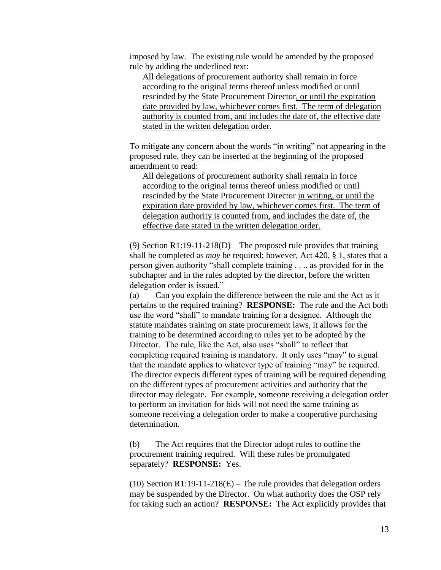imposed by law. The existing rule would be amended by the proposed rule by adding the underlined text:

All delegations of procurement authority shall remain in force according to the original terms thereof unless modified or until rescinded by the State Procurement Director, or until the expiration date provided by law, whichever comes first. The term of delegation authority is counted from, and includes the date of, the effective date stated in the written delegation order.

To mitigate any concern about the words "in writing" not appearing in the proposed rule, they can be inserted at the beginning of the proposed amendment to read:

All delegations of procurement authority shall remain in force according to the original terms thereof unless modified or until rescinded by the State Procurement Director in writing, or until the expiration date provided by law, whichever comes first. The term of delegation authority is counted from, and includes the date of, the effective date stated in the written delegation order.

(9) Section R1:19-11-218(D) – The proposed rule provides that training shall be completed as *may* be required; however, Act 420, § 1, states that a person given authority "shall complete training . . ., as provided for in the subchapter and in the rules adopted by the director, before the written delegation order is issued."

(a) Can you explain the difference between the rule and the Act as it pertains to the required training? **RESPONSE:** The rule and the Act both use the word "shall" to mandate training for a designee. Although the statute mandates training on state procurement laws, it allows for the training to be determined according to rules yet to be adopted by the Director. The rule, like the Act, also uses "shall" to reflect that completing required training is mandatory. It only uses "may" to signal that the mandate applies to whatever type of training "may" be required. The director expects different types of training will be required depending on the different types of procurement activities and authority that the director may delegate. For example, someone receiving a delegation order to perform an invitation for bids will not need the same training as someone receiving a delegation order to make a cooperative purchasing determination.

(b) The Act requires that the Director adopt rules to outline the procurement training required. Will these rules be promulgated separately? **RESPONSE:** Yes.

(10) Section R1:19-11-218(E) – The rule provides that delegation orders may be suspended by the Director. On what authority does the OSP rely for taking such an action? **RESPONSE:** The Act explicitly provides that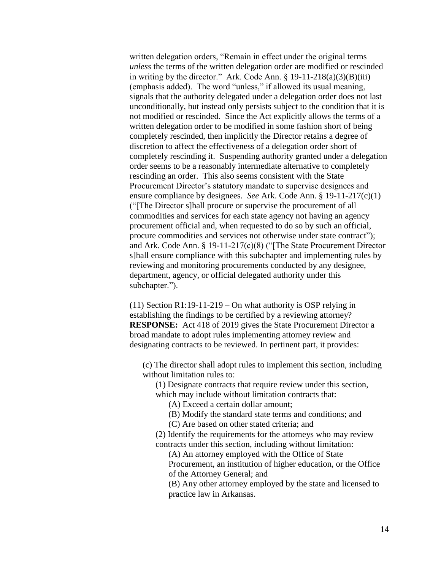written delegation orders, "Remain in effect under the original terms *unless* the terms of the written delegation order are modified or rescinded in writing by the director." Ark. Code Ann.  $\S$  19-11-218(a)(3)(B)(iii) (emphasis added). The word "unless," if allowed its usual meaning, signals that the authority delegated under a delegation order does not last unconditionally, but instead only persists subject to the condition that it is not modified or rescinded. Since the Act explicitly allows the terms of a written delegation order to be modified in some fashion short of being completely rescinded, then implicitly the Director retains a degree of discretion to affect the effectiveness of a delegation order short of completely rescinding it. Suspending authority granted under a delegation order seems to be a reasonably intermediate alternative to completely rescinding an order. This also seems consistent with the State Procurement Director's statutory mandate to supervise designees and ensure compliance by designees. *See* Ark. Code Ann. § 19-11-217(c)(1) ("[The Director s]hall procure or supervise the procurement of all commodities and services for each state agency not having an agency procurement official and, when requested to do so by such an official, procure commodities and services not otherwise under state contract"); and Ark. Code Ann. § 19-11-217(c)(8) ("[The State Procurement Director s]hall ensure compliance with this subchapter and implementing rules by reviewing and monitoring procurements conducted by any designee, department, agency, or official delegated authority under this subchapter.").

(11) Section R1:19-11-219 – On what authority is OSP relying in establishing the findings to be certified by a reviewing attorney? **RESPONSE:** Act 418 of 2019 gives the State Procurement Director a broad mandate to adopt rules implementing attorney review and designating contracts to be reviewed. In pertinent part, it provides:

(c) The director shall adopt rules to implement this section, including without limitation rules to:

(1) Designate contracts that require review under this section, which may include without limitation contracts that:

(A) Exceed a certain dollar amount;

(B) Modify the standard state terms and conditions; and

(C) Are based on other stated criteria; and

(2) Identify the requirements for the attorneys who may review contracts under this section, including without limitation:

(A) An attorney employed with the Office of State Procurement, an institution of higher education, or the Office of the Attorney General; and

(B) Any other attorney employed by the state and licensed to practice law in Arkansas.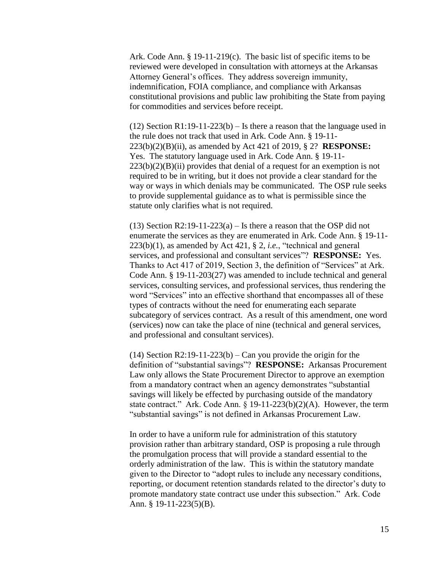Ark. Code Ann. § 19-11-219(c). The basic list of specific items to be reviewed were developed in consultation with attorneys at the Arkansas Attorney General's offices. They address sovereign immunity, indemnification, FOIA compliance, and compliance with Arkansas constitutional provisions and public law prohibiting the State from paying for commodities and services before receipt.

(12) Section R1:19-11-223(b) – Is there a reason that the language used in the rule does not track that used in Ark. Code Ann. § 19-11- 223(b)(2)(B)(ii), as amended by Act 421 of 2019, § 2? **RESPONSE:** Yes. The statutory language used in Ark. Code Ann. § 19-11-  $223(b)(2)(B)(ii)$  provides that denial of a request for an exemption is not required to be in writing, but it does not provide a clear standard for the way or ways in which denials may be communicated. The OSP rule seeks to provide supplemental guidance as to what is permissible since the statute only clarifies what is not required.

(13) Section R2:19-11-223(a) – Is there a reason that the OSP did not enumerate the services as they are enumerated in Ark. Code Ann. § 19-11- 223(b)(1), as amended by Act 421, § 2, *i.e.*, "technical and general services, and professional and consultant services"? **RESPONSE:** Yes. Thanks to Act 417 of 2019, Section 3, the definition of "Services" at Ark. Code Ann. § 19-11-203(27) was amended to include technical and general services, consulting services, and professional services, thus rendering the word "Services" into an effective shorthand that encompasses all of these types of contracts without the need for enumerating each separate subcategory of services contract. As a result of this amendment, one word (services) now can take the place of nine (technical and general services, and professional and consultant services).

 $(14)$  Section R2:19-11-223(b) – Can you provide the origin for the definition of "substantial savings"? **RESPONSE:** Arkansas Procurement Law only allows the State Procurement Director to approve an exemption from a mandatory contract when an agency demonstrates "substantial savings will likely be effected by purchasing outside of the mandatory state contract." Ark. Code Ann. § 19-11-223(b)(2)(A). However, the term "substantial savings" is not defined in Arkansas Procurement Law.

In order to have a uniform rule for administration of this statutory provision rather than arbitrary standard, OSP is proposing a rule through the promulgation process that will provide a standard essential to the orderly administration of the law. This is within the statutory mandate given to the Director to "adopt rules to include any necessary conditions, reporting, or document retention standards related to the director's duty to promote mandatory state contract use under this subsection." Ark. Code Ann. § 19-11-223(5)(B).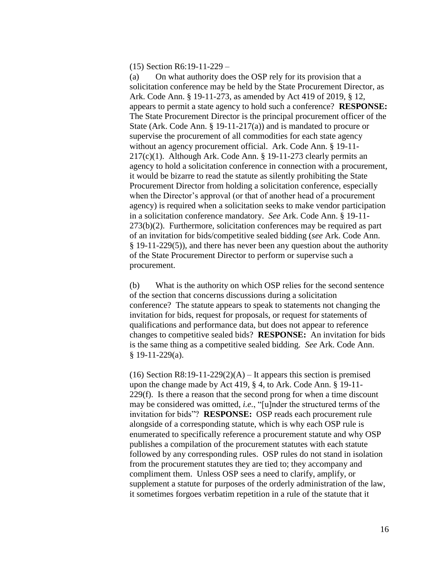#### (15) Section R6:19-11-229 –

(a) On what authority does the OSP rely for its provision that a solicitation conference may be held by the State Procurement Director, as Ark. Code Ann. § 19-11-273, as amended by Act 419 of 2019, § 12, appears to permit a state agency to hold such a conference? **RESPONSE:** The State Procurement Director is the principal procurement officer of the State (Ark. Code Ann. § 19-11-217(a)) and is mandated to procure or supervise the procurement of all commodities for each state agency without an agency procurement official. Ark. Code Ann. § 19-11-  $217(c)(1)$ . Although Ark. Code Ann. § 19-11-273 clearly permits an agency to hold a solicitation conference in connection with a procurement, it would be bizarre to read the statute as silently prohibiting the State Procurement Director from holding a solicitation conference, especially when the Director's approval (or that of another head of a procurement agency) is required when a solicitation seeks to make vendor participation in a solicitation conference mandatory. *See* Ark. Code Ann. § 19-11-  $273(b)(2)$ . Furthermore, solicitation conferences may be required as part of an invitation for bids/competitive sealed bidding (*see* Ark. Code Ann. § 19-11-229(5)), and there has never been any question about the authority of the State Procurement Director to perform or supervise such a procurement.

(b) What is the authority on which OSP relies for the second sentence of the section that concerns discussions during a solicitation conference? The statute appears to speak to statements not changing the invitation for bids, request for proposals, or request for statements of qualifications and performance data, but does not appear to reference changes to competitive sealed bids? **RESPONSE:** An invitation for bids is the same thing as a competitive sealed bidding. *See* Ark. Code Ann. § 19-11-229(a).

(16) Section R8:19-11-229(2)(A) – It appears this section is premised upon the change made by Act 419, § 4, to Ark. Code Ann. § 19-11- 229(f). Is there a reason that the second prong for when a time discount may be considered was omitted, *i.e.*, "[u]nder the structured terms of the invitation for bids"? **RESPONSE:** OSP reads each procurement rule alongside of a corresponding statute, which is why each OSP rule is enumerated to specifically reference a procurement statute and why OSP publishes a compilation of the procurement statutes with each statute followed by any corresponding rules. OSP rules do not stand in isolation from the procurement statutes they are tied to; they accompany and compliment them. Unless OSP sees a need to clarify, amplify, or supplement a statute for purposes of the orderly administration of the law, it sometimes forgoes verbatim repetition in a rule of the statute that it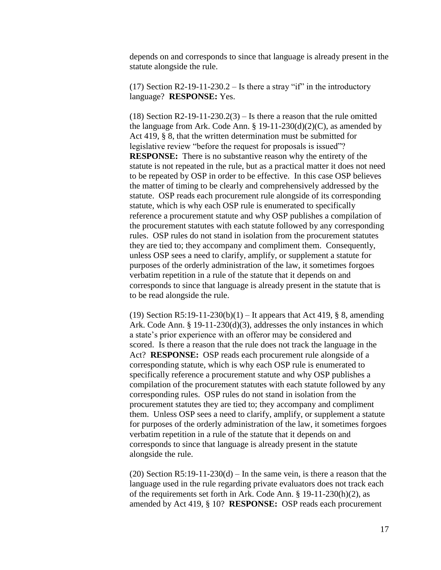depends on and corresponds to since that language is already present in the statute alongside the rule.

(17) Section R2-19-11-230.2 – Is there a stray "if" in the introductory language? **RESPONSE:** Yes.

(18) Section R2-19-11-230.2(3) – Is there a reason that the rule omitted the language from Ark. Code Ann.  $\S 19-11-230(d)(2)(C)$ , as amended by Act 419, § 8, that the written determination must be submitted for legislative review "before the request for proposals is issued"? **RESPONSE:** There is no substantive reason why the entirety of the statute is not repeated in the rule, but as a practical matter it does not need to be repeated by OSP in order to be effective. In this case OSP believes the matter of timing to be clearly and comprehensively addressed by the statute. OSP reads each procurement rule alongside of its corresponding statute, which is why each OSP rule is enumerated to specifically reference a procurement statute and why OSP publishes a compilation of the procurement statutes with each statute followed by any corresponding rules. OSP rules do not stand in isolation from the procurement statutes they are tied to; they accompany and compliment them. Consequently, unless OSP sees a need to clarify, amplify, or supplement a statute for purposes of the orderly administration of the law, it sometimes forgoes verbatim repetition in a rule of the statute that it depends on and corresponds to since that language is already present in the statute that is to be read alongside the rule.

(19) Section R5:19-11-230(b)(1) – It appears that Act 419,  $\S$  8, amending Ark. Code Ann. § 19-11-230(d)(3), addresses the only instances in which a state's prior experience with an offeror may be considered and scored. Is there a reason that the rule does not track the language in the Act? **RESPONSE:** OSP reads each procurement rule alongside of a corresponding statute, which is why each OSP rule is enumerated to specifically reference a procurement statute and why OSP publishes a compilation of the procurement statutes with each statute followed by any corresponding rules. OSP rules do not stand in isolation from the procurement statutes they are tied to; they accompany and compliment them. Unless OSP sees a need to clarify, amplify, or supplement a statute for purposes of the orderly administration of the law, it sometimes forgoes verbatim repetition in a rule of the statute that it depends on and corresponds to since that language is already present in the statute alongside the rule.

(20) Section R5:19-11-230(d) – In the same vein, is there a reason that the language used in the rule regarding private evaluators does not track each of the requirements set forth in Ark. Code Ann. § 19-11-230(h)(2), as amended by Act 419, § 10? **RESPONSE:** OSP reads each procurement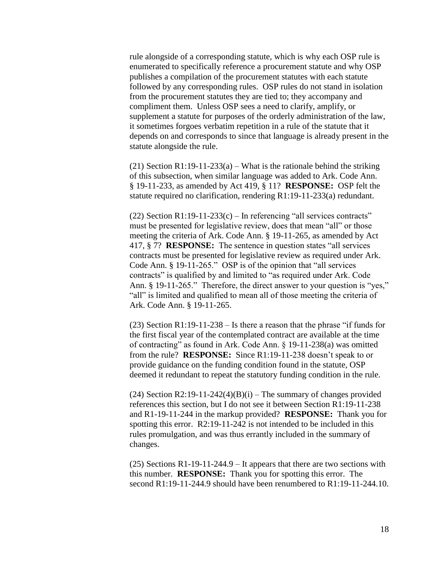rule alongside of a corresponding statute, which is why each OSP rule is enumerated to specifically reference a procurement statute and why OSP publishes a compilation of the procurement statutes with each statute followed by any corresponding rules. OSP rules do not stand in isolation from the procurement statutes they are tied to; they accompany and compliment them. Unless OSP sees a need to clarify, amplify, or supplement a statute for purposes of the orderly administration of the law, it sometimes forgoes verbatim repetition in a rule of the statute that it depends on and corresponds to since that language is already present in the statute alongside the rule.

(21) Section R1:19-11-233(a) – What is the rationale behind the striking of this subsection, when similar language was added to Ark. Code Ann. § 19-11-233, as amended by Act 419, § 11? **RESPONSE:** OSP felt the statute required no clarification, rendering R1:19-11-233(a) redundant.

(22) Section R1:19-11-233(c) – In referencing "all services contracts" must be presented for legislative review, does that mean "all" or those meeting the criteria of Ark. Code Ann. § 19-11-265, as amended by Act 417, § 7? **RESPONSE:** The sentence in question states "all services contracts must be presented for legislative review as required under Ark. Code Ann. § 19-11-265." OSP is of the opinion that "all services contracts" is qualified by and limited to "as required under Ark. Code Ann. § 19-11-265." Therefore, the direct answer to your question is "yes," "all" is limited and qualified to mean all of those meeting the criteria of Ark. Code Ann. § 19-11-265.

(23) Section R1:19-11-238 – Is there a reason that the phrase "if funds for the first fiscal year of the contemplated contract are available at the time of contracting" as found in Ark. Code Ann. § 19-11-238(a) was omitted from the rule? **RESPONSE:** Since R1:19-11-238 doesn't speak to or provide guidance on the funding condition found in the statute, OSP deemed it redundant to repeat the statutory funding condition in the rule.

(24) Section R2:19-11-242(4)(B)(i) – The summary of changes provided references this section, but I do not see it between Section R1:19-11-238 and R1-19-11-244 in the markup provided? **RESPONSE:** Thank you for spotting this error. R2:19-11-242 is not intended to be included in this rules promulgation, and was thus errantly included in the summary of changes.

(25) Sections R1-19-11-244.9 – It appears that there are two sections with this number. **RESPONSE:** Thank you for spotting this error. The second R1:19-11-244.9 should have been renumbered to R1:19-11-244.10.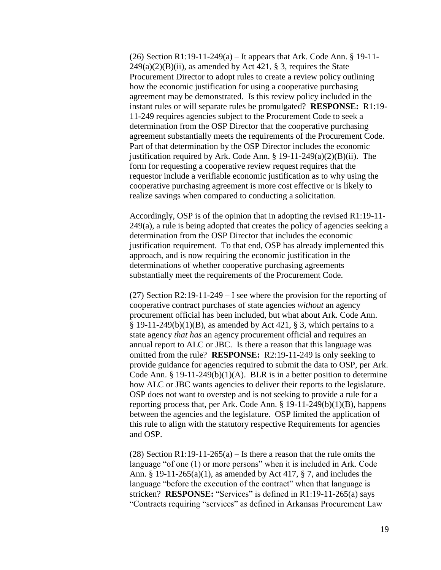(26) Section R1:19-11-249(a) – It appears that Ark. Code Ann.  $\S 19-11$ - $249(a)(2)(B)(ii)$ , as amended by Act 421, § 3, requires the State Procurement Director to adopt rules to create a review policy outlining how the economic justification for using a cooperative purchasing agreement may be demonstrated. Is this review policy included in the instant rules or will separate rules be promulgated? **RESPONSE:** R1:19- 11-249 requires agencies subject to the Procurement Code to seek a determination from the OSP Director that the cooperative purchasing agreement substantially meets the requirements of the Procurement Code. Part of that determination by the OSP Director includes the economic justification required by Ark. Code Ann.  $\S$  19-11-249(a)(2)(B)(ii). The form for requesting a cooperative review request requires that the requestor include a verifiable economic justification as to why using the cooperative purchasing agreement is more cost effective or is likely to realize savings when compared to conducting a solicitation.

Accordingly, OSP is of the opinion that in adopting the revised R1:19-11-  $249(a)$ , a rule is being adopted that creates the policy of agencies seeking a determination from the OSP Director that includes the economic justification requirement. To that end, OSP has already implemented this approach, and is now requiring the economic justification in the determinations of whether cooperative purchasing agreements substantially meet the requirements of the Procurement Code.

(27) Section R2:19-11-249 – I see where the provision for the reporting of cooperative contract purchases of state agencies *without* an agency procurement official has been included, but what about Ark. Code Ann.  $\S$  19-11-249(b)(1)(B), as amended by Act 421,  $\S$  3, which pertains to a state agency *that has* an agency procurement official and requires an annual report to ALC or JBC. Is there a reason that this language was omitted from the rule? **RESPONSE:** R2:19-11-249 is only seeking to provide guidance for agencies required to submit the data to OSP, per Ark. Code Ann. § 19-11-249(b)(1)(A). BLR is in a better position to determine how ALC or JBC wants agencies to deliver their reports to the legislature. OSP does not want to overstep and is not seeking to provide a rule for a reporting process that, per Ark. Code Ann. § 19-11-249(b)(1)(B), happens between the agencies and the legislature. OSP limited the application of this rule to align with the statutory respective Requirements for agencies and OSP.

(28) Section R1:19-11-265(a) – Is there a reason that the rule omits the language "of one (1) or more persons" when it is included in Ark. Code Ann. § 19-11-265(a)(1), as amended by Act 417, § 7, and includes the language "before the execution of the contract" when that language is stricken? **RESPONSE:** "Services" is defined in R1:19-11-265(a) says "Contracts requiring "services" as defined in Arkansas Procurement Law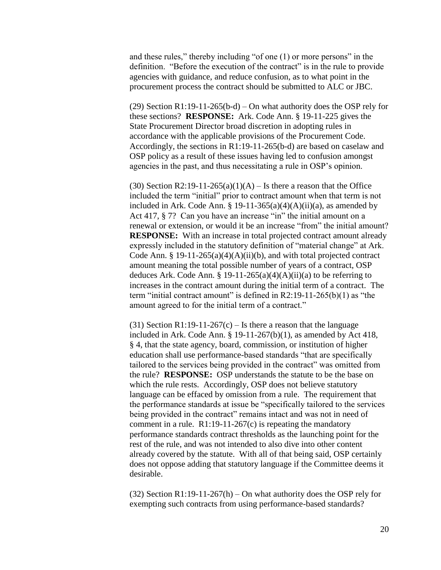and these rules," thereby including "of one (1) or more persons" in the definition. "Before the execution of the contract" is in the rule to provide agencies with guidance, and reduce confusion, as to what point in the procurement process the contract should be submitted to ALC or JBC.

(29) Section R1:19-11-265(b-d) – On what authority does the OSP rely for these sections? **RESPONSE:** Ark. Code Ann. § 19-11-225 gives the State Procurement Director broad discretion in adopting rules in accordance with the applicable provisions of the Procurement Code. Accordingly, the sections in R1:19-11-265(b-d) are based on caselaw and OSP policy as a result of these issues having led to confusion amongst agencies in the past, and thus necessitating a rule in OSP's opinion.

(30) Section R2:19-11-265(a)(1)(A) – Is there a reason that the Office included the term "initial" prior to contract amount when that term is not included in Ark. Code Ann. § 19-11-365(a)(4)(A)(ii)(a), as amended by Act 417, § 7? Can you have an increase "in" the initial amount on a renewal or extension, or would it be an increase "from" the initial amount? **RESPONSE:** With an increase in total projected contract amount already expressly included in the statutory definition of "material change" at Ark. Code Ann. § 19-11-265(a)(4)(A)(ii)(b), and with total projected contract amount meaning the total possible number of years of a contract, OSP deduces Ark. Code Ann. § 19-11-265(a)(4)(A)(ii)(a) to be referring to increases in the contract amount during the initial term of a contract. The term "initial contract amount" is defined in R2:19-11-265(b)(1) as "the amount agreed to for the initial term of a contract."

(31) Section R1:19-11-267(c) – Is there a reason that the language included in Ark. Code Ann. § 19-11-267(b)(1), as amended by Act 418, § 4, that the state agency, board, commission, or institution of higher education shall use performance-based standards "that are specifically tailored to the services being provided in the contract" was omitted from the rule? **RESPONSE:** OSP understands the statute to be the base on which the rule rests. Accordingly, OSP does not believe statutory language can be effaced by omission from a rule. The requirement that the performance standards at issue be "specifically tailored to the services being provided in the contract" remains intact and was not in need of comment in a rule.  $R1:19-11-267(c)$  is repeating the mandatory performance standards contract thresholds as the launching point for the rest of the rule, and was not intended to also dive into other content already covered by the statute. With all of that being said, OSP certainly does not oppose adding that statutory language if the Committee deems it desirable.

(32) Section R1:19-11-267(h) – On what authority does the OSP rely for exempting such contracts from using performance-based standards?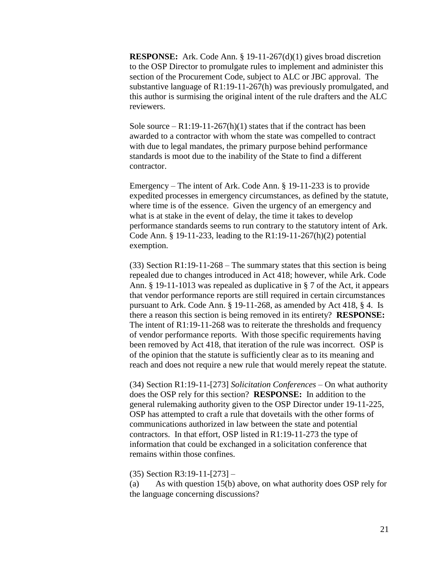**RESPONSE:** Ark. Code Ann. § 19-11-267(d)(1) gives broad discretion to the OSP Director to promulgate rules to implement and administer this section of the Procurement Code, subject to ALC or JBC approval. The substantive language of R1:19-11-267(h) was previously promulgated, and this author is surmising the original intent of the rule drafters and the ALC reviewers.

Sole source –  $R1:19-11-267(h)(1)$  states that if the contract has been awarded to a contractor with whom the state was compelled to contract with due to legal mandates, the primary purpose behind performance standards is moot due to the inability of the State to find a different contractor.

Emergency – The intent of Ark. Code Ann. § 19-11-233 is to provide expedited processes in emergency circumstances, as defined by the statute, where time is of the essence. Given the urgency of an emergency and what is at stake in the event of delay, the time it takes to develop performance standards seems to run contrary to the statutory intent of Ark. Code Ann. § 19-11-233, leading to the R1:19-11-267(h)(2) potential exemption.

 $(33)$  Section R1:19-11-268 – The summary states that this section is being repealed due to changes introduced in Act 418; however, while Ark. Code Ann. § 19-11-1013 was repealed as duplicative in § 7 of the Act, it appears that vendor performance reports are still required in certain circumstances pursuant to Ark. Code Ann. § 19-11-268, as amended by Act 418, § 4. Is there a reason this section is being removed in its entirety? **RESPONSE:** The intent of R1:19-11-268 was to reiterate the thresholds and frequency of vendor performance reports. With those specific requirements having been removed by Act 418, that iteration of the rule was incorrect. OSP is of the opinion that the statute is sufficiently clear as to its meaning and reach and does not require a new rule that would merely repeat the statute.

(34) Section R1:19-11-[273] *Solicitation Conferences* – On what authority does the OSP rely for this section? **RESPONSE:** In addition to the general rulemaking authority given to the OSP Director under 19-11-225, OSP has attempted to craft a rule that dovetails with the other forms of communications authorized in law between the state and potential contractors. In that effort, OSP listed in R1:19-11-273 the type of information that could be exchanged in a solicitation conference that remains within those confines.

#### (35) Section R3:19-11-[273] –

(a) As with question 15(b) above, on what authority does OSP rely for the language concerning discussions?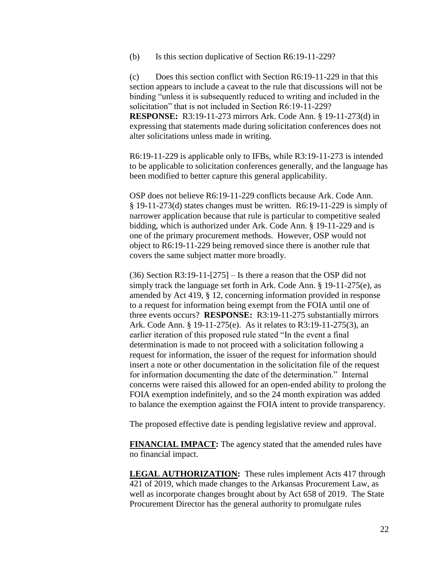(b) Is this section duplicative of Section R6:19-11-229?

(c) Does this section conflict with Section R6:19-11-229 in that this section appears to include a caveat to the rule that discussions will not be binding "unless it is subsequently reduced to writing and included in the solicitation" that is not included in Section R6:19-11-229?

**RESPONSE:** R3:19-11-273 mirrors Ark. Code Ann. § 19-11-273(d) in expressing that statements made during solicitation conferences does not alter solicitations unless made in writing.

R6:19-11-229 is applicable only to IFBs, while R3:19-11-273 is intended to be applicable to solicitation conferences generally, and the language has been modified to better capture this general applicability.

OSP does not believe R6:19-11-229 conflicts because Ark. Code Ann. § 19-11-273(d) states changes must be written. R6:19-11-229 is simply of narrower application because that rule is particular to competitive sealed bidding, which is authorized under Ark. Code Ann. § 19-11-229 and is one of the primary procurement methods. However, OSP would not object to R6:19-11-229 being removed since there is another rule that covers the same subject matter more broadly.

(36) Section R3:19-11-[275] – Is there a reason that the OSP did not simply track the language set forth in Ark. Code Ann. § 19-11-275(e), as amended by Act 419, § 12, concerning information provided in response to a request for information being exempt from the FOIA until one of three events occurs? **RESPONSE:** R3:19-11-275 substantially mirrors Ark. Code Ann. § 19-11-275(e). As it relates to R3:19-11-275(3), an earlier iteration of this proposed rule stated "In the event a final determination is made to not proceed with a solicitation following a request for information, the issuer of the request for information should insert a note or other documentation in the solicitation file of the request for information documenting the date of the determination." Internal concerns were raised this allowed for an open-ended ability to prolong the FOIA exemption indefinitely, and so the 24 month expiration was added to balance the exemption against the FOIA intent to provide transparency.

The proposed effective date is pending legislative review and approval.

**FINANCIAL IMPACT:** The agency stated that the amended rules have no financial impact.

**LEGAL AUTHORIZATION:** These rules implement Acts 417 through 421 of 2019, which made changes to the Arkansas Procurement Law, as well as incorporate changes brought about by Act 658 of 2019. The State Procurement Director has the general authority to promulgate rules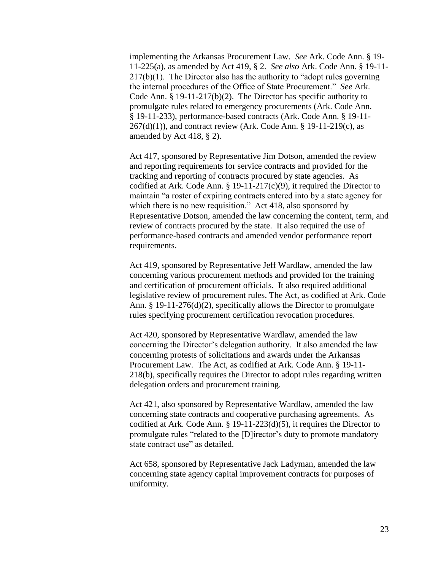implementing the Arkansas Procurement Law. *See* Ark. Code Ann. § 19- 11-225(a), as amended by Act 419, § 2. *See also* Ark. Code Ann. § 19-11-  $217(b)(1)$ . The Director also has the authority to "adopt rules governing" the internal procedures of the Office of State Procurement." *See* Ark. Code Ann. § 19-11-217(b)(2). The Director has specific authority to promulgate rules related to emergency procurements (Ark. Code Ann. § 19-11-233), performance-based contracts (Ark. Code Ann. § 19-11-  $267(d)(1)$ , and contract review (Ark. Code Ann. § 19-11-219(c), as amended by Act 418, § 2).

Act 417, sponsored by Representative Jim Dotson, amended the review and reporting requirements for service contracts and provided for the tracking and reporting of contracts procured by state agencies. As codified at Ark. Code Ann.  $\S$  19-11-217(c)(9), it required the Director to maintain "a roster of expiring contracts entered into by a state agency for which there is no new requisition." Act 418, also sponsored by Representative Dotson, amended the law concerning the content, term, and review of contracts procured by the state. It also required the use of performance-based contracts and amended vendor performance report requirements.

Act 419, sponsored by Representative Jeff Wardlaw, amended the law concerning various procurement methods and provided for the training and certification of procurement officials. It also required additional legislative review of procurement rules. The Act, as codified at Ark. Code Ann. § 19-11-276(d)(2), specifically allows the Director to promulgate rules specifying procurement certification revocation procedures.

Act 420, sponsored by Representative Wardlaw, amended the law concerning the Director's delegation authority. It also amended the law concerning protests of solicitations and awards under the Arkansas Procurement Law. The Act, as codified at Ark. Code Ann. § 19-11- 218(b), specifically requires the Director to adopt rules regarding written delegation orders and procurement training.

Act 421, also sponsored by Representative Wardlaw, amended the law concerning state contracts and cooperative purchasing agreements. As codified at Ark. Code Ann. § 19-11-223(d)(5), it requires the Director to promulgate rules "related to the [D]irector's duty to promote mandatory state contract use" as detailed.

Act 658, sponsored by Representative Jack Ladyman, amended the law concerning state agency capital improvement contracts for purposes of uniformity.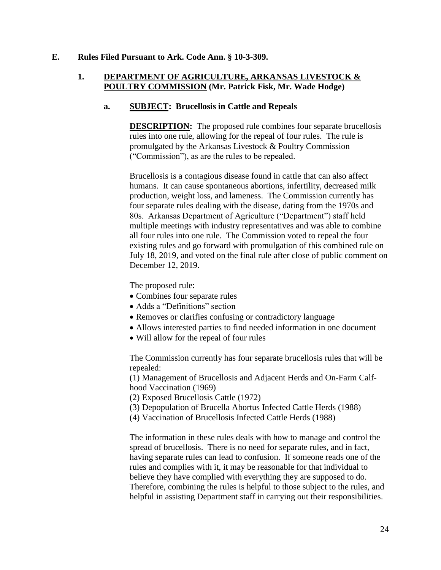#### **E. Rules Filed Pursuant to Ark. Code Ann. § 10-3-309.**

## **1. DEPARTMENT OF AGRICULTURE, ARKANSAS LIVESTOCK & POULTRY COMMISSION (Mr. Patrick Fisk, Mr. Wade Hodge)**

### **a. SUBJECT: Brucellosis in Cattle and Repeals**

**DESCRIPTION:** The proposed rule combines four separate brucellosis rules into one rule, allowing for the repeal of four rules. The rule is promulgated by the Arkansas Livestock & Poultry Commission ("Commission"), as are the rules to be repealed.

Brucellosis is a contagious disease found in cattle that can also affect humans. It can cause spontaneous abortions, infertility, decreased milk production, weight loss, and lameness. The Commission currently has four separate rules dealing with the disease, dating from the 1970s and 80s. Arkansas Department of Agriculture ("Department") staff held multiple meetings with industry representatives and was able to combine all four rules into one rule. The Commission voted to repeal the four existing rules and go forward with promulgation of this combined rule on July 18, 2019, and voted on the final rule after close of public comment on December 12, 2019.

The proposed rule:

- Combines four separate rules
- Adds a "Definitions" section
- Removes or clarifies confusing or contradictory language
- Allows interested parties to find needed information in one document
- Will allow for the repeal of four rules

The Commission currently has four separate brucellosis rules that will be repealed:

(1) Management of Brucellosis and Adjacent Herds and On-Farm Calfhood Vaccination (1969)

(2) Exposed Brucellosis Cattle (1972)

- (3) Depopulation of Brucella Abortus Infected Cattle Herds (1988)
- (4) Vaccination of Brucellosis Infected Cattle Herds (1988)

The information in these rules deals with how to manage and control the spread of brucellosis. There is no need for separate rules, and in fact, having separate rules can lead to confusion. If someone reads one of the rules and complies with it, it may be reasonable for that individual to believe they have complied with everything they are supposed to do. Therefore, combining the rules is helpful to those subject to the rules, and helpful in assisting Department staff in carrying out their responsibilities.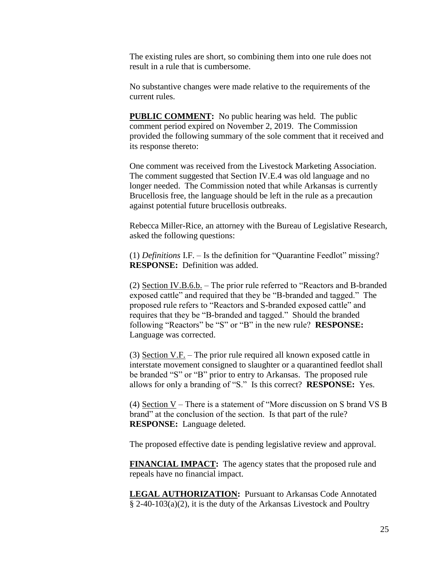The existing rules are short, so combining them into one rule does not result in a rule that is cumbersome.

No substantive changes were made relative to the requirements of the current rules.

**PUBLIC COMMENT:** No public hearing was held. The public comment period expired on November 2, 2019. The Commission provided the following summary of the sole comment that it received and its response thereto:

One comment was received from the Livestock Marketing Association. The comment suggested that Section IV.E.4 was old language and no longer needed. The Commission noted that while Arkansas is currently Brucellosis free, the language should be left in the rule as a precaution against potential future brucellosis outbreaks.

Rebecca Miller-Rice, an attorney with the Bureau of Legislative Research, asked the following questions:

(1) *Definitions* I.F. – Is the definition for "Quarantine Feedlot" missing? **RESPONSE:** Definition was added.

(2) Section IV.B.6.b. – The prior rule referred to "Reactors and B-branded exposed cattle" and required that they be "B-branded and tagged." The proposed rule refers to "Reactors and S-branded exposed cattle" and requires that they be "B-branded and tagged." Should the branded following "Reactors" be "S" or "B" in the new rule? **RESPONSE:** Language was corrected.

(3) Section V.F. – The prior rule required all known exposed cattle in interstate movement consigned to slaughter or a quarantined feedlot shall be branded "S" or "B" prior to entry to Arkansas. The proposed rule allows for only a branding of "S." Is this correct? **RESPONSE:** Yes.

(4) Section V – There is a statement of "More discussion on S brand VS B brand" at the conclusion of the section. Is that part of the rule? **RESPONSE:** Language deleted.

The proposed effective date is pending legislative review and approval.

**FINANCIAL IMPACT:** The agency states that the proposed rule and repeals have no financial impact.

**LEGAL AUTHORIZATION:** Pursuant to Arkansas Code Annotated § 2-40-103(a)(2), it is the duty of the Arkansas Livestock and Poultry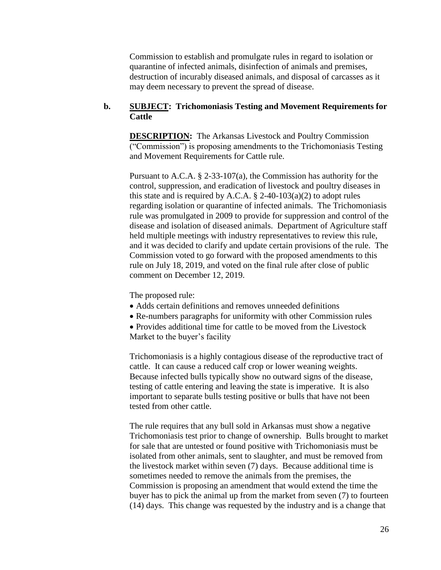Commission to establish and promulgate rules in regard to isolation or quarantine of infected animals, disinfection of animals and premises, destruction of incurably diseased animals, and disposal of carcasses as it may deem necessary to prevent the spread of disease.

### **b. SUBJECT: Trichomoniasis Testing and Movement Requirements for Cattle**

**DESCRIPTION:** The Arkansas Livestock and Poultry Commission ("Commission") is proposing amendments to the Trichomoniasis Testing and Movement Requirements for Cattle rule.

Pursuant to A.C.A. § 2-33-107(a), the Commission has authority for the control, suppression, and eradication of livestock and poultry diseases in this state and is required by A.C.A.  $\S$  2-40-103(a)(2) to adopt rules regarding isolation or quarantine of infected animals. The Trichomoniasis rule was promulgated in 2009 to provide for suppression and control of the disease and isolation of diseased animals. Department of Agriculture staff held multiple meetings with industry representatives to review this rule, and it was decided to clarify and update certain provisions of the rule. The Commission voted to go forward with the proposed amendments to this rule on July 18, 2019, and voted on the final rule after close of public comment on December 12, 2019.

The proposed rule:

- Adds certain definitions and removes unneeded definitions
- Re-numbers paragraphs for uniformity with other Commission rules
- Provides additional time for cattle to be moved from the Livestock
- Market to the buyer's facility

Trichomoniasis is a highly contagious disease of the reproductive tract of cattle. It can cause a reduced calf crop or lower weaning weights. Because infected bulls typically show no outward signs of the disease, testing of cattle entering and leaving the state is imperative. It is also important to separate bulls testing positive or bulls that have not been tested from other cattle.

The rule requires that any bull sold in Arkansas must show a negative Trichomoniasis test prior to change of ownership. Bulls brought to market for sale that are untested or found positive with Trichomoniasis must be isolated from other animals, sent to slaughter, and must be removed from the livestock market within seven (7) days. Because additional time is sometimes needed to remove the animals from the premises, the Commission is proposing an amendment that would extend the time the buyer has to pick the animal up from the market from seven (7) to fourteen (14) days. This change was requested by the industry and is a change that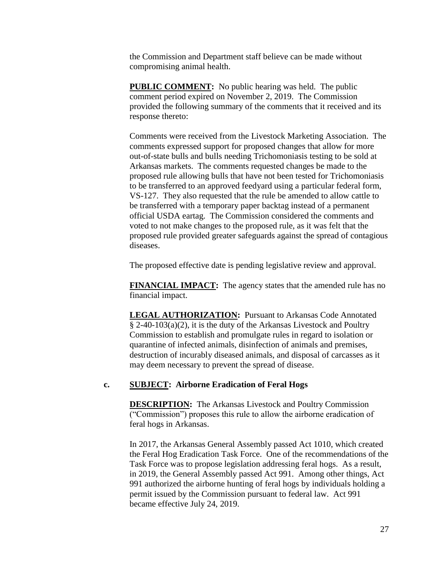the Commission and Department staff believe can be made without compromising animal health.

**PUBLIC COMMENT:** No public hearing was held. The public comment period expired on November 2, 2019. The Commission provided the following summary of the comments that it received and its response thereto:

Comments were received from the Livestock Marketing Association. The comments expressed support for proposed changes that allow for more out-of-state bulls and bulls needing Trichomoniasis testing to be sold at Arkansas markets. The comments requested changes be made to the proposed rule allowing bulls that have not been tested for Trichomoniasis to be transferred to an approved feedyard using a particular federal form, VS-127. They also requested that the rule be amended to allow cattle to be transferred with a temporary paper backtag instead of a permanent official USDA eartag. The Commission considered the comments and voted to not make changes to the proposed rule, as it was felt that the proposed rule provided greater safeguards against the spread of contagious diseases.

The proposed effective date is pending legislative review and approval.

**FINANCIAL IMPACT:** The agency states that the amended rule has no financial impact.

**LEGAL AUTHORIZATION:** Pursuant to Arkansas Code Annotated § 2-40-103(a)(2), it is the duty of the Arkansas Livestock and Poultry Commission to establish and promulgate rules in regard to isolation or quarantine of infected animals, disinfection of animals and premises, destruction of incurably diseased animals, and disposal of carcasses as it may deem necessary to prevent the spread of disease.

#### **c. SUBJECT: Airborne Eradication of Feral Hogs**

**DESCRIPTION:** The Arkansas Livestock and Poultry Commission ("Commission") proposes this rule to allow the airborne eradication of feral hogs in Arkansas.

In 2017, the Arkansas General Assembly passed Act 1010, which created the Feral Hog Eradication Task Force. One of the recommendations of the Task Force was to propose legislation addressing feral hogs. As a result, in 2019, the General Assembly passed Act 991. Among other things, Act 991 authorized the airborne hunting of feral hogs by individuals holding a permit issued by the Commission pursuant to federal law. Act 991 became effective July 24, 2019.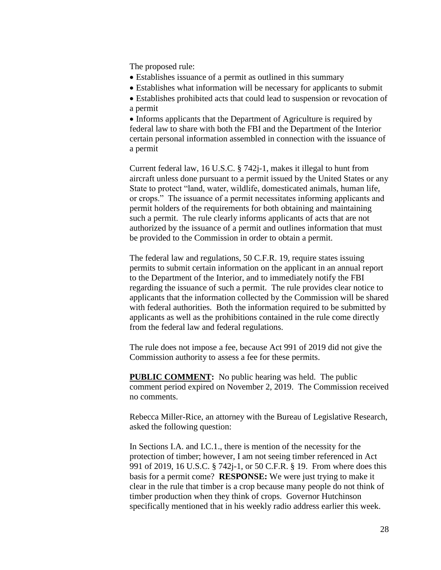The proposed rule:

- Establishes issuance of a permit as outlined in this summary
- Establishes what information will be necessary for applicants to submit
- Establishes prohibited acts that could lead to suspension or revocation of a permit

• Informs applicants that the Department of Agriculture is required by federal law to share with both the FBI and the Department of the Interior certain personal information assembled in connection with the issuance of a permit

Current federal law, 16 U.S.C. § 742j-1, makes it illegal to hunt from aircraft unless done pursuant to a permit issued by the United States or any State to protect "land, water, wildlife, domesticated animals, human life, or crops." The issuance of a permit necessitates informing applicants and permit holders of the requirements for both obtaining and maintaining such a permit. The rule clearly informs applicants of acts that are not authorized by the issuance of a permit and outlines information that must be provided to the Commission in order to obtain a permit.

The federal law and regulations, 50 C.F.R. 19, require states issuing permits to submit certain information on the applicant in an annual report to the Department of the Interior, and to immediately notify the FBI regarding the issuance of such a permit. The rule provides clear notice to applicants that the information collected by the Commission will be shared with federal authorities. Both the information required to be submitted by applicants as well as the prohibitions contained in the rule come directly from the federal law and federal regulations.

The rule does not impose a fee, because Act 991 of 2019 did not give the Commission authority to assess a fee for these permits.

**PUBLIC COMMENT:** No public hearing was held. The public comment period expired on November 2, 2019. The Commission received no comments.

Rebecca Miller-Rice, an attorney with the Bureau of Legislative Research, asked the following question:

In Sections I.A. and I.C.1., there is mention of the necessity for the protection of timber; however, I am not seeing timber referenced in Act 991 of 2019, 16 U.S.C. § 742j-1, or 50 C.F.R. § 19. From where does this basis for a permit come? **RESPONSE:** We were just trying to make it clear in the rule that timber is a crop because many people do not think of timber production when they think of crops. Governor Hutchinson specifically mentioned that in his weekly radio address earlier this week.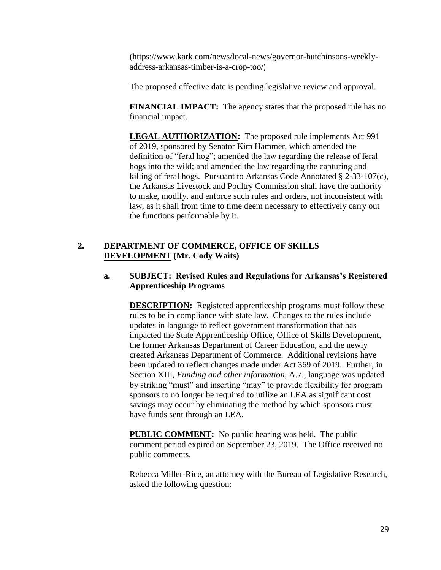[\(https://www.kark.com/news/local-news/governor-hutchinsons-weekly](https://www.kark.com/news/local-news/governor-hutchinsons-weekly-address-arkansas-timber-is-a-crop-too/)[address-arkansas-timber-is-a-crop-too/](https://www.kark.com/news/local-news/governor-hutchinsons-weekly-address-arkansas-timber-is-a-crop-too/))

The proposed effective date is pending legislative review and approval.

**FINANCIAL IMPACT:** The agency states that the proposed rule has no financial impact.

**LEGAL AUTHORIZATION:** The proposed rule implements Act 991 of 2019, sponsored by Senator Kim Hammer, which amended the definition of "feral hog"; amended the law regarding the release of feral hogs into the wild; and amended the law regarding the capturing and killing of feral hogs. Pursuant to Arkansas Code Annotated § 2-33-107(c), the Arkansas Livestock and Poultry Commission shall have the authority to make, modify, and enforce such rules and orders, not inconsistent with law, as it shall from time to time deem necessary to effectively carry out the functions performable by it.

# **2. DEPARTMENT OF COMMERCE, OFFICE OF SKILLS DEVELOPMENT (Mr. Cody Waits)**

# **a. SUBJECT: Revised Rules and Regulations for Arkansas's Registered Apprenticeship Programs**

**DESCRIPTION:** Registered apprenticeship programs must follow these rules to be in compliance with state law. Changes to the rules include updates in language to reflect government transformation that has impacted the State Apprenticeship Office, Office of Skills Development, the former Arkansas Department of Career Education, and the newly created Arkansas Department of Commerce. Additional revisions have been updated to reflect changes made under Act 369 of 2019. Further, in Section XIII, *Funding and other information*, A.7., language was updated by striking "must" and inserting "may" to provide flexibility for program sponsors to no longer be required to utilize an LEA as significant cost savings may occur by eliminating the method by which sponsors must have funds sent through an LEA.

**PUBLIC COMMENT:** No public hearing was held. The public comment period expired on September 23, 2019. The Office received no public comments.

Rebecca Miller-Rice, an attorney with the Bureau of Legislative Research, asked the following question: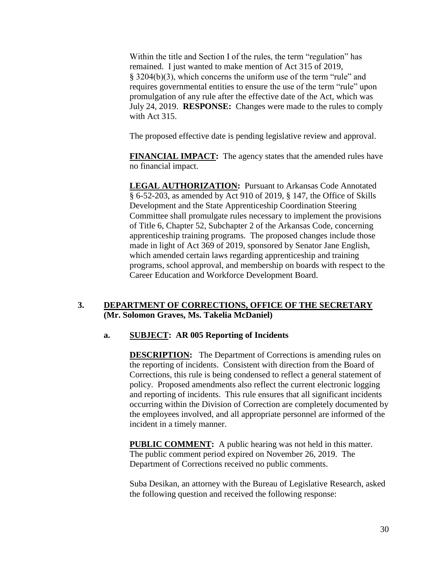Within the title and Section I of the rules, the term "regulation" has remained. I just wanted to make mention of Act 315 of 2019, § 3204(b)(3), which concerns the uniform use of the term "rule" and requires governmental entities to ensure the use of the term "rule" upon promulgation of any rule after the effective date of the Act, which was July 24, 2019. **RESPONSE:** Changes were made to the rules to comply with Act 315.

The proposed effective date is pending legislative review and approval.

**FINANCIAL IMPACT:** The agency states that the amended rules have no financial impact.

**LEGAL AUTHORIZATION:** Pursuant to Arkansas Code Annotated § 6-52-203, as amended by Act 910 of 2019, § 147, the Office of Skills Development and the State Apprenticeship Coordination Steering Committee shall promulgate rules necessary to implement the provisions of Title 6, Chapter 52, Subchapter 2 of the Arkansas Code, concerning apprenticeship training programs. The proposed changes include those made in light of Act 369 of 2019, sponsored by Senator Jane English, which amended certain laws regarding apprenticeship and training programs, school approval, and membership on boards with respect to the Career Education and Workforce Development Board.

## **3. DEPARTMENT OF CORRECTIONS, OFFICE OF THE SECRETARY (Mr. Solomon Graves, Ms. Takelia McDaniel)**

# **a. SUBJECT: AR 005 Reporting of Incidents**

**DESCRIPTION:** The Department of Corrections is amending rules on the reporting of incidents. Consistent with direction from the Board of Corrections, this rule is being condensed to reflect a general statement of policy. Proposed amendments also reflect the current electronic logging and reporting of incidents. This rule ensures that all significant incidents occurring within the Division of Correction are completely documented by the employees involved, and all appropriate personnel are informed of the incident in a timely manner.

**PUBLIC COMMENT:** A public hearing was not held in this matter. The public comment period expired on November 26, 2019. The Department of Corrections received no public comments.

Suba Desikan, an attorney with the Bureau of Legislative Research, asked the following question and received the following response: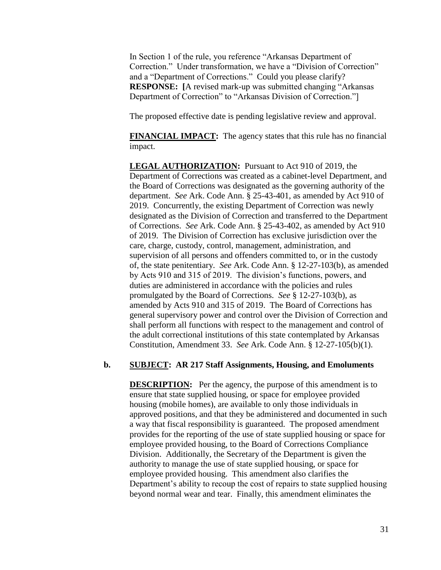In Section 1 of the rule, you reference "Arkansas Department of Correction." Under transformation, we have a "Division of Correction" and a "Department of Corrections." Could you please clarify? **RESPONSE: [**A revised mark-up was submitted changing "Arkansas Department of Correction" to "Arkansas Division of Correction."]

The proposed effective date is pending legislative review and approval.

**FINANCIAL IMPACT:** The agency states that this rule has no financial impact.

**LEGAL AUTHORIZATION:** Pursuant to Act 910 of 2019, the Department of Corrections was created as a cabinet-level Department, and the Board of Corrections was designated as the governing authority of the department. *See* Ark. Code Ann. § 25-43-401, as amended by Act 910 of 2019. Concurrently, the existing Department of Correction was newly designated as the Division of Correction and transferred to the Department of Corrections. *See* Ark. Code Ann. § 25-43-402, as amended by Act 910 of 2019. The Division of Correction has exclusive jurisdiction over the care, charge, custody, control, management, administration, and supervision of all persons and offenders committed to, or in the custody of, the state penitentiary. *See* Ark. Code Ann. § 12-27-103(b), as amended by Acts 910 and 315 of 2019. The division's functions, powers, and duties are administered in accordance with the policies and rules promulgated by the Board of Corrections. *See* § 12-27-103(b), as amended by Acts 910 and 315 of 2019. The Board of Corrections has general supervisory power and control over the Division of Correction and shall perform all functions with respect to the management and control of the adult correctional institutions of this state contemplated by Arkansas Constitution, Amendment 33. *See* Ark. Code Ann. § 12-27-105(b)(1).

#### **b. SUBJECT: AR 217 Staff Assignments, Housing, and Emoluments**

**DESCRIPTION:** Per the agency, the purpose of this amendment is to ensure that state supplied housing, or space for employee provided housing (mobile homes), are available to only those individuals in approved positions, and that they be administered and documented in such a way that fiscal responsibility is guaranteed. The proposed amendment provides for the reporting of the use of state supplied housing or space for employee provided housing, to the Board of Corrections Compliance Division. Additionally, the Secretary of the Department is given the authority to manage the use of state supplied housing, or space for employee provided housing. This amendment also clarifies the Department's ability to recoup the cost of repairs to state supplied housing beyond normal wear and tear. Finally, this amendment eliminates the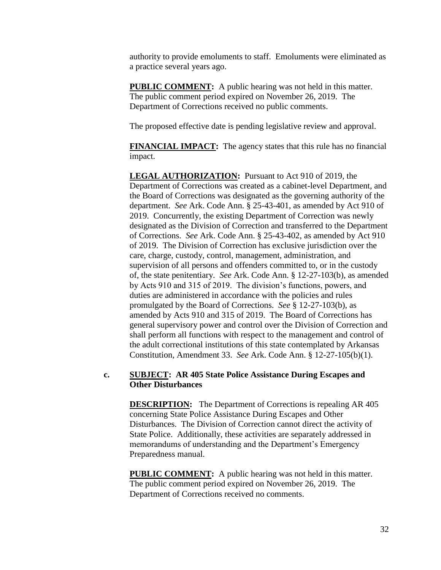authority to provide emoluments to staff. Emoluments were eliminated as a practice several years ago.

**PUBLIC COMMENT:** A public hearing was not held in this matter. The public comment period expired on November 26, 2019. The Department of Corrections received no public comments.

The proposed effective date is pending legislative review and approval.

**FINANCIAL IMPACT:** The agency states that this rule has no financial impact.

**LEGAL AUTHORIZATION:** Pursuant to Act 910 of 2019, the Department of Corrections was created as a cabinet-level Department, and the Board of Corrections was designated as the governing authority of the department. *See* Ark. Code Ann. § 25-43-401, as amended by Act 910 of 2019. Concurrently, the existing Department of Correction was newly designated as the Division of Correction and transferred to the Department of Corrections. *See* Ark. Code Ann. § 25-43-402, as amended by Act 910 of 2019. The Division of Correction has exclusive jurisdiction over the care, charge, custody, control, management, administration, and supervision of all persons and offenders committed to, or in the custody of, the state penitentiary. *See* Ark. Code Ann. § 12-27-103(b), as amended by Acts 910 and 315 of 2019. The division's functions, powers, and duties are administered in accordance with the policies and rules promulgated by the Board of Corrections. *See* § 12-27-103(b), as amended by Acts 910 and 315 of 2019. The Board of Corrections has general supervisory power and control over the Division of Correction and shall perform all functions with respect to the management and control of the adult correctional institutions of this state contemplated by Arkansas Constitution, Amendment 33. *See* Ark. Code Ann. § 12-27-105(b)(1).

### **c. SUBJECT: AR 405 State Police Assistance During Escapes and Other Disturbances**

**DESCRIPTION:** The Department of Corrections is repealing AR 405 concerning State Police Assistance During Escapes and Other Disturbances. The Division of Correction cannot direct the activity of State Police. Additionally, these activities are separately addressed in memorandums of understanding and the Department's Emergency Preparedness manual.

**PUBLIC COMMENT:** A public hearing was not held in this matter. The public comment period expired on November 26, 2019. The Department of Corrections received no comments.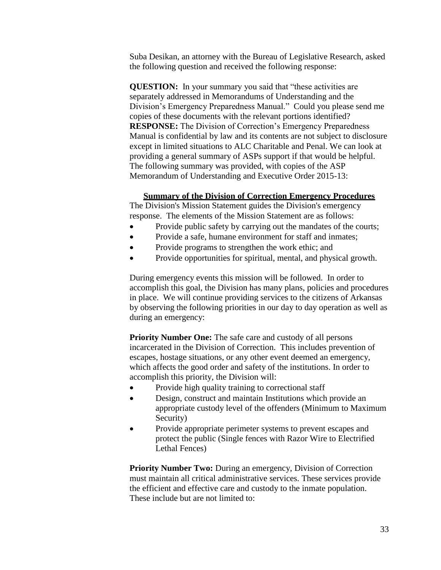Suba Desikan, an attorney with the Bureau of Legislative Research, asked the following question and received the following response:

**QUESTION:** In your summary you said that "these activities are separately addressed in Memorandums of Understanding and the Division's Emergency Preparedness Manual." Could you please send me copies of these documents with the relevant portions identified? **RESPONSE:** The Division of Correction's Emergency Preparedness Manual is confidential by law and its contents are not subject to disclosure except in limited situations to ALC Charitable and Penal. We can look at providing a general summary of ASPs support if that would be helpful. The following summary was provided, with copies of the ASP Memorandum of Understanding and Executive Order 2015-13:

#### **Summary of the Division of Correction Emergency Procedures**

The Division's Mission Statement guides the Division's emergency response. The elements of the Mission Statement are as follows:

- Provide public safety by carrying out the mandates of the courts;
- Provide a safe, humane environment for staff and inmates;
- Provide programs to strengthen the work ethic; and
- Provide opportunities for spiritual, mental, and physical growth.

During emergency events this mission will be followed. In order to accomplish this goal, the Division has many plans, policies and procedures in place. We will continue providing services to the citizens of Arkansas by observing the following priorities in our day to day operation as well as during an emergency:

**Priority Number One:** The safe care and custody of all persons incarcerated in the Division of Correction. This includes prevention of escapes, hostage situations, or any other event deemed an emergency, which affects the good order and safety of the institutions. In order to accomplish this priority, the Division will:

- Provide high quality training to correctional staff
- Design, construct and maintain Institutions which provide an appropriate custody level of the offenders (Minimum to Maximum Security)
- Provide appropriate perimeter systems to prevent escapes and protect the public (Single fences with Razor Wire to Electrified Lethal Fences)

**Priority Number Two:** During an emergency, Division of Correction must maintain all critical administrative services. These services provide the efficient and effective care and custody to the inmate population. These include but are not limited to: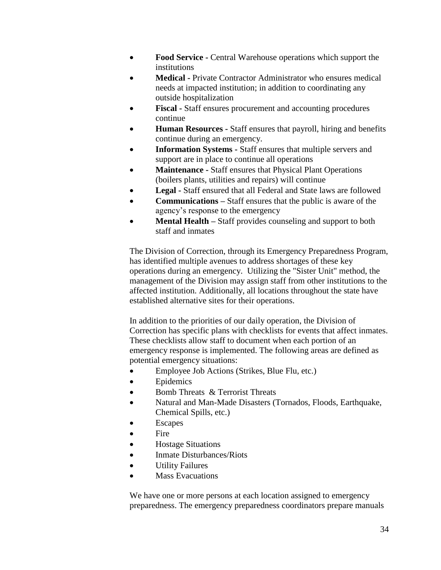- **Food Service -** Central Warehouse operations which support the institutions
- **Medical -** Private Contractor Administrator who ensures medical needs at impacted institution; in addition to coordinating any outside hospitalization
- **Fiscal -** Staff ensures procurement and accounting procedures continue
- **Human Resources -** Staff ensures that payroll, hiring and benefits continue during an emergency.
- **Information Systems -** Staff ensures that multiple servers and support are in place to continue all operations
- **Maintenance -** Staff ensures that Physical Plant Operations (boilers plants, utilities and repairs) will continue
- **Legal -** Staff ensured that all Federal and State laws are followed
- **Communications –** Staff ensures that the public is aware of the agency's response to the emergency
- **Mental Health –** Staff provides counseling and support to both staff and inmates

The Division of Correction, through its Emergency Preparedness Program, has identified multiple avenues to address shortages of these key operations during an emergency. Utilizing the "Sister Unit" method, the management of the Division may assign staff from other institutions to the affected institution. Additionally, all locations throughout the state have established alternative sites for their operations.

In addition to the priorities of our daily operation, the Division of Correction has specific plans with checklists for events that affect inmates. These checklists allow staff to document when each portion of an emergency response is implemented. The following areas are defined as potential emergency situations:

- Employee Job Actions (Strikes, Blue Flu, etc.)
- Epidemics
- Bomb Threats & Terrorist Threats
- Natural and Man-Made Disasters (Tornados, Floods, Earthquake, Chemical Spills, etc.)
- Escapes
- Fire
- Hostage Situations
- Inmate Disturbances/Riots
- Utility Failures
- Mass Evacuations

We have one or more persons at each location assigned to emergency preparedness. The emergency preparedness coordinators prepare manuals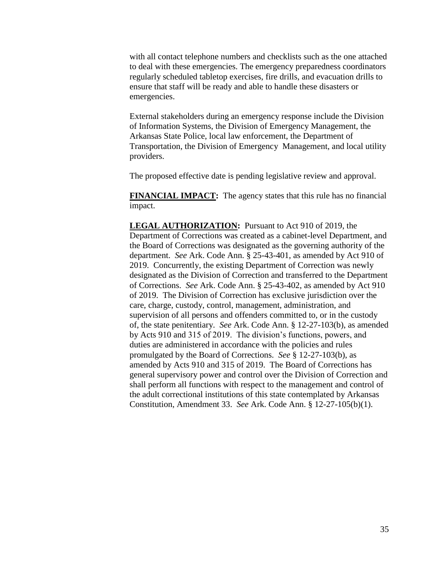with all contact telephone numbers and checklists such as the one attached to deal with these emergencies. The emergency preparedness coordinators regularly scheduled tabletop exercises, fire drills, and evacuation drills to ensure that staff will be ready and able to handle these disasters or emergencies.

External stakeholders during an emergency response include the Division of Information Systems, the Division of Emergency Management, the Arkansas State Police, local law enforcement, the Department of Transportation, the Division of Emergency Management, and local utility providers.

The proposed effective date is pending legislative review and approval.

**FINANCIAL IMPACT:** The agency states that this rule has no financial impact.

**LEGAL AUTHORIZATION:** Pursuant to Act 910 of 2019, the Department of Corrections was created as a cabinet-level Department, and the Board of Corrections was designated as the governing authority of the department. *See* Ark. Code Ann. § 25-43-401, as amended by Act 910 of 2019. Concurrently, the existing Department of Correction was newly designated as the Division of Correction and transferred to the Department of Corrections. *See* Ark. Code Ann. § 25-43-402, as amended by Act 910 of 2019. The Division of Correction has exclusive jurisdiction over the care, charge, custody, control, management, administration, and supervision of all persons and offenders committed to, or in the custody of, the state penitentiary. *See* Ark. Code Ann. § 12-27-103(b), as amended by Acts 910 and 315 of 2019. The division's functions, powers, and duties are administered in accordance with the policies and rules promulgated by the Board of Corrections. *See* § 12-27-103(b), as amended by Acts 910 and 315 of 2019. The Board of Corrections has general supervisory power and control over the Division of Correction and shall perform all functions with respect to the management and control of the adult correctional institutions of this state contemplated by Arkansas Constitution, Amendment 33. *See* Ark. Code Ann. § 12-27-105(b)(1).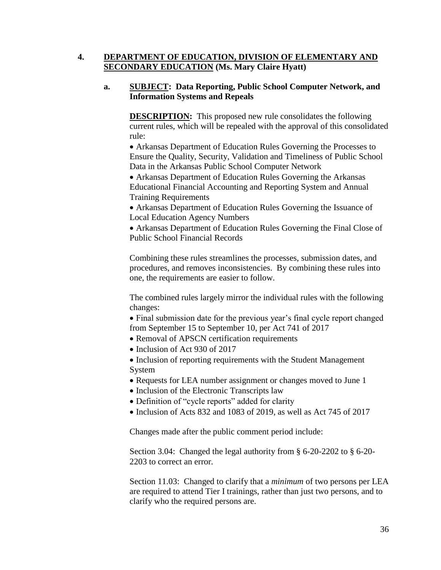# **4. DEPARTMENT OF EDUCATION, DIVISION OF ELEMENTARY AND SECONDARY EDUCATION (Ms. Mary Claire Hyatt)**

### **a. SUBJECT: Data Reporting, Public School Computer Network, and Information Systems and Repeals**

**DESCRIPTION:** This proposed new rule consolidates the following current rules, which will be repealed with the approval of this consolidated rule:

 Arkansas Department of Education Rules Governing the Processes to Ensure the Quality, Security, Validation and Timeliness of Public School Data in the Arkansas Public School Computer Network

 Arkansas Department of Education Rules Governing the Arkansas Educational Financial Accounting and Reporting System and Annual Training Requirements

 Arkansas Department of Education Rules Governing the Issuance of Local Education Agency Numbers

 Arkansas Department of Education Rules Governing the Final Close of Public School Financial Records

Combining these rules streamlines the processes, submission dates, and procedures, and removes inconsistencies. By combining these rules into one, the requirements are easier to follow.

The combined rules largely mirror the individual rules with the following changes:

 Final submission date for the previous year's final cycle report changed from September 15 to September 10, per Act 741 of 2017

- Removal of APSCN certification requirements
- Inclusion of Act 930 of 2017

• Inclusion of reporting requirements with the Student Management System

- Requests for LEA number assignment or changes moved to June 1
- Inclusion of the Electronic Transcripts law
- Definition of "cycle reports" added for clarity
- Inclusion of Acts 832 and 1083 of 2019, as well as Act 745 of 2017

Changes made after the public comment period include:

Section 3.04: Changed the legal authority from § 6-20-2202 to § 6-20- 2203 to correct an error.

Section 11.03: Changed to clarify that a *minimum* of two persons per LEA are required to attend Tier I trainings, rather than just two persons, and to clarify who the required persons are.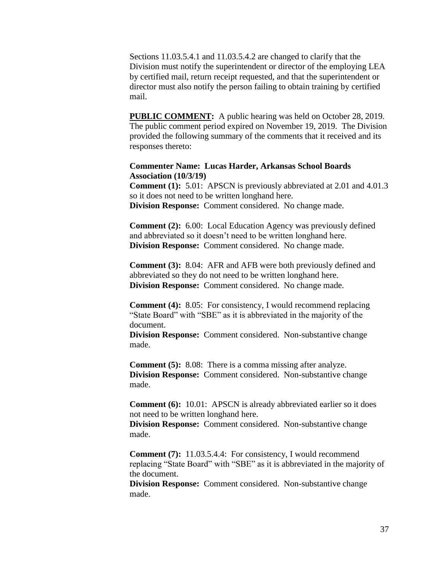Sections 11.03.5.4.1 and 11.03.5.4.2 are changed to clarify that the Division must notify the superintendent or director of the employing LEA by certified mail, return receipt requested, and that the superintendent or director must also notify the person failing to obtain training by certified mail.

**PUBLIC COMMENT:** A public hearing was held on October 28, 2019. The public comment period expired on November 19, 2019. The Division provided the following summary of the comments that it received and its responses thereto:

#### **Commenter Name: Lucas Harder, Arkansas School Boards Association (10/3/19)**

**Comment (1):** 5.01: APSCN is previously abbreviated at 2.01 and 4.01.3 so it does not need to be written longhand here. **Division Response:** Comment considered. No change made.

**Comment (2):** 6.00: Local Education Agency was previously defined and abbreviated so it doesn't need to be written longhand here. **Division Response:** Comment considered. No change made.

**Comment (3):** 8.04: AFR and AFB were both previously defined and abbreviated so they do not need to be written longhand here. **Division Response:** Comment considered. No change made.

**Comment (4):** 8.05: For consistency, I would recommend replacing "State Board" with "SBE" as it is abbreviated in the majority of the document.

**Division Response:** Comment considered. Non-substantive change made.

**Comment** (5): 8.08: There is a comma missing after analyze. **Division Response:** Comment considered. Non-substantive change made.

**Comment** (6): 10.01: APSCN is already abbreviated earlier so it does not need to be written longhand here.

**Division Response:** Comment considered. Non-substantive change made.

**Comment** (7): 11.03.5.4.4: For consistency, I would recommend replacing "State Board" with "SBE" as it is abbreviated in the majority of the document.

**Division Response:** Comment considered. Non-substantive change made.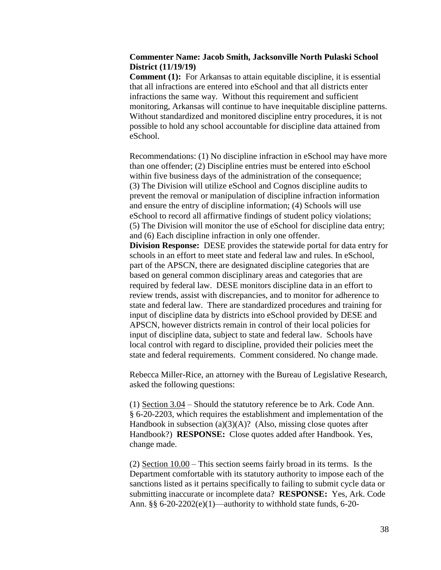### **Commenter Name: Jacob Smith, Jacksonville North Pulaski School District (11/19/19)**

**Comment (1):** For Arkansas to attain equitable discipline, it is essential that all infractions are entered into eSchool and that all districts enter infractions the same way. Without this requirement and sufficient monitoring, Arkansas will continue to have inequitable discipline patterns. Without standardized and monitored discipline entry procedures, it is not possible to hold any school accountable for discipline data attained from eSchool.

Recommendations: (1) No discipline infraction in eSchool may have more than one offender; (2) Discipline entries must be entered into eSchool within five business days of the administration of the consequence; (3) The Division will utilize eSchool and Cognos discipline audits to prevent the removal or manipulation of discipline infraction information and ensure the entry of discipline information; (4) Schools will use eSchool to record all affirmative findings of student policy violations; (5) The Division will monitor the use of eSchool for discipline data entry; and (6) Each discipline infraction in only one offender. **Division Response:** DESE provides the statewide portal for data entry for schools in an effort to meet state and federal law and rules. In eSchool, part of the APSCN, there are designated discipline categories that are based on general common disciplinary areas and categories that are required by federal law. DESE monitors discipline data in an effort to review trends, assist with discrepancies, and to monitor for adherence to state and federal law. There are standardized procedures and training for input of discipline data by districts into eSchool provided by DESE and

APSCN, however districts remain in control of their local policies for input of discipline data, subject to state and federal law. Schools have local control with regard to discipline, provided their policies meet the state and federal requirements. Comment considered. No change made.

Rebecca Miller-Rice, an attorney with the Bureau of Legislative Research, asked the following questions:

(1) Section 3.04 – Should the statutory reference be to Ark. Code Ann. § 6-20-2203, which requires the establishment and implementation of the Handbook in subsection  $(a)(3)(A)$ ? (Also, missing close quotes after Handbook?) **RESPONSE:** Close quotes added after Handbook. Yes, change made.

(2) Section 10.00 – This section seems fairly broad in its terms. Is the Department comfortable with its statutory authority to impose each of the sanctions listed as it pertains specifically to failing to submit cycle data or submitting inaccurate or incomplete data? **RESPONSE:** Yes, Ark. Code Ann. §§ 6-20-2202(e)(1)—authority to withhold state funds, 6-20-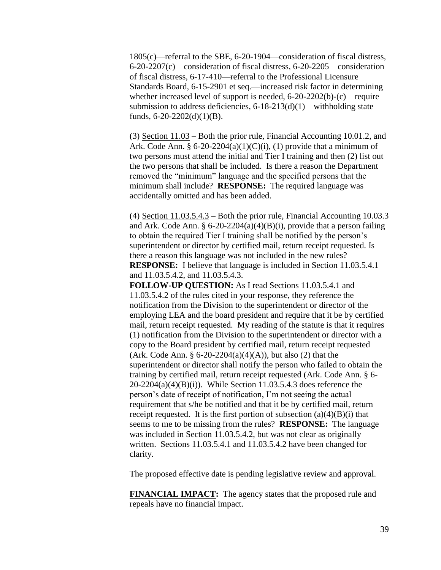1805(c)—referral to the SBE, 6-20-1904—consideration of fiscal distress, 6-20-2207(c)—consideration of fiscal distress, 6-20-2205—consideration of fiscal distress, 6-17-410—referral to the Professional Licensure Standards Board, 6-15-2901 et seq.—increased risk factor in determining whether increased level of support is needed, 6-20-2202(b)-(c)—require submission to address deficiencies, 6-18-213(d)(1)—withholding state funds,  $6-20-2202(d)(1)(B)$ .

(3) Section 11.03 – Both the prior rule, Financial Accounting 10.01.2, and Ark. Code Ann. §  $6-20-2204(a)(1)(C)(i)$ , (1) provide that a minimum of two persons must attend the initial and Tier I training and then (2) list out the two persons that shall be included. Is there a reason the Department removed the "minimum" language and the specified persons that the minimum shall include? **RESPONSE:** The required language was accidentally omitted and has been added.

(4) Section 11.03.5.4.3 – Both the prior rule, Financial Accounting 10.03.3 and Ark. Code Ann. §  $6-20-2204(a)(4)(B)(i)$ , provide that a person failing to obtain the required Tier I training shall be notified by the person's superintendent or director by certified mail, return receipt requested. Is there a reason this language was not included in the new rules? **RESPONSE:** I believe that language is included in Section 11.03.5.4.1 and 11.03.5.4.2, and 11.03.5.4.3.

**FOLLOW-UP QUESTION:** As I read Sections 11.03.5.4.1 and 11.03.5.4.2 of the rules cited in your response, they reference the notification from the Division to the superintendent or director of the employing LEA and the board president and require that it be by certified mail, return receipt requested. My reading of the statute is that it requires (1) notification from the Division to the superintendent or director with a copy to the Board president by certified mail, return receipt requested (Ark. Code Ann. §  $6-20-2204(a)(4)(A)$ ), but also (2) that the superintendent or director shall notify the person who failed to obtain the training by certified mail, return receipt requested (Ark. Code Ann. § 6-  $20-2204(a)(4)(B)(i)$ . While Section 11.03.5.4.3 does reference the person's date of receipt of notification, I'm not seeing the actual requirement that s/he be notified and that it be by certified mail, return receipt requested. It is the first portion of subsection  $(a)(4)(B)(i)$  that seems to me to be missing from the rules? **RESPONSE:** The language was included in Section 11.03.5.4.2, but was not clear as originally written. Sections 11.03.5.4.1 and 11.03.5.4.2 have been changed for clarity.

The proposed effective date is pending legislative review and approval.

**FINANCIAL IMPACT:** The agency states that the proposed rule and repeals have no financial impact.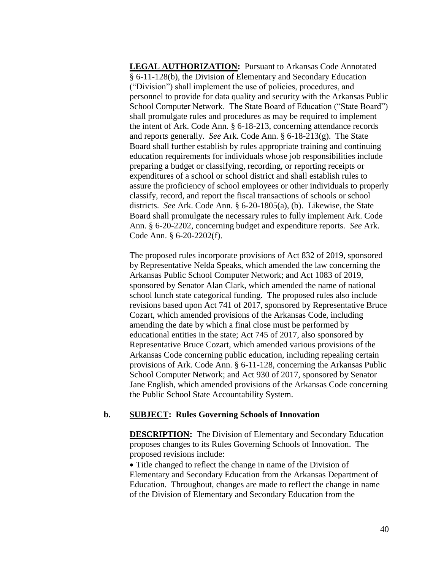**LEGAL AUTHORIZATION:** Pursuant to Arkansas Code Annotated § 6-11-128(b), the Division of Elementary and Secondary Education ("Division") shall implement the use of policies, procedures, and personnel to provide for data quality and security with the Arkansas Public School Computer Network. The State Board of Education ("State Board") shall promulgate rules and procedures as may be required to implement the intent of Ark. Code Ann. § 6-18-213, concerning attendance records and reports generally. *See* Ark. Code Ann. § 6-18-213(g). The State Board shall further establish by rules appropriate training and continuing education requirements for individuals whose job responsibilities include preparing a budget or classifying, recording, or reporting receipts or expenditures of a school or school district and shall establish rules to assure the proficiency of school employees or other individuals to properly classify, record, and report the fiscal transactions of schools or school districts. *See* Ark. Code Ann. § 6-20-1805(a), (b). Likewise, the State Board shall promulgate the necessary rules to fully implement Ark. Code Ann. § 6-20-2202, concerning budget and expenditure reports. *See* Ark. Code Ann. § 6-20-2202(f).

The proposed rules incorporate provisions of Act 832 of 2019, sponsored by Representative Nelda Speaks, which amended the law concerning the Arkansas Public School Computer Network; and Act 1083 of 2019, sponsored by Senator Alan Clark, which amended the name of national school lunch state categorical funding. The proposed rules also include revisions based upon Act 741 of 2017, sponsored by Representative Bruce Cozart, which amended provisions of the Arkansas Code, including amending the date by which a final close must be performed by educational entities in the state; Act 745 of 2017, also sponsored by Representative Bruce Cozart, which amended various provisions of the Arkansas Code concerning public education, including repealing certain provisions of Ark. Code Ann. § 6-11-128, concerning the Arkansas Public School Computer Network; and Act 930 of 2017, sponsored by Senator Jane English, which amended provisions of the Arkansas Code concerning the Public School State Accountability System.

### **b. SUBJECT: Rules Governing Schools of Innovation**

**DESCRIPTION:** The Division of Elementary and Secondary Education proposes changes to its Rules Governing Schools of Innovation. The proposed revisions include:

• Title changed to reflect the change in name of the Division of Elementary and Secondary Education from the Arkansas Department of Education. Throughout, changes are made to reflect the change in name of the Division of Elementary and Secondary Education from the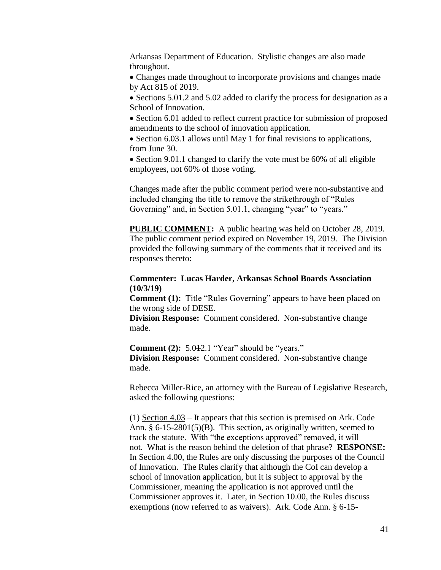Arkansas Department of Education. Stylistic changes are also made throughout.

 Changes made throughout to incorporate provisions and changes made by Act 815 of 2019.

• Sections 5.01.2 and 5.02 added to clarify the process for designation as a School of Innovation.

• Section 6.01 added to reflect current practice for submission of proposed amendments to the school of innovation application.

• Section 6.03.1 allows until May 1 for final revisions to applications, from June 30.

• Section 9.01.1 changed to clarify the vote must be 60% of all eligible employees, not 60% of those voting.

Changes made after the public comment period were non-substantive and included changing the title to remove the strikethrough of "Rules Governing" and, in Section 5.01.1, changing "year" to "years."

**PUBLIC COMMENT:** A public hearing was held on October 28, 2019. The public comment period expired on November 19, 2019. The Division provided the following summary of the comments that it received and its responses thereto:

### **Commenter: Lucas Harder, Arkansas School Boards Association (10/3/19)**

**Comment (1):** Title "Rules Governing" appears to have been placed on the wrong side of DESE.

**Division Response:** Comment considered. Non-substantive change made.

**Comment (2):** 5.042.1 "Year" should be "years." **Division Response:** Comment considered. Non-substantive change made.

Rebecca Miller-Rice, an attorney with the Bureau of Legislative Research, asked the following questions:

(1) Section 4.03 – It appears that this section is premised on Ark. Code Ann. § 6-15-2801(5)(B). This section, as originally written, seemed to track the statute. With "the exceptions approved" removed, it will not. What is the reason behind the deletion of that phrase? **RESPONSE:** In Section 4.00, the Rules are only discussing the purposes of the Council of Innovation. The Rules clarify that although the CoI can develop a school of innovation application, but it is subject to approval by the Commissioner, meaning the application is not approved until the Commissioner approves it. Later, in Section 10.00, the Rules discuss exemptions (now referred to as waivers). Ark. Code Ann. § 6-15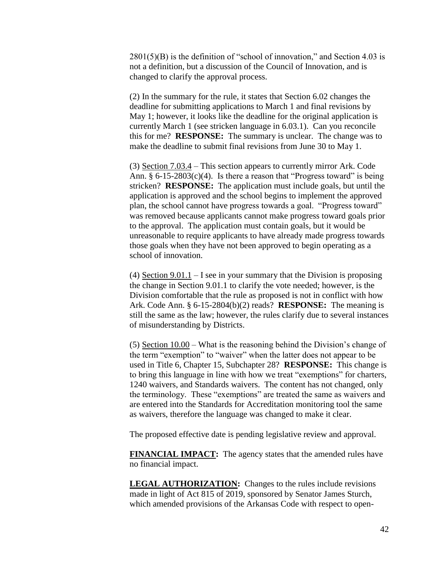$2801(5)(B)$  is the definition of "school of innovation," and Section 4.03 is not a definition, but a discussion of the Council of Innovation, and is changed to clarify the approval process.

(2) In the summary for the rule, it states that Section 6.02 changes the deadline for submitting applications to March 1 and final revisions by May 1; however, it looks like the deadline for the original application is currently March 1 (see stricken language in 6.03.1). Can you reconcile this for me? **RESPONSE:** The summary is unclear. The change was to make the deadline to submit final revisions from June 30 to May 1.

(3) Section 7.03.4 – This section appears to currently mirror Ark. Code Ann.  $\S 6$ -15-2803(c)(4). Is there a reason that "Progress toward" is being stricken? **RESPONSE:** The application must include goals, but until the application is approved and the school begins to implement the approved plan, the school cannot have progress towards a goal. "Progress toward" was removed because applicants cannot make progress toward goals prior to the approval. The application must contain goals, but it would be unreasonable to require applicants to have already made progress towards those goals when they have not been approved to begin operating as a school of innovation.

(4) Section 9.01.1 – I see in your summary that the Division is proposing the change in Section 9.01.1 to clarify the vote needed; however, is the Division comfortable that the rule as proposed is not in conflict with how Ark. Code Ann. § 6-15-2804(b)(2) reads? **RESPONSE:** The meaning is still the same as the law; however, the rules clarify due to several instances of misunderstanding by Districts.

(5) Section 10.00 – What is the reasoning behind the Division's change of the term "exemption" to "waiver" when the latter does not appear to be used in Title 6, Chapter 15, Subchapter 28? **RESPONSE:** This change is to bring this language in line with how we treat "exemptions" for charters, 1240 waivers, and Standards waivers. The content has not changed, only the terminology. These "exemptions" are treated the same as waivers and are entered into the Standards for Accreditation monitoring tool the same as waivers, therefore the language was changed to make it clear.

The proposed effective date is pending legislative review and approval.

**FINANCIAL IMPACT:** The agency states that the amended rules have no financial impact.

**LEGAL AUTHORIZATION:** Changes to the rules include revisions made in light of Act 815 of 2019, sponsored by Senator James Sturch, which amended provisions of the Arkansas Code with respect to open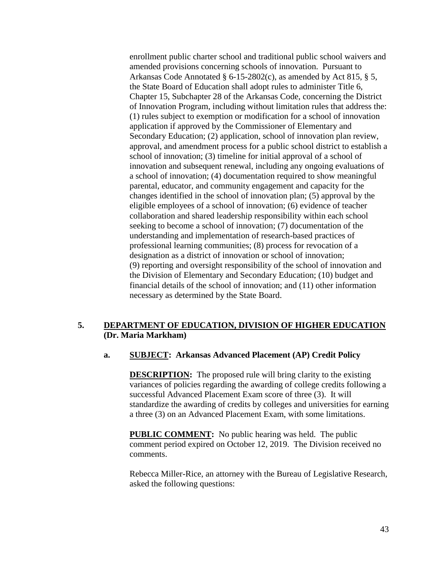enrollment public charter school and traditional public school waivers and amended provisions concerning schools of innovation. Pursuant to Arkansas Code Annotated § 6-15-2802(c), as amended by Act 815, § 5, the State Board of Education shall adopt rules to administer Title 6, Chapter 15, Subchapter 28 of the Arkansas Code, concerning the District of Innovation Program, including without limitation rules that address the: (1) rules subject to exemption or modification for a school of innovation application if approved by the Commissioner of Elementary and Secondary Education; (2) application, school of innovation plan review, approval, and amendment process for a public school district to establish a school of innovation; (3) timeline for initial approval of a school of innovation and subsequent renewal, including any ongoing evaluations of a school of innovation; (4) documentation required to show meaningful parental, educator, and community engagement and capacity for the changes identified in the school of innovation plan; (5) approval by the eligible employees of a school of innovation; (6) evidence of teacher collaboration and shared leadership responsibility within each school seeking to become a school of innovation; (7) documentation of the understanding and implementation of research-based practices of professional learning communities; (8) process for revocation of a designation as a district of innovation or school of innovation; (9) reporting and oversight responsibility of the school of innovation and the Division of Elementary and Secondary Education; (10) budget and financial details of the school of innovation; and (11) other information necessary as determined by the State Board.

### **5. DEPARTMENT OF EDUCATION, DIVISION OF HIGHER EDUCATION (Dr. Maria Markham)**

#### **a. SUBJECT: Arkansas Advanced Placement (AP) Credit Policy**

**DESCRIPTION:** The proposed rule will bring clarity to the existing variances of policies regarding the awarding of college credits following a successful Advanced Placement Exam score of three (3). It will standardize the awarding of credits by colleges and universities for earning a three (3) on an Advanced Placement Exam, with some limitations.

**PUBLIC COMMENT:** No public hearing was held. The public comment period expired on October 12, 2019. The Division received no comments.

Rebecca Miller-Rice, an attorney with the Bureau of Legislative Research, asked the following questions: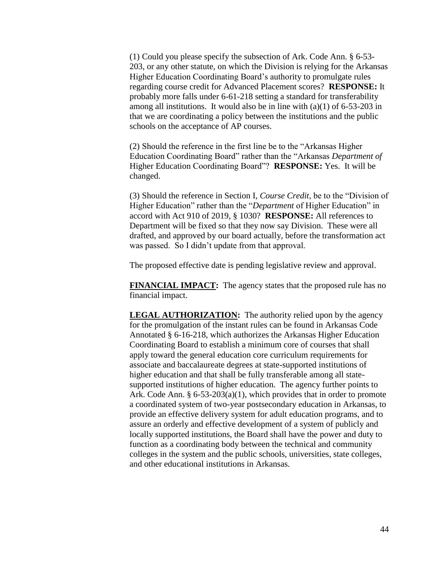(1) Could you please specify the subsection of Ark. Code Ann. § 6-53- 203, or any other statute, on which the Division is relying for the Arkansas Higher Education Coordinating Board's authority to promulgate rules regarding course credit for Advanced Placement scores? **RESPONSE:** It probably more falls under 6-61-218 setting a standard for transferability among all institutions. It would also be in line with  $(a)(1)$  of 6-53-203 in that we are coordinating a policy between the institutions and the public schools on the acceptance of AP courses.

(2) Should the reference in the first line be to the "Arkansas Higher Education Coordinating Board" rather than the "Arkansas *Department of* Higher Education Coordinating Board"? **RESPONSE:** Yes. It will be changed.

(3) Should the reference in Section I, *Course Credit*, be to the "Division of Higher Education" rather than the "*Department* of Higher Education" in accord with Act 910 of 2019, § 1030? **RESPONSE:** All references to Department will be fixed so that they now say Division. These were all drafted, and approved by our board actually, before the transformation act was passed. So I didn't update from that approval.

The proposed effective date is pending legislative review and approval.

**FINANCIAL IMPACT:** The agency states that the proposed rule has no financial impact.

**LEGAL AUTHORIZATION:** The authority relied upon by the agency for the promulgation of the instant rules can be found in Arkansas Code Annotated § 6-16-218, which authorizes the Arkansas Higher Education Coordinating Board to establish a minimum core of courses that shall apply toward the general education core curriculum requirements for associate and baccalaureate degrees at state-supported institutions of higher education and that shall be fully transferable among all statesupported institutions of higher education. The agency further points to Ark. Code Ann. § 6-53-203(a)(1), which provides that in order to promote a coordinated system of two-year postsecondary education in Arkansas, to provide an effective delivery system for adult education programs, and to assure an orderly and effective development of a system of publicly and locally supported institutions, the Board shall have the power and duty to function as a coordinating body between the technical and community colleges in the system and the public schools, universities, state colleges, and other educational institutions in Arkansas.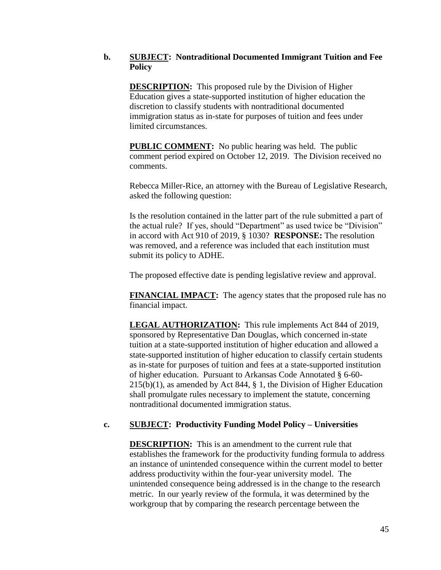## **b. SUBJECT: Nontraditional Documented Immigrant Tuition and Fee Policy**

**DESCRIPTION:** This proposed rule by the Division of Higher Education gives a state-supported institution of higher education the discretion to classify students with nontraditional documented immigration status as in-state for purposes of tuition and fees under limited circumstances.

**PUBLIC COMMENT:** No public hearing was held. The public comment period expired on October 12, 2019. The Division received no comments.

Rebecca Miller-Rice, an attorney with the Bureau of Legislative Research, asked the following question:

Is the resolution contained in the latter part of the rule submitted a part of the actual rule? If yes, should "Department" as used twice be "Division" in accord with Act 910 of 2019, § 1030? **RESPONSE:** The resolution was removed, and a reference was included that each institution must submit its policy to ADHE.

The proposed effective date is pending legislative review and approval.

**FINANCIAL IMPACT:** The agency states that the proposed rule has no financial impact.

**LEGAL AUTHORIZATION:** This rule implements Act 844 of 2019, sponsored by Representative Dan Douglas, which concerned in-state tuition at a state-supported institution of higher education and allowed a state-supported institution of higher education to classify certain students as in-state for purposes of tuition and fees at a state-supported institution of higher education. Pursuant to Arkansas Code Annotated § 6-60- 215(b)(1), as amended by Act 844, § 1, the Division of Higher Education shall promulgate rules necessary to implement the statute, concerning nontraditional documented immigration status.

# **c. SUBJECT: Productivity Funding Model Policy – Universities**

**DESCRIPTION:** This is an amendment to the current rule that establishes the framework for the productivity funding formula to address an instance of unintended consequence within the current model to better address productivity within the four-year university model. The unintended consequence being addressed is in the change to the research metric. In our yearly review of the formula, it was determined by the workgroup that by comparing the research percentage between the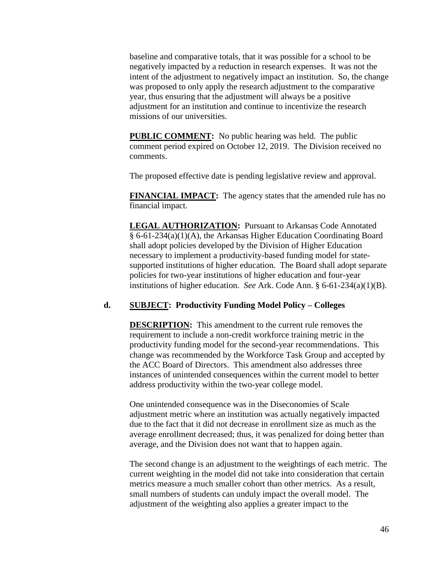baseline and comparative totals, that it was possible for a school to be negatively impacted by a reduction in research expenses. It was not the intent of the adjustment to negatively impact an institution. So, the change was proposed to only apply the research adjustment to the comparative year, thus ensuring that the adjustment will always be a positive adjustment for an institution and continue to incentivize the research missions of our universities.

**PUBLIC COMMENT:** No public hearing was held. The public comment period expired on October 12, 2019. The Division received no comments.

The proposed effective date is pending legislative review and approval.

**FINANCIAL IMPACT:** The agency states that the amended rule has no financial impact.

**LEGAL AUTHORIZATION:** Pursuant to Arkansas Code Annotated § 6-61-234(a)(1)(A), the Arkansas Higher Education Coordinating Board shall adopt policies developed by the Division of Higher Education necessary to implement a productivity-based funding model for statesupported institutions of higher education. The Board shall adopt separate policies for two-year institutions of higher education and four-year institutions of higher education. *See* Ark. Code Ann. § 6-61-234(a)(1)(B).

### **d. SUBJECT: Productivity Funding Model Policy – Colleges**

**DESCRIPTION:** This amendment to the current rule removes the requirement to include a non-credit workforce training metric in the productivity funding model for the second-year recommendations. This change was recommended by the Workforce Task Group and accepted by the ACC Board of Directors. This amendment also addresses three instances of unintended consequences within the current model to better address productivity within the two-year college model.

One unintended consequence was in the Diseconomies of Scale adjustment metric where an institution was actually negatively impacted due to the fact that it did not decrease in enrollment size as much as the average enrollment decreased; thus, it was penalized for doing better than average, and the Division does not want that to happen again.

The second change is an adjustment to the weightings of each metric. The current weighting in the model did not take into consideration that certain metrics measure a much smaller cohort than other metrics. As a result, small numbers of students can unduly impact the overall model. The adjustment of the weighting also applies a greater impact to the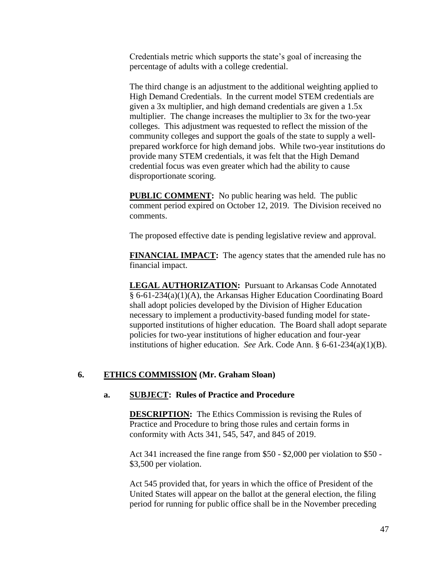Credentials metric which supports the state's goal of increasing the percentage of adults with a college credential.

The third change is an adjustment to the additional weighting applied to High Demand Credentials. In the current model STEM credentials are given a 3x multiplier, and high demand credentials are given a 1.5x multiplier. The change increases the multiplier to 3x for the two-year colleges. This adjustment was requested to reflect the mission of the community colleges and support the goals of the state to supply a wellprepared workforce for high demand jobs. While two-year institutions do provide many STEM credentials, it was felt that the High Demand credential focus was even greater which had the ability to cause disproportionate scoring.

**PUBLIC COMMENT:** No public hearing was held. The public comment period expired on October 12, 2019. The Division received no comments.

The proposed effective date is pending legislative review and approval.

**FINANCIAL IMPACT:** The agency states that the amended rule has no financial impact.

**LEGAL AUTHORIZATION:** Pursuant to Arkansas Code Annotated § 6-61-234(a)(1)(A), the Arkansas Higher Education Coordinating Board shall adopt policies developed by the Division of Higher Education necessary to implement a productivity-based funding model for statesupported institutions of higher education. The Board shall adopt separate policies for two-year institutions of higher education and four-year institutions of higher education. *See* Ark. Code Ann. § 6-61-234(a)(1)(B).

### **6. ETHICS COMMISSION (Mr. Graham Sloan)**

### **a. SUBJECT: Rules of Practice and Procedure**

**DESCRIPTION:** The Ethics Commission is revising the Rules of Practice and Procedure to bring those rules and certain forms in conformity with Acts 341, 545, 547, and 845 of 2019.

Act 341 increased the fine range from \$50 - \$2,000 per violation to \$50 - \$3,500 per violation.

Act 545 provided that, for years in which the office of President of the United States will appear on the ballot at the general election, the filing period for running for public office shall be in the November preceding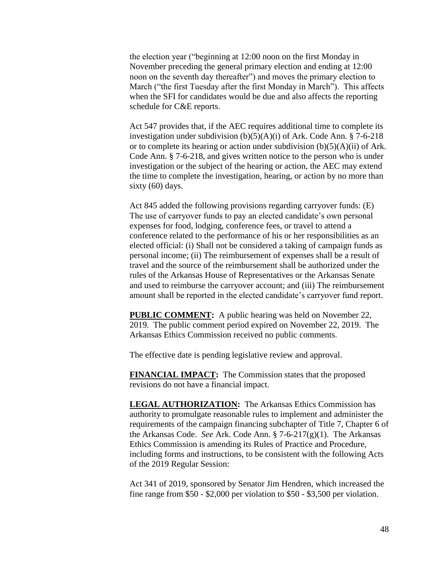the election year ("beginning at 12:00 noon on the first Monday in November preceding the general primary election and ending at 12:00 noon on the seventh day thereafter") and moves the primary election to March ("the first Tuesday after the first Monday in March"). This affects when the SFI for candidates would be due and also affects the reporting schedule for C&E reports.

Act 547 provides that, if the AEC requires additional time to complete its investigation under subdivision (b)(5)(A)(i) of Ark. Code Ann. § 7-6-218 or to complete its hearing or action under subdivision  $(b)(5)(A)(ii)$  of Ark. Code Ann. § 7-6-218, and gives written notice to the person who is under investigation or the subject of the hearing or action, the AEC may extend the time to complete the investigation, hearing, or action by no more than sixty (60) days.

Act 845 added the following provisions regarding carryover funds: (E) The use of carryover funds to pay an elected candidate's own personal expenses for food, lodging, conference fees, or travel to attend a conference related to the performance of his or her responsibilities as an elected official: (i) Shall not be considered a taking of campaign funds as personal income; (ii) The reimbursement of expenses shall be a result of travel and the source of the reimbursement shall be authorized under the rules of the Arkansas House of Representatives or the Arkansas Senate and used to reimburse the carryover account; and (iii) The reimbursement amount shall be reported in the elected candidate's carryover fund report.

**PUBLIC COMMENT:** A public hearing was held on November 22, 2019. The public comment period expired on November 22, 2019. The Arkansas Ethics Commission received no public comments.

The effective date is pending legislative review and approval.

**FINANCIAL IMPACT:** The Commission states that the proposed revisions do not have a financial impact.

**LEGAL AUTHORIZATION:** The Arkansas Ethics Commission has authority to promulgate reasonable rules to implement and administer the requirements of the campaign financing subchapter of Title 7, Chapter 6 of the Arkansas Code. *See* Ark. Code Ann. § 7-6-217(g)(1). The Arkansas Ethics Commission is amending its Rules of Practice and Procedure, including forms and instructions, to be consistent with the following Acts of the 2019 Regular Session:

Act 341 of 2019, sponsored by Senator Jim Hendren, which increased the fine range from \$50 - \$2,000 per violation to \$50 - \$3,500 per violation.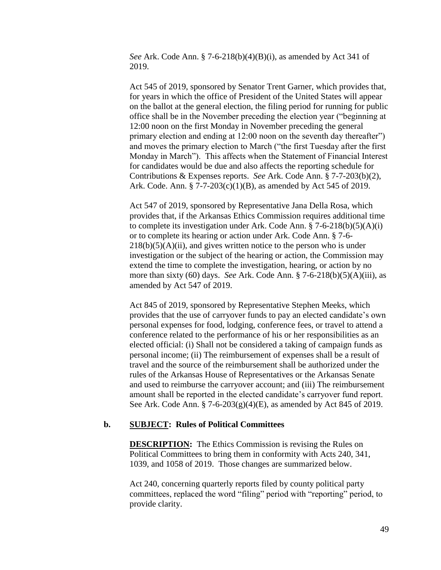*See* Ark. Code Ann. § 7-6-218(b)(4)(B)(i), as amended by Act 341 of 2019.

Act 545 of 2019, sponsored by Senator Trent Garner, which provides that, for years in which the office of President of the United States will appear on the ballot at the general election, the filing period for running for public office shall be in the November preceding the election year ("beginning at 12:00 noon on the first Monday in November preceding the general primary election and ending at 12:00 noon on the seventh day thereafter") and moves the primary election to March ("the first Tuesday after the first Monday in March"). This affects when the Statement of Financial Interest for candidates would be due and also affects the reporting schedule for Contributions & Expenses reports. *See* Ark. Code Ann. § 7-7-203(b)(2), Ark. Code. Ann. § 7-7-203(c)(1)(B), as amended by Act 545 of 2019.

Act 547 of 2019, sponsored by Representative Jana Della Rosa, which provides that, if the Arkansas Ethics Commission requires additional time to complete its investigation under Ark. Code Ann.  $\S$  7-6-218(b)(5)(A)(i) or to complete its hearing or action under Ark. Code Ann. § 7-6-  $218(b)(5)(A)(ii)$ , and gives written notice to the person who is under investigation or the subject of the hearing or action, the Commission may extend the time to complete the investigation, hearing, or action by no more than sixty (60) days. *See* Ark. Code Ann. § 7-6-218(b)(5)(A)(iii), as amended by Act 547 of 2019.

Act 845 of 2019, sponsored by Representative Stephen Meeks, which provides that the use of carryover funds to pay an elected candidate's own personal expenses for food, lodging, conference fees, or travel to attend a conference related to the performance of his or her responsibilities as an elected official: (i) Shall not be considered a taking of campaign funds as personal income; (ii) The reimbursement of expenses shall be a result of travel and the source of the reimbursement shall be authorized under the rules of the Arkansas House of Representatives or the Arkansas Senate and used to reimburse the carryover account; and (iii) The reimbursement amount shall be reported in the elected candidate's carryover fund report. See Ark. Code Ann. § 7-6-203(g)(4)(E), as amended by Act 845 of 2019.

#### **b. SUBJECT: Rules of Political Committees**

**DESCRIPTION:** The Ethics Commission is revising the Rules on Political Committees to bring them in conformity with Acts 240, 341, 1039, and 1058 of 2019. Those changes are summarized below.

Act 240, concerning quarterly reports filed by county political party committees, replaced the word "filing" period with "reporting" period, to provide clarity.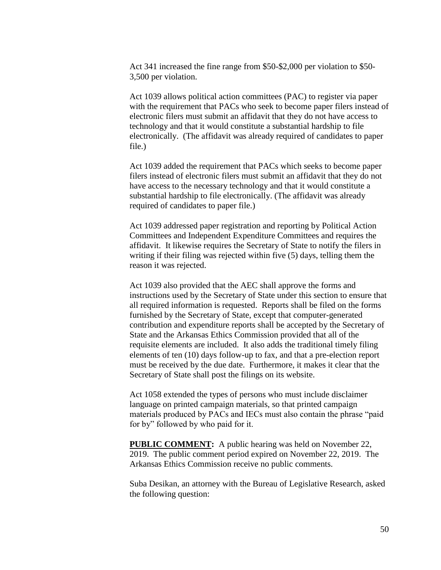Act 341 increased the fine range from \$50-\$2,000 per violation to \$50- 3,500 per violation.

Act 1039 allows political action committees (PAC) to register via paper with the requirement that PACs who seek to become paper filers instead of electronic filers must submit an affidavit that they do not have access to technology and that it would constitute a substantial hardship to file electronically. (The affidavit was already required of candidates to paper file.)

Act 1039 added the requirement that PACs which seeks to become paper filers instead of electronic filers must submit an affidavit that they do not have access to the necessary technology and that it would constitute a substantial hardship to file electronically. (The affidavit was already required of candidates to paper file.)

Act 1039 addressed paper registration and reporting by Political Action Committees and Independent Expenditure Committees and requires the affidavit. It likewise requires the Secretary of State to notify the filers in writing if their filing was rejected within five (5) days, telling them the reason it was rejected.

Act 1039 also provided that the AEC shall approve the forms and instructions used by the Secretary of State under this section to ensure that all required information is requested. Reports shall be filed on the forms furnished by the Secretary of State, except that computer-generated contribution and expenditure reports shall be accepted by the Secretary of State and the Arkansas Ethics Commission provided that all of the requisite elements are included. It also adds the traditional timely filing elements of ten (10) days follow-up to fax, and that a pre-election report must be received by the due date. Furthermore, it makes it clear that the Secretary of State shall post the filings on its website.

Act 1058 extended the types of persons who must include disclaimer language on printed campaign materials, so that printed campaign materials produced by PACs and IECs must also contain the phrase "paid for by" followed by who paid for it.

**PUBLIC COMMENT:** A public hearing was held on November 22, 2019. The public comment period expired on November 22, 2019. The Arkansas Ethics Commission receive no public comments.

Suba Desikan, an attorney with the Bureau of Legislative Research, asked the following question: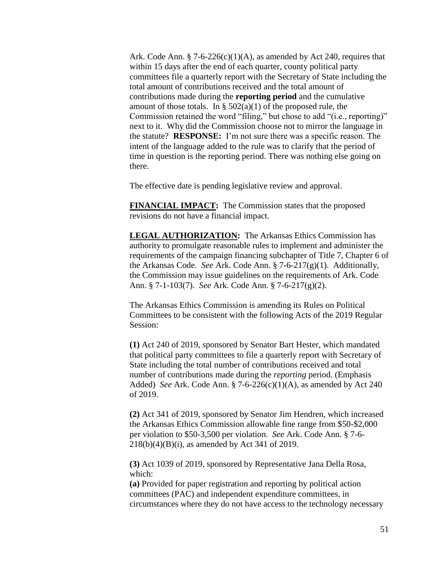Ark. Code Ann. § 7-6-226(c)(1)(A), as amended by Act 240, requires that within 15 days after the end of each quarter, county political party committees file a quarterly report with the Secretary of State including the total amount of contributions received and the total amount of contributions made during the **reporting period** and the cumulative amount of those totals. In §  $502(a)(1)$  of the proposed rule, the Commission retained the word "filing," but chose to add "(i.e., reporting)" next to it. Why did the Commission choose not to mirror the language in the statute? **RESPONSE:** I'm not sure there was a specific reason. The intent of the language added to the rule was to clarify that the period of time in question is the reporting period. There was nothing else going on there.

The effective date is pending legislative review and approval.

**FINANCIAL IMPACT:** The Commission states that the proposed revisions do not have a financial impact.

**LEGAL AUTHORIZATION:** The Arkansas Ethics Commission has authority to promulgate reasonable rules to implement and administer the requirements of the campaign financing subchapter of Title 7, Chapter 6 of the Arkansas Code. *See* Ark. Code Ann. § 7-6-217(g)(1). Additionally, the Commission may issue guidelines on the requirements of Ark. Code Ann. § 7-1-103(7). *See* Ark. Code Ann. § 7-6-217(g)(2).

The Arkansas Ethics Commission is amending its Rules on Political Committees to be consistent with the following Acts of the 2019 Regular Session:

**(1)** Act 240 of 2019, sponsored by Senator Bart Hester, which mandated that political party committees to file a quarterly report with Secretary of State including the total number of contributions received and total number of contributions made during the *reporting* period. (Emphasis Added) *See* Ark. Code Ann. § 7-6-226(c)(1)(A), as amended by Act 240 of 2019.

**(2)** Act 341 of 2019, sponsored by Senator Jim Hendren, which increased the Arkansas Ethics Commission allowable fine range from \$50-\$2,000 per violation to \$50-3,500 per violation. *See* Ark. Code Ann. § 7-6- 218(b)(4)(B)(i), as amended by Act 341 of 2019.

**(3)** Act 1039 of 2019, sponsored by Representative Jana Della Rosa, which:

**(a)** Provided for paper registration and reporting by political action committees (PAC) and independent expenditure committees, in circumstances where they do not have access to the technology necessary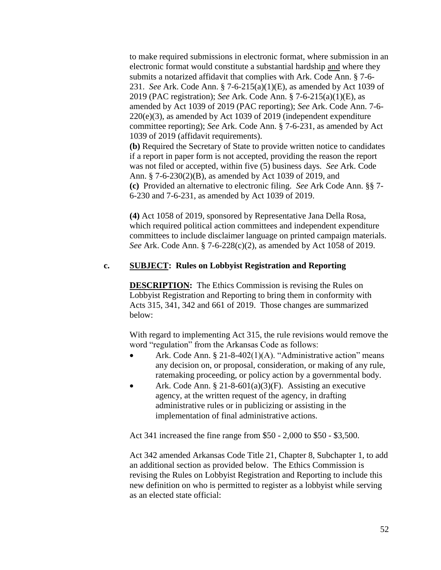to make required submissions in electronic format, where submission in an electronic format would constitute a substantial hardship and where they submits a notarized affidavit that complies with Ark. Code Ann. § 7-6- 231. *See* Ark. Code Ann. § 7-6-215(a)(1)(E), as amended by Act 1039 of 2019 (PAC registration); *See* Ark. Code Ann. § 7-6-215(a)(1)(E), as amended by Act 1039 of 2019 (PAC reporting); *See* Ark. Code Ann. 7-6-  $220(e)(3)$ , as amended by Act 1039 of 2019 (independent expenditure committee reporting); *See* Ark. Code Ann. § 7-6-231, as amended by Act 1039 of 2019 (affidavit requirements). **(b)** Required the Secretary of State to provide written notice to candidates if a report in paper form is not accepted, providing the reason the report was not filed or accepted, within five (5) business days. *See* Ark. Code Ann. § 7-6-230(2)(B), as amended by Act 1039 of 2019, and

**(c)** Provided an alternative to electronic filing. *See* Ark Code Ann. §§ 7- 6-230 and 7-6-231, as amended by Act 1039 of 2019.

**(4)** Act 1058 of 2019, sponsored by Representative Jana Della Rosa, which required political action committees and independent expenditure committees to include disclaimer language on printed campaign materials. *See* Ark. Code Ann. § 7-6-228(c)(2), as amended by Act 1058 of 2019.

## **c. SUBJECT: Rules on Lobbyist Registration and Reporting**

**DESCRIPTION:** The Ethics Commission is revising the Rules on Lobbyist Registration and Reporting to bring them in conformity with Acts 315, 341, 342 and 661 of 2019. Those changes are summarized below:

With regard to implementing Act 315, the rule revisions would remove the word "regulation" from the Arkansas Code as follows:

- Ark. Code Ann. § 21-8-402(1)(A). "Administrative action" means any decision on, or proposal, consideration, or making of any rule, ratemaking proceeding, or policy action by a governmental body.
- Ark. Code Ann. § 21-8-601(a)(3)(F). Assisting an executive agency, at the written request of the agency, in drafting administrative rules or in publicizing or assisting in the implementation of final administrative actions.

Act 341 increased the fine range from \$50 - 2,000 to \$50 - \$3,500.

Act 342 amended Arkansas Code Title 21, Chapter 8, Subchapter 1, to add an additional section as provided below. The Ethics Commission is revising the Rules on Lobbyist Registration and Reporting to include this new definition on who is permitted to register as a lobbyist while serving as an elected state official: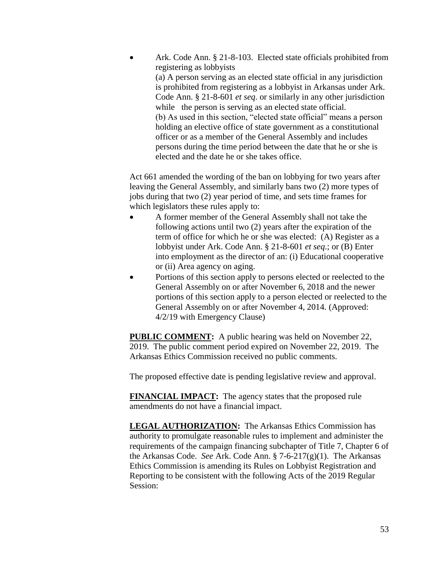Ark. Code Ann. § 21-8-103. Elected state officials prohibited from registering as lobbyists (a) A person serving as an elected state official in any jurisdiction is prohibited from registering as a lobbyist in Arkansas under Ark. Code Ann. § 21-8-601 *et seq*. or similarly in any other jurisdiction while the person is serving as an elected state official. (b) As used in this section, "elected state official" means a person holding an elective office of state government as a constitutional officer or as a member of the General Assembly and includes persons during the time period between the date that he or she is elected and the date he or she takes office.

Act 661 amended the wording of the ban on lobbying for two years after leaving the General Assembly, and similarly bans two (2) more types of jobs during that two (2) year period of time, and sets time frames for which legislators these rules apply to:

- A former member of the General Assembly shall not take the following actions until two (2) years after the expiration of the term of office for which he or she was elected: (A) Register as a lobbyist under Ark. Code Ann. § 21-8-601 *et seq*.; or (B) Enter into employment as the director of an: (i) Educational cooperative or (ii) Area agency on aging.
- Portions of this section apply to persons elected or reelected to the General Assembly on or after November 6, 2018 and the newer portions of this section apply to a person elected or reelected to the General Assembly on or after November 4, 2014. (Approved: 4/2/19 with Emergency Clause)

**PUBLIC COMMENT:** A public hearing was held on November 22, 2019. The public comment period expired on November 22, 2019. The Arkansas Ethics Commission received no public comments.

The proposed effective date is pending legislative review and approval.

**FINANCIAL IMPACT:** The agency states that the proposed rule amendments do not have a financial impact.

**LEGAL AUTHORIZATION:** The Arkansas Ethics Commission has authority to promulgate reasonable rules to implement and administer the requirements of the campaign financing subchapter of Title 7, Chapter 6 of the Arkansas Code. *See* Ark. Code Ann. § 7-6-217(g)(1). The Arkansas Ethics Commission is amending its Rules on Lobbyist Registration and Reporting to be consistent with the following Acts of the 2019 Regular Session: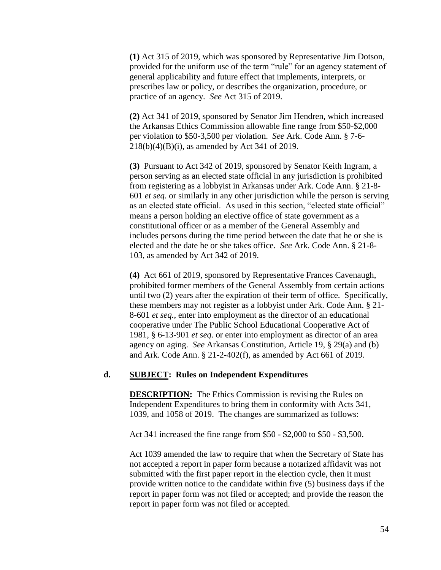**(1)** Act 315 of 2019, which was sponsored by Representative Jim Dotson, provided for the uniform use of the term "rule" for an agency statement of general applicability and future effect that implements, interprets, or prescribes law or policy, or describes the organization, procedure, or practice of an agency. *See* Act 315 of 2019.

**(2)** Act 341 of 2019, sponsored by Senator Jim Hendren, which increased the Arkansas Ethics Commission allowable fine range from \$50-\$2,000 per violation to \$50-3,500 per violation. *See* Ark. Code Ann. § 7-6- 218(b)(4)(B)(i), as amended by Act 341 of 2019.

**(3)** Pursuant to Act 342 of 2019, sponsored by Senator Keith Ingram, a person serving as an elected state official in any jurisdiction is prohibited from registering as a lobbyist in Arkansas under Ark. Code Ann. § 21-8- 601 *et seq.* or similarly in any other jurisdiction while the person is serving as an elected state official. As used in this section, "elected state official" means a person holding an elective office of state government as a constitutional officer or as a member of the General Assembly and includes persons during the time period between the date that he or she is elected and the date he or she takes office. *See* Ark. Code Ann. § 21-8- 103, as amended by Act 342 of 2019.

**(4)** Act 661 of 2019, sponsored by Representative Frances Cavenaugh, prohibited former members of the General Assembly from certain actions until two (2) years after the expiration of their term of office. Specifically, these members may not register as a lobbyist under Ark. Code Ann. § 21- 8-601 *et seq.*, enter into employment as the director of an educational cooperative under The Public School Educational Cooperative Act of 1981, § 6-13-901 *et seq*. or enter into employment as director of an area agency on aging. *See* Arkansas Constitution, Article 19, § 29(a) and (b) and Ark. Code Ann. § 21-2-402(f), as amended by Act 661 of 2019.

#### **d. SUBJECT: Rules on Independent Expenditures**

**DESCRIPTION:** The Ethics Commission is revising the Rules on Independent Expenditures to bring them in conformity with Acts 341, 1039, and 1058 of 2019. The changes are summarized as follows:

Act 341 increased the fine range from \$50 - \$2,000 to \$50 - \$3,500.

Act 1039 amended the law to require that when the Secretary of State has not accepted a report in paper form because a notarized affidavit was not submitted with the first paper report in the election cycle, then it must provide written notice to the candidate within five (5) business days if the report in paper form was not filed or accepted; and provide the reason the report in paper form was not filed or accepted.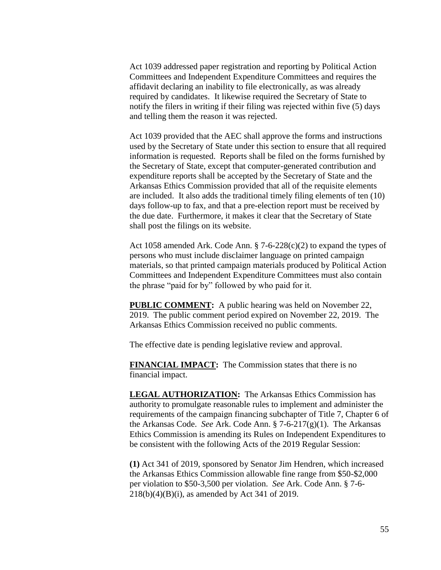Act 1039 addressed paper registration and reporting by Political Action Committees and Independent Expenditure Committees and requires the affidavit declaring an inability to file electronically, as was already required by candidates. It likewise required the Secretary of State to notify the filers in writing if their filing was rejected within five (5) days and telling them the reason it was rejected.

Act 1039 provided that the AEC shall approve the forms and instructions used by the Secretary of State under this section to ensure that all required information is requested. Reports shall be filed on the forms furnished by the Secretary of State, except that computer-generated contribution and expenditure reports shall be accepted by the Secretary of State and the Arkansas Ethics Commission provided that all of the requisite elements are included. It also adds the traditional timely filing elements of ten (10) days follow-up to fax, and that a pre-election report must be received by the due date. Furthermore, it makes it clear that the Secretary of State shall post the filings on its website.

Act 1058 amended Ark. Code Ann. § 7-6-228(c)(2) to expand the types of persons who must include disclaimer language on printed campaign materials, so that printed campaign materials produced by Political Action Committees and Independent Expenditure Committees must also contain the phrase "paid for by" followed by who paid for it.

**PUBLIC COMMENT:** A public hearing was held on November 22, 2019. The public comment period expired on November 22, 2019. The Arkansas Ethics Commission received no public comments.

The effective date is pending legislative review and approval.

**FINANCIAL IMPACT:** The Commission states that there is no financial impact.

**LEGAL AUTHORIZATION:** The Arkansas Ethics Commission has authority to promulgate reasonable rules to implement and administer the requirements of the campaign financing subchapter of Title 7, Chapter 6 of the Arkansas Code. *See* Ark. Code Ann. § 7-6-217(g)(1). The Arkansas Ethics Commission is amending its Rules on Independent Expenditures to be consistent with the following Acts of the 2019 Regular Session:

**(1)** Act 341 of 2019, sponsored by Senator Jim Hendren, which increased the Arkansas Ethics Commission allowable fine range from \$50-\$2,000 per violation to \$50-3,500 per violation. *See* Ark. Code Ann. § 7-6- 218(b)(4)(B)(i), as amended by Act 341 of 2019.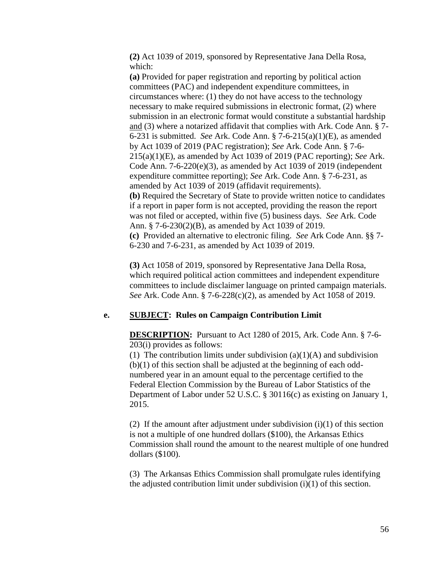**(2)** Act 1039 of 2019, sponsored by Representative Jana Della Rosa, which:

**(a)** Provided for paper registration and reporting by political action committees (PAC) and independent expenditure committees, in circumstances where: (1) they do not have access to the technology necessary to make required submissions in electronic format, (2) where submission in an electronic format would constitute a substantial hardship and (3) where a notarized affidavit that complies with Ark. Code Ann. § 7- 6-231 is submitted. *See* Ark. Code Ann. § 7-6-215(a)(1)(E), as amended by Act 1039 of 2019 (PAC registration); *See* Ark. Code Ann. § 7-6- 215(a)(1)(E), as amended by Act 1039 of 2019 (PAC reporting); *See* Ark. Code Ann. 7-6-220(e)(3), as amended by Act 1039 of 2019 (independent expenditure committee reporting); *See* Ark. Code Ann. § 7-6-231, as amended by Act 1039 of 2019 (affidavit requirements). **(b)** Required the Secretary of State to provide written notice to candidates if a report in paper form is not accepted, providing the reason the report was not filed or accepted, within five (5) business days. *See* Ark. Code Ann. § 7-6-230(2)(B), as amended by Act 1039 of 2019. **(c)** Provided an alternative to electronic filing. *See* Ark Code Ann. §§ 7-

6-230 and 7-6-231, as amended by Act 1039 of 2019.

**(3)** Act 1058 of 2019, sponsored by Representative Jana Della Rosa, which required political action committees and independent expenditure committees to include disclaimer language on printed campaign materials. *See* Ark. Code Ann. § 7-6-228(c)(2), as amended by Act 1058 of 2019.

### **e. SUBJECT: Rules on Campaign Contribution Limit**

**DESCRIPTION:** Pursuant to Act 1280 of 2015, Ark. Code Ann. § 7-6- 203(i) provides as follows:

(1) The contribution limits under subdivision  $(a)(1)(A)$  and subdivision (b)(1) of this section shall be adjusted at the beginning of each oddnumbered year in an amount equal to the percentage certified to the Federal Election Commission by the Bureau of Labor Statistics of the Department of Labor under 52 U.S.C. § 30116(c) as existing on January 1, 2015.

(2) If the amount after adjustment under subdivision  $(i)(1)$  of this section is not a multiple of one hundred dollars (\$100), the Arkansas Ethics Commission shall round the amount to the nearest multiple of one hundred dollars (\$100).

(3) The Arkansas Ethics Commission shall promulgate rules identifying the adjusted contribution limit under subdivision (i)(1) of this section.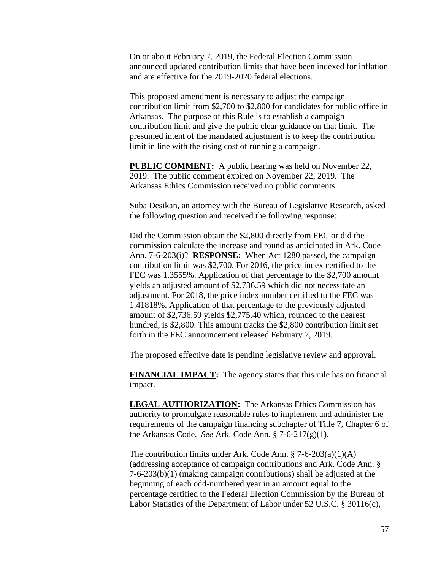On or about February 7, 2019, the Federal Election Commission announced updated contribution limits that have been indexed for inflation and are effective for the 2019-2020 federal elections.

This proposed amendment is necessary to adjust the campaign contribution limit from \$2,700 to \$2,800 for candidates for public office in Arkansas. The purpose of this Rule is to establish a campaign contribution limit and give the public clear guidance on that limit. The presumed intent of the mandated adjustment is to keep the contribution limit in line with the rising cost of running a campaign.

**PUBLIC COMMENT:** A public hearing was held on November 22, 2019. The public comment expired on November 22, 2019. The Arkansas Ethics Commission received no public comments.

Suba Desikan, an attorney with the Bureau of Legislative Research, asked the following question and received the following response:

Did the Commission obtain the \$2,800 directly from FEC or did the commission calculate the increase and round as anticipated in Ark. Code Ann. 7-6-203(i)? **RESPONSE:** When Act 1280 passed, the campaign contribution limit was \$2,700. For 2016, the price index certified to the FEC was 1.3555%. Application of that percentage to the \$2,700 amount yields an adjusted amount of \$2,736.59 which did not necessitate an adjustment. For 2018, the price index number certified to the FEC was 1.41818%. Application of that percentage to the previously adjusted amount of \$2,736.59 yields \$2,775.40 which, rounded to the nearest hundred, is \$2,800. This amount tracks the \$2,800 contribution limit set forth in the FEC announcement released February 7, 2019.

The proposed effective date is pending legislative review and approval.

**FINANCIAL IMPACT:** The agency states that this rule has no financial impact.

**LEGAL AUTHORIZATION:** The Arkansas Ethics Commission has authority to promulgate reasonable rules to implement and administer the requirements of the campaign financing subchapter of Title 7, Chapter 6 of the Arkansas Code. *See* Ark. Code Ann. § 7-6-217(g)(1).

The contribution limits under Ark. Code Ann. § 7-6-203(a)(1)(A) (addressing acceptance of campaign contributions and Ark. Code Ann. § 7-6-203(b)(1) (making campaign contributions) shall be adjusted at the beginning of each odd-numbered year in an amount equal to the percentage certified to the Federal Election Commission by the Bureau of Labor Statistics of the Department of Labor under 52 U.S.C. § 30116(c),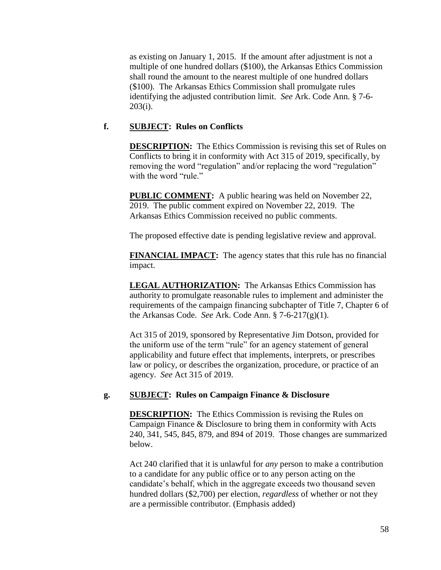as existing on January 1, 2015. If the amount after adjustment is not a multiple of one hundred dollars (\$100), the Arkansas Ethics Commission shall round the amount to the nearest multiple of one hundred dollars (\$100). The Arkansas Ethics Commission shall promulgate rules identifying the adjusted contribution limit. *See* Ark. Code Ann. § 7-6- 203(i).

## **f. SUBJECT: Rules on Conflicts**

**DESCRIPTION:** The Ethics Commission is revising this set of Rules on Conflicts to bring it in conformity with Act 315 of 2019, specifically, by removing the word "regulation" and/or replacing the word "regulation" with the word "rule."

**PUBLIC COMMENT:** A public hearing was held on November 22, 2019. The public comment expired on November 22, 2019. The Arkansas Ethics Commission received no public comments.

The proposed effective date is pending legislative review and approval.

**FINANCIAL IMPACT:** The agency states that this rule has no financial impact.

**LEGAL AUTHORIZATION:** The Arkansas Ethics Commission has authority to promulgate reasonable rules to implement and administer the requirements of the campaign financing subchapter of Title 7, Chapter 6 of the Arkansas Code. *See* Ark. Code Ann. § 7-6-217(g)(1).

Act 315 of 2019, sponsored by Representative Jim Dotson, provided for the uniform use of the term "rule" for an agency statement of general applicability and future effect that implements, interprets, or prescribes law or policy, or describes the organization, procedure, or practice of an agency. *See* Act 315 of 2019.

### **g. SUBJECT: Rules on Campaign Finance & Disclosure**

**DESCRIPTION:** The Ethics Commission is revising the Rules on Campaign Finance & Disclosure to bring them in conformity with Acts 240, 341, 545, 845, 879, and 894 of 2019. Those changes are summarized below.

Act 240 clarified that it is unlawful for *any* person to make a contribution to a candidate for any public office or to any person acting on the candidate's behalf, which in the aggregate exceeds two thousand seven hundred dollars (\$2,700) per election, *regardless* of whether or not they are a permissible contributor. (Emphasis added)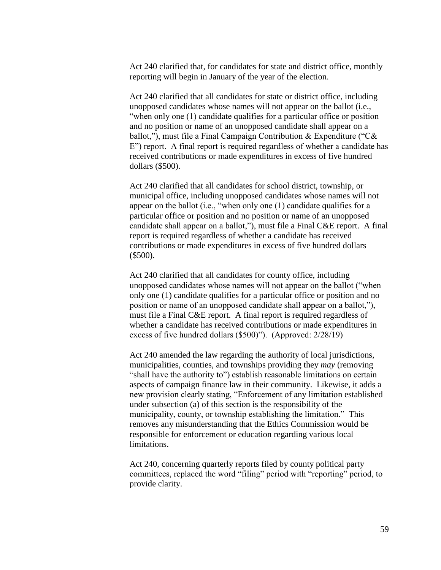Act 240 clarified that, for candidates for state and district office, monthly reporting will begin in January of the year of the election.

Act 240 clarified that all candidates for state or district office, including unopposed candidates whose names will not appear on the ballot (i.e., "when only one (1) candidate qualifies for a particular office or position and no position or name of an unopposed candidate shall appear on a ballot,"), must file a Final Campaign Contribution & Expenditure ("C& E") report. A final report is required regardless of whether a candidate has received contributions or made expenditures in excess of five hundred dollars (\$500).

Act 240 clarified that all candidates for school district, township, or municipal office, including unopposed candidates whose names will not appear on the ballot (i.e., "when only one (1) candidate qualifies for a particular office or position and no position or name of an unopposed candidate shall appear on a ballot,"), must file a Final C&E report. A final report is required regardless of whether a candidate has received contributions or made expenditures in excess of five hundred dollars (\$500).

Act 240 clarified that all candidates for county office, including unopposed candidates whose names will not appear on the ballot ("when only one (1) candidate qualifies for a particular office or position and no position or name of an unopposed candidate shall appear on a ballot,"), must file a Final C&E report. A final report is required regardless of whether a candidate has received contributions or made expenditures in excess of five hundred dollars (\$500)"). (Approved: 2/28/19)

Act 240 amended the law regarding the authority of local jurisdictions, municipalities, counties, and townships providing they *may* (removing "shall have the authority to") establish reasonable limitations on certain aspects of campaign finance law in their community. Likewise, it adds a new provision clearly stating, "Enforcement of any limitation established under subsection (a) of this section is the responsibility of the municipality, county, or township establishing the limitation." This removes any misunderstanding that the Ethics Commission would be responsible for enforcement or education regarding various local limitations.

Act 240, concerning quarterly reports filed by county political party committees, replaced the word "filing" period with "reporting" period, to provide clarity.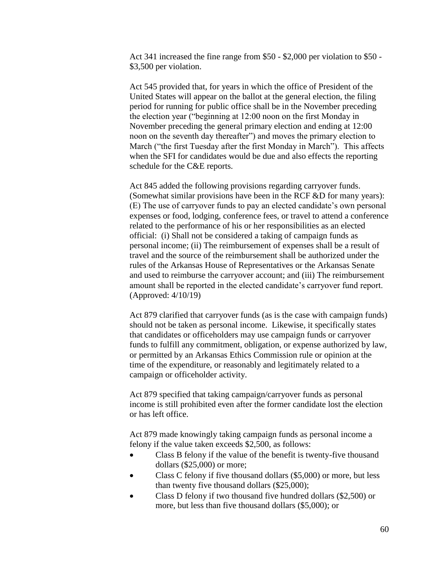Act 341 increased the fine range from \$50 - \$2,000 per violation to \$50 - \$3,500 per violation.

Act 545 provided that, for years in which the office of President of the United States will appear on the ballot at the general election, the filing period for running for public office shall be in the November preceding the election year ("beginning at 12:00 noon on the first Monday in November preceding the general primary election and ending at 12:00 noon on the seventh day thereafter") and moves the primary election to March ("the first Tuesday after the first Monday in March"). This affects when the SFI for candidates would be due and also effects the reporting schedule for the C&E reports.

Act 845 added the following provisions regarding carryover funds. (Somewhat similar provisions have been in the RCF &D for many years): (E) The use of carryover funds to pay an elected candidate's own personal expenses or food, lodging, conference fees, or travel to attend a conference related to the performance of his or her responsibilities as an elected official: (i) Shall not be considered a taking of campaign funds as personal income; (ii) The reimbursement of expenses shall be a result of travel and the source of the reimbursement shall be authorized under the rules of the Arkansas House of Representatives or the Arkansas Senate and used to reimburse the carryover account; and (iii) The reimbursement amount shall be reported in the elected candidate's carryover fund report. (Approved: 4/10/19)

Act 879 clarified that carryover funds (as is the case with campaign funds) should not be taken as personal income. Likewise, it specifically states that candidates or officeholders may use campaign funds or carryover funds to fulfill any commitment, obligation, or expense authorized by law, or permitted by an Arkansas Ethics Commission rule or opinion at the time of the expenditure, or reasonably and legitimately related to a campaign or officeholder activity.

Act 879 specified that taking campaign/carryover funds as personal income is still prohibited even after the former candidate lost the election or has left office.

Act 879 made knowingly taking campaign funds as personal income a felony if the value taken exceeds \$2,500, as follows:

- Class B felony if the value of the benefit is twenty-five thousand dollars (\$25,000) or more;
- Class C felony if five thousand dollars (\$5,000) or more, but less than twenty five thousand dollars (\$25,000);
- Class D felony if two thousand five hundred dollars (\$2,500) or more, but less than five thousand dollars (\$5,000); or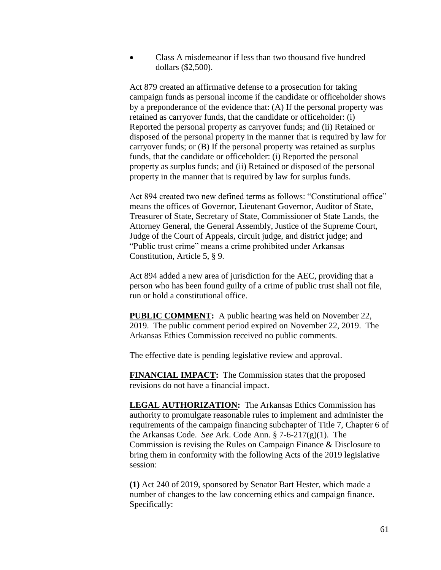• Class A misdemeanor if less than two thousand five hundred dollars (\$2,500).

Act 879 created an affirmative defense to a prosecution for taking campaign funds as personal income if the candidate or officeholder shows by a preponderance of the evidence that: (A) If the personal property was retained as carryover funds, that the candidate or officeholder: (i) Reported the personal property as carryover funds; and (ii) Retained or disposed of the personal property in the manner that is required by law for carryover funds; or (B) If the personal property was retained as surplus funds, that the candidate or officeholder: (i) Reported the personal property as surplus funds; and (ii) Retained or disposed of the personal property in the manner that is required by law for surplus funds.

Act 894 created two new defined terms as follows: "Constitutional office" means the offices of Governor, Lieutenant Governor, Auditor of State, Treasurer of State, Secretary of State, Commissioner of State Lands, the Attorney General, the General Assembly, Justice of the Supreme Court, Judge of the Court of Appeals, circuit judge, and district judge; and "Public trust crime" means a crime prohibited under Arkansas Constitution, Article 5, § 9.

Act 894 added a new area of jurisdiction for the AEC, providing that a person who has been found guilty of a crime of public trust shall not file, run or hold a constitutional office.

**PUBLIC COMMENT:** A public hearing was held on November 22, 2019. The public comment period expired on November 22, 2019. The Arkansas Ethics Commission received no public comments.

The effective date is pending legislative review and approval.

**FINANCIAL IMPACT:** The Commission states that the proposed revisions do not have a financial impact.

**LEGAL AUTHORIZATION:** The Arkansas Ethics Commission has authority to promulgate reasonable rules to implement and administer the requirements of the campaign financing subchapter of Title 7, Chapter 6 of the Arkansas Code. *See* Ark. Code Ann. § 7-6-217(g)(1). The Commission is revising the Rules on Campaign Finance & Disclosure to bring them in conformity with the following Acts of the 2019 legislative session:

**(1)** Act 240 of 2019, sponsored by Senator Bart Hester, which made a number of changes to the law concerning ethics and campaign finance. Specifically: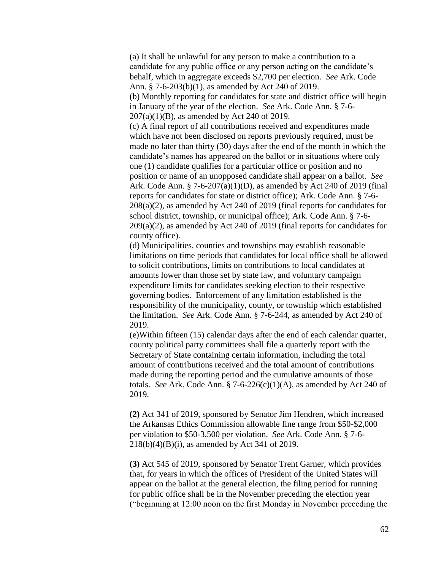(a) It shall be unlawful for any person to make a contribution to a candidate for any public office or any person acting on the candidate's behalf, which in aggregate exceeds \$2,700 per election. *See* Ark. Code Ann. § 7-6-203(b)(1), as amended by Act 240 of 2019.

(b) Monthly reporting for candidates for state and district office will begin in January of the year of the election. *See* Ark. Code Ann. § 7-6- 207(a)(1)(B), as amended by Act 240 of 2019.

(c) A final report of all contributions received and expenditures made which have not been disclosed on reports previously required, must be made no later than thirty (30) days after the end of the month in which the candidate's names has appeared on the ballot or in situations where only one (1) candidate qualifies for a particular office or position and no position or name of an unopposed candidate shall appear on a ballot. *See* Ark. Code Ann. § 7-6-207(a)(1)(D), as amended by Act 240 of 2019 (final reports for candidates for state or district office); Ark. Code Ann. § 7-6- 208(a)(2), as amended by Act 240 of 2019 (final reports for candidates for school district, township, or municipal office); Ark. Code Ann. § 7-6-  $209(a)(2)$ , as amended by Act 240 of 2019 (final reports for candidates for county office).

(d) Municipalities, counties and townships may establish reasonable limitations on time periods that candidates for local office shall be allowed to solicit contributions, limits on contributions to local candidates at amounts lower than those set by state law, and voluntary campaign expenditure limits for candidates seeking election to their respective governing bodies. Enforcement of any limitation established is the responsibility of the municipality, county, or township which established the limitation. *See* Ark. Code Ann. § 7-6-244, as amended by Act 240 of 2019.

(e)Within fifteen (15) calendar days after the end of each calendar quarter, county political party committees shall file a quarterly report with the Secretary of State containing certain information, including the total amount of contributions received and the total amount of contributions made during the reporting period and the cumulative amounts of those totals. *See* Ark. Code Ann.  $\S$  7-6-226(c)(1)(A), as amended by Act 240 of 2019.

**(2)** Act 341 of 2019, sponsored by Senator Jim Hendren, which increased the Arkansas Ethics Commission allowable fine range from \$50-\$2,000 per violation to \$50-3,500 per violation. *See* Ark. Code Ann. § 7-6- 218(b)(4)(B)(i), as amended by Act 341 of 2019.

**(3)** Act 545 of 2019, sponsored by Senator Trent Garner, which provides that, for years in which the offices of President of the United States will appear on the ballot at the general election, the filing period for running for public office shall be in the November preceding the election year ("beginning at 12:00 noon on the first Monday in November preceding the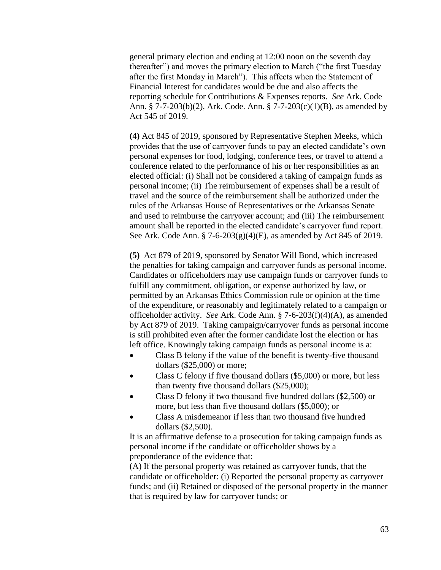general primary election and ending at 12:00 noon on the seventh day thereafter") and moves the primary election to March ("the first Tuesday after the first Monday in March"). This affects when the Statement of Financial Interest for candidates would be due and also affects the reporting schedule for Contributions & Expenses reports. *See* Ark. Code Ann. § 7-7-203(b)(2), Ark. Code. Ann. § 7-7-203(c)(1)(B), as amended by Act 545 of 2019.

**(4)** Act 845 of 2019, sponsored by Representative Stephen Meeks, which provides that the use of carryover funds to pay an elected candidate's own personal expenses for food, lodging, conference fees, or travel to attend a conference related to the performance of his or her responsibilities as an elected official: (i) Shall not be considered a taking of campaign funds as personal income; (ii) The reimbursement of expenses shall be a result of travel and the source of the reimbursement shall be authorized under the rules of the Arkansas House of Representatives or the Arkansas Senate and used to reimburse the carryover account; and (iii) The reimbursement amount shall be reported in the elected candidate's carryover fund report. See Ark. Code Ann. § 7-6-203(g)(4)(E), as amended by Act 845 of 2019.

**(5)** Act 879 of 2019, sponsored by Senator Will Bond, which increased the penalties for taking campaign and carryover funds as personal income. Candidates or officeholders may use campaign funds or carryover funds to fulfill any commitment, obligation, or expense authorized by law, or permitted by an Arkansas Ethics Commission rule or opinion at the time of the expenditure, or reasonably and legitimately related to a campaign or officeholder activity. *See* Ark. Code Ann. § 7-6-203(f)(4)(A), as amended by Act 879 of 2019. Taking campaign/carryover funds as personal income is still prohibited even after the former candidate lost the election or has left office. Knowingly taking campaign funds as personal income is a:

- Class B felony if the value of the benefit is twenty-five thousand dollars (\$25,000) or more;
- Class C felony if five thousand dollars (\$5,000) or more, but less than twenty five thousand dollars (\$25,000);
- Class D felony if two thousand five hundred dollars (\$2,500) or more, but less than five thousand dollars (\$5,000); or
- Class A misdemeanor if less than two thousand five hundred dollars (\$2,500).

It is an affirmative defense to a prosecution for taking campaign funds as personal income if the candidate or officeholder shows by a preponderance of the evidence that:

(A) If the personal property was retained as carryover funds, that the candidate or officeholder: (i) Reported the personal property as carryover funds; and (ii) Retained or disposed of the personal property in the manner that is required by law for carryover funds; or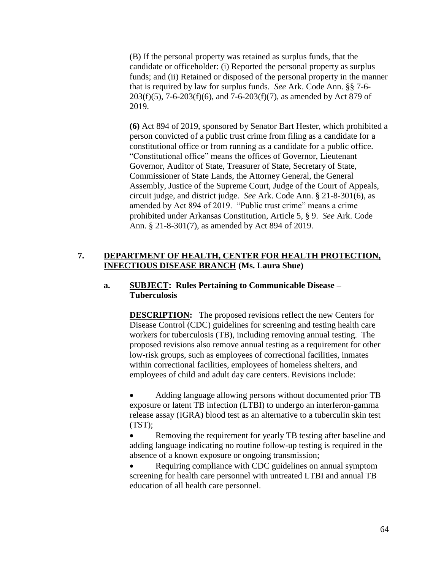(B) If the personal property was retained as surplus funds, that the candidate or officeholder: (i) Reported the personal property as surplus funds; and (ii) Retained or disposed of the personal property in the manner that is required by law for surplus funds. *See* Ark. Code Ann. §§ 7-6-  $203(f)(5)$ , 7-6-203(f)(6), and 7-6-203(f)(7), as amended by Act 879 of 2019.

**(6)** Act 894 of 2019, sponsored by Senator Bart Hester, which prohibited a person convicted of a public trust crime from filing as a candidate for a constitutional office or from running as a candidate for a public office. "Constitutional office" means the offices of Governor, Lieutenant Governor, Auditor of State, Treasurer of State, Secretary of State, Commissioner of State Lands, the Attorney General, the General Assembly, Justice of the Supreme Court, Judge of the Court of Appeals, circuit judge, and district judge. *See* Ark. Code Ann. § 21-8-301(6), as amended by Act 894 of 2019. "Public trust crime" means a crime prohibited under Arkansas Constitution, Article 5, § 9. *See* Ark. Code Ann. § 21-8-301(7), as amended by Act 894 of 2019.

## **7. DEPARTMENT OF HEALTH, CENTER FOR HEALTH PROTECTION, INFECTIOUS DISEASE BRANCH (Ms. Laura Shue)**

## **a. SUBJECT: Rules Pertaining to Communicable Disease – Tuberculosis**

**DESCRIPTION:** The proposed revisions reflect the new Centers for Disease Control (CDC) guidelines for screening and testing health care workers for tuberculosis (TB), including removing annual testing. The proposed revisions also remove annual testing as a requirement for other low-risk groups, such as employees of correctional facilities, inmates within correctional facilities, employees of homeless shelters, and employees of child and adult day care centers. Revisions include:

 Adding language allowing persons without documented prior TB exposure or latent TB infection (LTBI) to undergo an interferon-gamma release assay (IGRA) blood test as an alternative to a tuberculin skin test (TST);

 Removing the requirement for yearly TB testing after baseline and adding language indicating no routine follow-up testing is required in the absence of a known exposure or ongoing transmission;

 Requiring compliance with CDC guidelines on annual symptom screening for health care personnel with untreated LTBI and annual TB education of all health care personnel.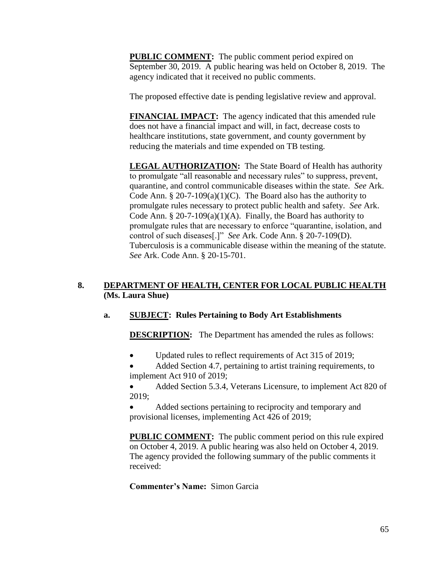**PUBLIC COMMENT:** The public comment period expired on September 30, 2019. A public hearing was held on October 8, 2019. The agency indicated that it received no public comments.

The proposed effective date is pending legislative review and approval.

**FINANCIAL IMPACT:** The agency indicated that this amended rule does not have a financial impact and will, in fact, decrease costs to healthcare institutions, state government, and county government by reducing the materials and time expended on TB testing.

**LEGAL AUTHORIZATION:** The State Board of Health has authority to promulgate "all reasonable and necessary rules" to suppress, prevent, quarantine, and control communicable diseases within the state. *See* Ark. Code Ann. § 20-7-109(a)(1)(C). The Board also has the authority to promulgate rules necessary to protect public health and safety. *See* Ark. Code Ann.  $\S 20$ -7-109(a)(1)(A). Finally, the Board has authority to promulgate rules that are necessary to enforce "quarantine, isolation, and control of such diseases[.]" *See* Ark. Code Ann. § 20-7-109(D). Tuberculosis is a communicable disease within the meaning of the statute. *See* Ark. Code Ann. § 20-15-701.

## **8. DEPARTMENT OF HEALTH, CENTER FOR LOCAL PUBLIC HEALTH (Ms. Laura Shue)**

# **a. SUBJECT: Rules Pertaining to Body Art Establishments**

**DESCRIPTION:** The Department has amended the rules as follows:

Updated rules to reflect requirements of Act 315 of 2019;

 Added Section 4.7, pertaining to artist training requirements, to implement Act 910 of 2019;

 Added Section 5.3.4, Veterans Licensure, to implement Act 820 of 2019;

 Added sections pertaining to reciprocity and temporary and provisional licenses, implementing Act 426 of 2019;

**PUBLIC COMMENT:** The public comment period on this rule expired on October 4, 2019. A public hearing was also held on October 4, 2019. The agency provided the following summary of the public comments it received:

### **Commenter's Name:** Simon Garcia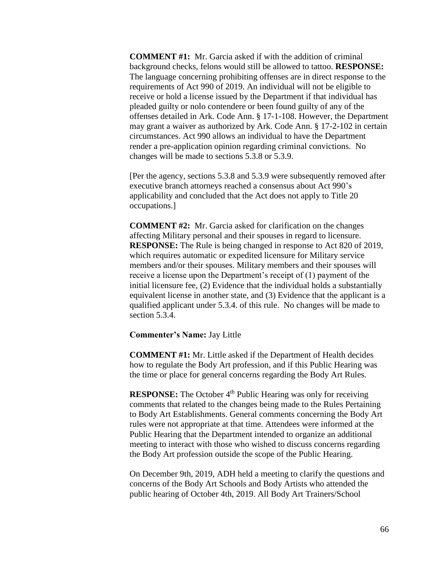**COMMENT #1:** Mr. Garcia asked if with the addition of criminal background checks, felons would still be allowed to tattoo. **RESPONSE:**  The language concerning prohibiting offenses are in direct response to the requirements of Act 990 of 2019. An individual will not be eligible to receive or hold a license issued by the Department if that individual has pleaded guilty or nolo contendere or been found guilty of any of the offenses detailed in Ark. Code Ann. § 17-1-108. However, the Department may grant a waiver as authorized by Ark. Code Ann. § 17-2-102 in certain circumstances. Act 990 allows an individual to have the Department render a pre-application opinion regarding criminal convictions. No changes will be made to sections 5.3.8 or 5.3.9.

[Per the agency, sections 5.3.8 and 5.3.9 were subsequently removed after executive branch attorneys reached a consensus about Act 990's applicability and concluded that the Act does not apply to Title 20 occupations.]

**COMMENT #2:** Mr. Garcia asked for clarification on the changes affecting Military personal and their spouses in regard to licensure. **RESPONSE:** The Rule is being changed in response to Act 820 of 2019, which requires automatic or expedited licensure for Military service members and/or their spouses. Military members and their spouses will receive a license upon the Department's receipt of (1) payment of the initial licensure fee, (2) Evidence that the individual holds a substantially equivalent license in another state, and (3) Evidence that the applicant is a qualified applicant under 5.3.4. of this rule. No changes will be made to section 5.3.4.

#### **Commenter's Name:** Jay Little

**COMMENT #1:** Mr. Little asked if the Department of Health decides how to regulate the Body Art profession, and if this Public Hearing was the time or place for general concerns regarding the Body Art Rules.

**RESPONSE:** The October 4<sup>th</sup> Public Hearing was only for receiving comments that related to the changes being made to the Rules Pertaining to Body Art Establishments. General comments concerning the Body Art rules were not appropriate at that time. Attendees were informed at the Public Hearing that the Department intended to organize an additional meeting to interact with those who wished to discuss concerns regarding the Body Art profession outside the scope of the Public Hearing.

On December 9th, 2019, ADH held a meeting to clarify the questions and concerns of the Body Art Schools and Body Artists who attended the public hearing of October 4th, 2019. All Body Art Trainers/School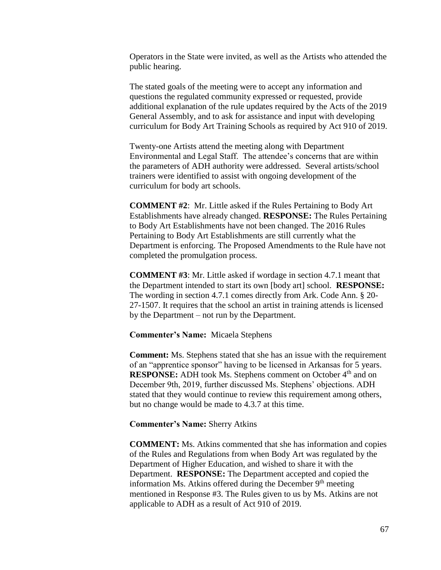Operators in the State were invited, as well as the Artists who attended the public hearing.

The stated goals of the meeting were to accept any information and questions the regulated community expressed or requested, provide additional explanation of the rule updates required by the Acts of the 2019 General Assembly, and to ask for assistance and input with developing curriculum for Body Art Training Schools as required by Act 910 of 2019.

Twenty-one Artists attend the meeting along with Department Environmental and Legal Staff. The attendee's concerns that are within the parameters of ADH authority were addressed. Several artists/school trainers were identified to assist with ongoing development of the curriculum for body art schools.

**COMMENT #2**: Mr. Little asked if the Rules Pertaining to Body Art Establishments have already changed. **RESPONSE:** The Rules Pertaining to Body Art Establishments have not been changed. The 2016 Rules Pertaining to Body Art Establishments are still currently what the Department is enforcing. The Proposed Amendments to the Rule have not completed the promulgation process.

**COMMENT #3**: Mr. Little asked if wordage in section 4.7.1 meant that the Department intended to start its own [body art] school. **RESPONSE:** The wording in section 4.7.1 comes directly from Ark. Code Ann. § 20- 27-1507. It requires that the school an artist in training attends is licensed by the Department – not run by the Department.

#### **Commenter's Name:** Micaela Stephens

**Comment:** Ms. Stephens stated that she has an issue with the requirement of an "apprentice sponsor" having to be licensed in Arkansas for 5 years. **RESPONSE:** ADH took Ms. Stephens comment on October 4<sup>th</sup> and on December 9th, 2019, further discussed Ms. Stephens' objections. ADH stated that they would continue to review this requirement among others, but no change would be made to 4.3.7 at this time.

**Commenter's Name:** Sherry Atkins

**COMMENT:** Ms. Atkins commented that she has information and copies of the Rules and Regulations from when Body Art was regulated by the Department of Higher Education, and wished to share it with the Department. **RESPONSE:** The Department accepted and copied the information Ms. Atkins offered during the December 9<sup>th</sup> meeting mentioned in Response #3. The Rules given to us by Ms. Atkins are not applicable to ADH as a result of Act 910 of 2019.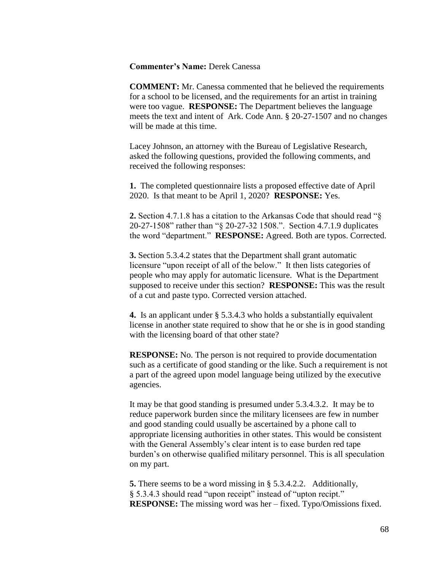**Commenter's Name:** Derek Canessa

**COMMENT:** Mr. Canessa commented that he believed the requirements for a school to be licensed, and the requirements for an artist in training were too vague. **RESPONSE:** The Department believes the language meets the text and intent of Ark. Code Ann. § 20-27-1507 and no changes will be made at this time.

Lacey Johnson, an attorney with the Bureau of Legislative Research, asked the following questions, provided the following comments, and received the following responses:

**1.** The completed questionnaire lists a proposed effective date of April 2020. Is that meant to be April 1, 2020? **RESPONSE:** Yes.

**2.** Section 4.7.1.8 has a citation to the Arkansas Code that should read "§ 20-27-1508" rather than "§ 20-27-32 1508.". Section 4.7.1.9 duplicates the word "department." **RESPONSE:** Agreed. Both are typos. Corrected.

**3.** Section 5.3.4.2 states that the Department shall grant automatic licensure "upon receipt of all of the below." It then lists categories of people who may apply for automatic licensure. What is the Department supposed to receive under this section? **RESPONSE:** This was the result of a cut and paste typo. Corrected version attached.

**4.** Is an applicant under § 5.3.4.3 who holds a substantially equivalent license in another state required to show that he or she is in good standing with the licensing board of that other state?

**RESPONSE:** No. The person is not required to provide documentation such as a certificate of good standing or the like. Such a requirement is not a part of the agreed upon model language being utilized by the executive agencies.

It may be that good standing is presumed under 5.3.4.3.2. It may be to reduce paperwork burden since the military licensees are few in number and good standing could usually be ascertained by a phone call to appropriate licensing authorities in other states. This would be consistent with the General Assembly's clear intent is to ease burden red tape burden's on otherwise qualified military personnel. This is all speculation on my part.

**5.** There seems to be a word missing in § 5.3.4.2.2. Additionally, § 5.3.4.3 should read "upon receipt" instead of "upton recipt." **RESPONSE:** The missing word was her – fixed. Typo/Omissions fixed.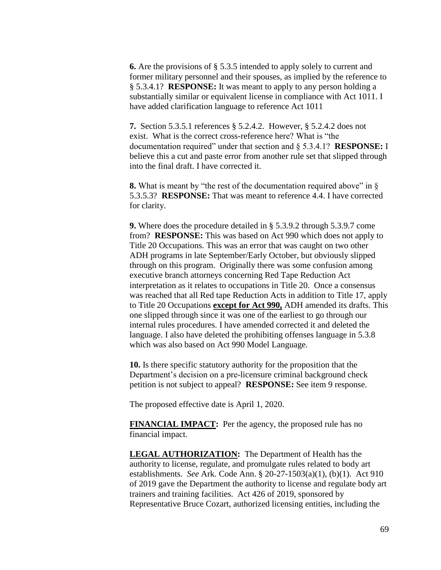**6.** Are the provisions of § 5.3.5 intended to apply solely to current and former military personnel and their spouses, as implied by the reference to § 5.3.4.1? **RESPONSE:** It was meant to apply to any person holding a substantially similar or equivalent license in compliance with Act 1011. I have added clarification language to reference Act 1011

**7.** Section 5.3.5.1 references § 5.2.4.2. However, § 5.2.4.2 does not exist. What is the correct cross-reference here? What is "the documentation required" under that section and § 5.3.4.1? **RESPONSE:** I believe this a cut and paste error from another rule set that slipped through into the final draft. I have corrected it.

**8.** What is meant by "the rest of the documentation required above" in § 5.3.5.3? **RESPONSE:** That was meant to reference 4.4. I have corrected for clarity.

**9.** Where does the procedure detailed in § 5.3.9.2 through 5.3.9.7 come from? **RESPONSE:** This was based on Act 990 which does not apply to Title 20 Occupations. This was an error that was caught on two other ADH programs in late September/Early October, but obviously slipped through on this program. Originally there was some confusion among executive branch attorneys concerning Red Tape Reduction Act interpretation as it relates to occupations in Title 20. Once a consensus was reached that all Red tape Reduction Acts in addition to Title 17, apply to Title 20 Occupations **except for Act 990,** ADH amended its drafts. This one slipped through since it was one of the earliest to go through our internal rules procedures. I have amended corrected it and deleted the language. I also have deleted the prohibiting offenses language in 5.3.8 which was also based on Act 990 Model Language.

**10.** Is there specific statutory authority for the proposition that the Department's decision on a pre-licensure criminal background check petition is not subject to appeal? **RESPONSE:** See item 9 response.

The proposed effective date is April 1, 2020.

**FINANCIAL IMPACT:** Per the agency, the proposed rule has no financial impact.

**LEGAL AUTHORIZATION:** The Department of Health has the authority to license, regulate, and promulgate rules related to body art establishments. *See* Ark. Code Ann. § 20-27-1503(a)(1), (b)(1). Act 910 of 2019 gave the Department the authority to license and regulate body art trainers and training facilities. Act 426 of 2019, sponsored by Representative Bruce Cozart, authorized licensing entities, including the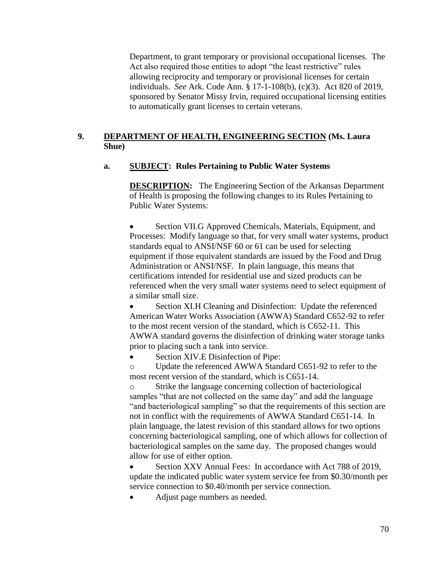Department, to grant temporary or provisional occupational licenses. The Act also required those entities to adopt "the least restrictive" rules allowing reciprocity and temporary or provisional licenses for certain individuals. *See* Ark. Code Ann. § 17-1-108(b), (c)(3). Act 820 of 2019, sponsored by Senator Missy Irvin, required occupational licensing entities to automatically grant licenses to certain veterans.

# **9. DEPARTMENT OF HEALTH, ENGINEERING SECTION (Ms. Laura Shue)**

## **a. SUBJECT: Rules Pertaining to Public Water Systems**

**DESCRIPTION:** The Engineering Section of the Arkansas Department of Health is proposing the following changes to its Rules Pertaining to Public Water Systems:

 Section VII.G Approved Chemicals, Materials, Equipment, and Processes: Modify language so that, for very small water systems, product standards equal to ANSI/NSF 60 or 61 can be used for selecting equipment if those equivalent standards are issued by the Food and Drug Administration or ANSI/NSF. In plain language, this means that certifications intended for residential use and sized products can be referenced when the very small water systems need to select equipment of a similar small size.

 Section XI.H Cleaning and Disinfection: Update the referenced American Water Works Association (AWWA) Standard C652-92 to refer to the most recent version of the standard, which is C652-11. This AWWA standard governs the disinfection of drinking water storage tanks prior to placing such a tank into service.

Section XIV.E Disinfection of Pipe:

o Update the referenced AWWA Standard C651-92 to refer to the most recent version of the standard, which is C651-14.

Strike the language concerning collection of bacteriological samples "that are not collected on the same day" and add the language "and bacteriological sampling" so that the requirements of this section are not in conflict with the requirements of AWWA Standard C651-14. In plain language, the latest revision of this standard allows for two options concerning bacteriological sampling, one of which allows for collection of bacteriological samples on the same day. The proposed changes would allow for use of either option.

 Section XXV Annual Fees: In accordance with Act 788 of 2019, update the indicated public water system service fee from \$0.30/month per service connection to \$0.40/month per service connection.

Adjust page numbers as needed.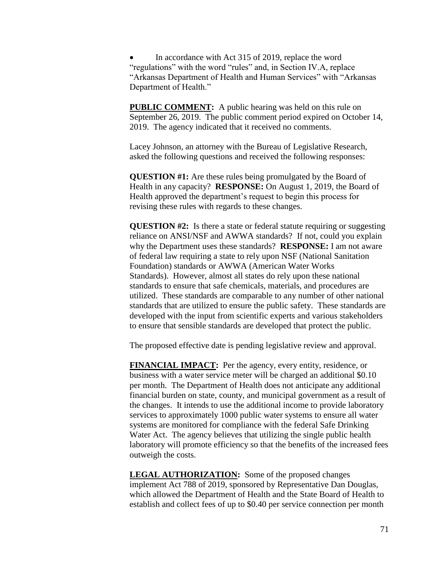In accordance with Act 315 of 2019, replace the word "regulations" with the word "rules" and, in Section IV.A, replace "Arkansas Department of Health and Human Services" with "Arkansas Department of Health."

**PUBLIC COMMENT:** A public hearing was held on this rule on September 26, 2019. The public comment period expired on October 14, 2019. The agency indicated that it received no comments.

Lacey Johnson, an attorney with the Bureau of Legislative Research, asked the following questions and received the following responses:

**QUESTION #1:** Are these rules being promulgated by the Board of Health in any capacity? **RESPONSE:** On August 1, 2019, the Board of Health approved the department's request to begin this process for revising these rules with regards to these changes.

**QUESTION #2:** Is there a state or federal statute requiring or suggesting reliance on ANSI/NSF and AWWA standards? If not, could you explain why the Department uses these standards? **RESPONSE:** I am not aware of federal law requiring a state to rely upon NSF (National Sanitation Foundation) standards or AWWA (American Water Works Standards). However, almost all states do rely upon these national standards to ensure that safe chemicals, materials, and procedures are utilized. These standards are comparable to any number of other national standards that are utilized to ensure the public safety. These standards are developed with the input from scientific experts and various stakeholders to ensure that sensible standards are developed that protect the public.

The proposed effective date is pending legislative review and approval.

**FINANCIAL IMPACT:** Per the agency, every entity, residence, or business with a water service meter will be charged an additional \$0.10 per month. The Department of Health does not anticipate any additional financial burden on state, county, and municipal government as a result of the changes. It intends to use the additional income to provide laboratory services to approximately 1000 public water systems to ensure all water systems are monitored for compliance with the federal Safe Drinking Water Act. The agency believes that utilizing the single public health laboratory will promote efficiency so that the benefits of the increased fees outweigh the costs.

**LEGAL AUTHORIZATION:** Some of the proposed changes implement Act 788 of 2019, sponsored by Representative Dan Douglas, which allowed the Department of Health and the State Board of Health to establish and collect fees of up to \$0.40 per service connection per month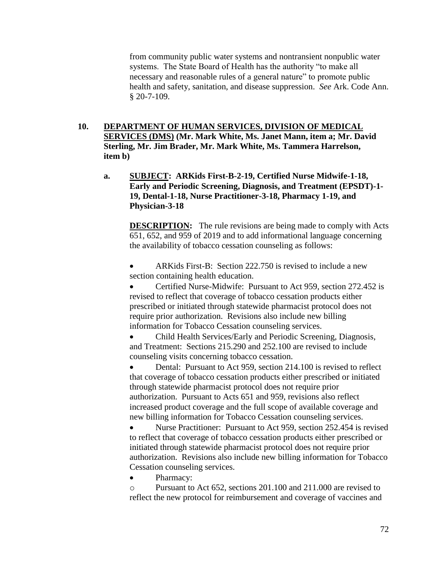from community public water systems and nontransient nonpublic water systems. The State Board of Health has the authority "to make all necessary and reasonable rules of a general nature" to promote public health and safety, sanitation, and disease suppression. *See* Ark. Code Ann. § 20-7-109.

- **10. DEPARTMENT OF HUMAN SERVICES, DIVISION OF MEDICAL SERVICES (DMS) (Mr. Mark White, Ms. Janet Mann, item a; Mr. David Sterling, Mr. Jim Brader, Mr. Mark White, Ms. Tammera Harrelson, item b)**
	- **a. SUBJECT: ARKids First-B-2-19, Certified Nurse Midwife-1-18, Early and Periodic Screening, Diagnosis, and Treatment (EPSDT)-1- 19, Dental-1-18, Nurse Practitioner-3-18, Pharmacy 1-19, and Physician-3-18**

**DESCRIPTION:** The rule revisions are being made to comply with Acts 651, 652, and 959 of 2019 and to add informational language concerning the availability of tobacco cessation counseling as follows:

 ARKids First-B: Section 222.750 is revised to include a new section containing health education.

 Certified Nurse-Midwife: Pursuant to Act 959, section 272.452 is revised to reflect that coverage of tobacco cessation products either prescribed or initiated through statewide pharmacist protocol does not require prior authorization. Revisions also include new billing information for Tobacco Cessation counseling services.

 Child Health Services/Early and Periodic Screening, Diagnosis, and Treatment: Sections 215.290 and 252.100 are revised to include counseling visits concerning tobacco cessation.

 Dental: Pursuant to Act 959, section 214.100 is revised to reflect that coverage of tobacco cessation products either prescribed or initiated through statewide pharmacist protocol does not require prior authorization. Pursuant to Acts 651 and 959, revisions also reflect increased product coverage and the full scope of available coverage and new billing information for Tobacco Cessation counseling services.

 Nurse Practitioner: Pursuant to Act 959, section 252.454 is revised to reflect that coverage of tobacco cessation products either prescribed or initiated through statewide pharmacist protocol does not require prior authorization. Revisions also include new billing information for Tobacco Cessation counseling services.

Pharmacy:

o Pursuant to Act 652, sections 201.100 and 211.000 are revised to reflect the new protocol for reimbursement and coverage of vaccines and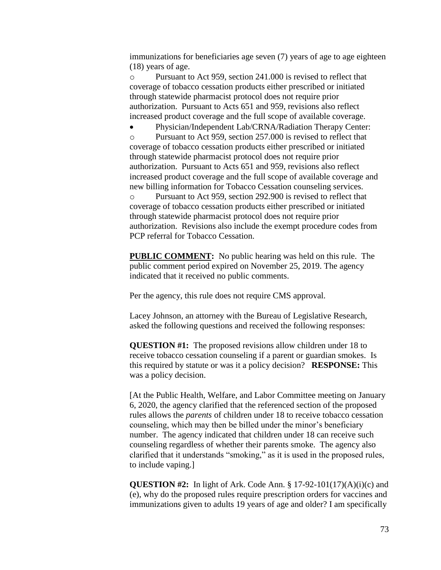immunizations for beneficiaries age seven (7) years of age to age eighteen (18) years of age.

o Pursuant to Act 959, section 241.000 is revised to reflect that coverage of tobacco cessation products either prescribed or initiated through statewide pharmacist protocol does not require prior authorization. Pursuant to Acts 651 and 959, revisions also reflect increased product coverage and the full scope of available coverage.

 Physician/Independent Lab/CRNA/Radiation Therapy Center: o Pursuant to Act 959, section 257.000 is revised to reflect that coverage of tobacco cessation products either prescribed or initiated through statewide pharmacist protocol does not require prior authorization. Pursuant to Acts 651 and 959, revisions also reflect increased product coverage and the full scope of available coverage and new billing information for Tobacco Cessation counseling services. o Pursuant to Act 959, section 292.900 is revised to reflect that coverage of tobacco cessation products either prescribed or initiated through statewide pharmacist protocol does not require prior authorization. Revisions also include the exempt procedure codes from PCP referral for Tobacco Cessation.

**PUBLIC COMMENT:** No public hearing was held on this rule. The public comment period expired on November 25, 2019. The agency indicated that it received no public comments.

Per the agency, this rule does not require CMS approval.

Lacey Johnson, an attorney with the Bureau of Legislative Research, asked the following questions and received the following responses:

**QUESTION #1:** The proposed revisions allow children under 18 to receive tobacco cessation counseling if a parent or guardian smokes. Is this required by statute or was it a policy decision? **RESPONSE:** This was a policy decision.

[At the Public Health, Welfare, and Labor Committee meeting on January 6, 2020, the agency clarified that the referenced section of the proposed rules allows the *parents* of children under 18 to receive tobacco cessation counseling, which may then be billed under the minor's beneficiary number. The agency indicated that children under 18 can receive such counseling regardless of whether their parents smoke. The agency also clarified that it understands "smoking," as it is used in the proposed rules, to include vaping.]

**QUESTION #2:** In light of Ark. Code Ann. § 17-92-101(17)(A)(i)(c) and (e), why do the proposed rules require prescription orders for vaccines and immunizations given to adults 19 years of age and older? I am specifically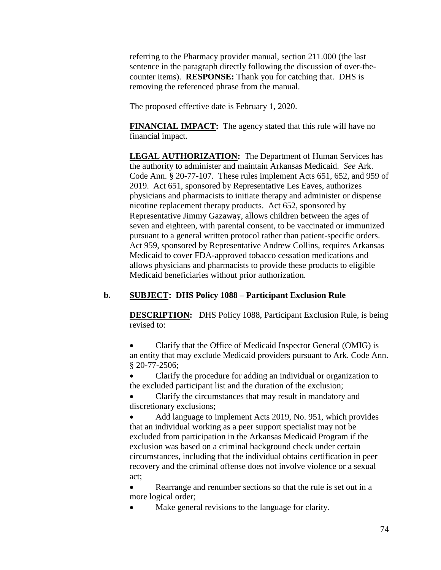referring to the Pharmacy provider manual, section 211.000 (the last sentence in the paragraph directly following the discussion of over-thecounter items). **RESPONSE:** Thank you for catching that. DHS is removing the referenced phrase from the manual.

The proposed effective date is February 1, 2020.

**FINANCIAL IMPACT:** The agency stated that this rule will have no financial impact.

**LEGAL AUTHORIZATION:** The Department of Human Services has the authority to administer and maintain Arkansas Medicaid. *See* Ark. Code Ann. § 20-77-107. These rules implement Acts 651, 652, and 959 of 2019. Act 651, sponsored by Representative Les Eaves, authorizes physicians and pharmacists to initiate therapy and administer or dispense nicotine replacement therapy products. Act 652, sponsored by Representative Jimmy Gazaway, allows children between the ages of seven and eighteen, with parental consent, to be vaccinated or immunized pursuant to a general written protocol rather than patient-specific orders. Act 959, sponsored by Representative Andrew Collins, requires Arkansas Medicaid to cover FDA-approved tobacco cessation medications and allows physicians and pharmacists to provide these products to eligible Medicaid beneficiaries without prior authorization.

# **b. SUBJECT: DHS Policy 1088 – Participant Exclusion Rule**

**DESCRIPTION:** DHS Policy 1088, Participant Exclusion Rule, is being revised to:

 Clarify that the Office of Medicaid Inspector General (OMIG) is an entity that may exclude Medicaid providers pursuant to Ark. Code Ann. § 20-77-2506;

 Clarify the procedure for adding an individual or organization to the excluded participant list and the duration of the exclusion;

 Clarify the circumstances that may result in mandatory and discretionary exclusions;

 Add language to implement Acts 2019, No. 951, which provides that an individual working as a peer support specialist may not be excluded from participation in the Arkansas Medicaid Program if the exclusion was based on a criminal background check under certain circumstances, including that the individual obtains certification in peer recovery and the criminal offense does not involve violence or a sexual act;

 Rearrange and renumber sections so that the rule is set out in a more logical order;

Make general revisions to the language for clarity.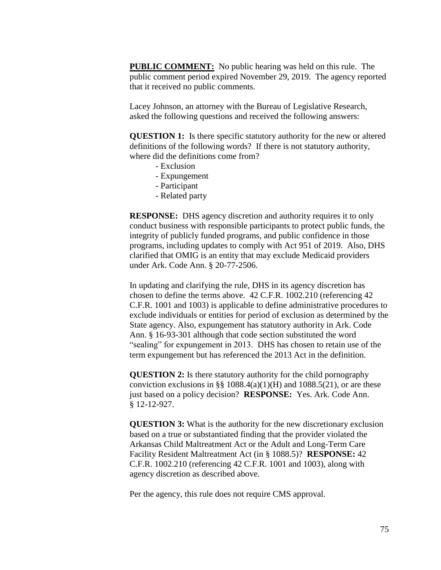**PUBLIC COMMENT:** No public hearing was held on this rule. The public comment period expired November 29, 2019. The agency reported that it received no public comments.

Lacey Johnson, an attorney with the Bureau of Legislative Research, asked the following questions and received the following answers:

**QUESTION 1:** Is there specific statutory authority for the new or altered definitions of the following words? If there is not statutory authority, where did the definitions come from?

- Exclusion
- Expungement
- Participant
- Related party

**RESPONSE:** DHS agency discretion and authority requires it to only conduct business with responsible participants to protect public funds, the integrity of publicly funded programs, and public confidence in those programs, including updates to comply with Act 951 of 2019. Also, DHS clarified that OMIG is an entity that may exclude Medicaid providers under Ark. Code Ann. § 20-77-2506.

In updating and clarifying the rule, DHS in its agency discretion has chosen to define the terms above. 42 C.F.R. 1002.210 (referencing 42 C.F.R. 1001 and 1003) is applicable to define administrative procedures to exclude individuals or entities for period of exclusion as determined by the State agency. Also, expungement has statutory authority in Ark. Code Ann. § 16-93-301 although that code section substituted the word "sealing" for expungement in 2013. DHS has chosen to retain use of the term expungement but has referenced the 2013 Act in the definition.

**QUESTION 2:** Is there statutory authority for the child pornography conviction exclusions in §§  $1088.4(a)(1)(H)$  and  $1088.5(21)$ , or are these just based on a policy decision? **RESPONSE:** Yes. Ark. Code Ann. § 12-12-927.

**QUESTION 3:** What is the authority for the new discretionary exclusion based on a true or substantiated finding that the provider violated the Arkansas Child Maltreatment Act or the Adult and Long-Term Care Facility Resident Maltreatment Act (in § 1088.5)? **RESPONSE:** 42 C.F.R. 1002.210 (referencing 42 C.F.R. 1001 and 1003), along with agency discretion as described above.

Per the agency, this rule does not require CMS approval.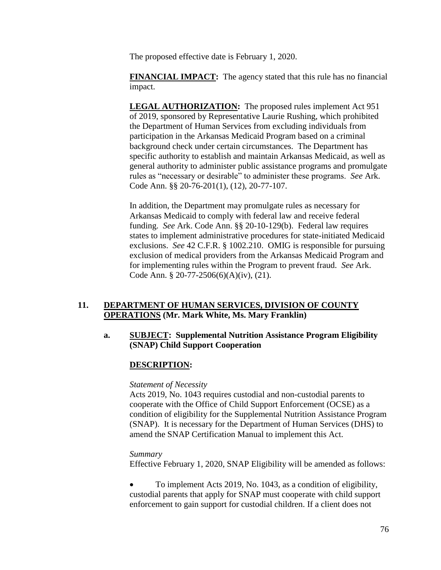The proposed effective date is February 1, 2020.

**FINANCIAL IMPACT:** The agency stated that this rule has no financial impact.

**LEGAL AUTHORIZATION:** The proposed rules implement Act 951 of 2019, sponsored by Representative Laurie Rushing, which prohibited the Department of Human Services from excluding individuals from participation in the Arkansas Medicaid Program based on a criminal background check under certain circumstances. The Department has specific authority to establish and maintain Arkansas Medicaid, as well as general authority to administer public assistance programs and promulgate rules as "necessary or desirable" to administer these programs. *See* Ark. Code Ann. §§ 20-76-201(1), (12), 20-77-107.

In addition, the Department may promulgate rules as necessary for Arkansas Medicaid to comply with federal law and receive federal funding. *See* Ark. Code Ann. §§ 20-10-129(b). Federal law requires states to implement administrative procedures for state-initiated Medicaid exclusions. *See* 42 C.F.R. § 1002.210. OMIG is responsible for pursuing exclusion of medical providers from the Arkansas Medicaid Program and for implementing rules within the Program to prevent fraud. *See* Ark. Code Ann. § 20-77-2506(6)(A)(iv), (21).

## **11. DEPARTMENT OF HUMAN SERVICES, DIVISION OF COUNTY OPERATIONS (Mr. Mark White, Ms. Mary Franklin)**

## **a. SUBJECT: Supplemental Nutrition Assistance Program Eligibility (SNAP) Child Support Cooperation**

# **DESCRIPTION:**

#### *Statement of Necessity*

Acts 2019, No. 1043 requires custodial and non-custodial parents to cooperate with the Office of Child Support Enforcement (OCSE) as a condition of eligibility for the Supplemental Nutrition Assistance Program (SNAP). It is necessary for the Department of Human Services (DHS) to amend the SNAP Certification Manual to implement this Act.

#### *Summary*

Effective February 1, 2020, SNAP Eligibility will be amended as follows:

 To implement Acts 2019, No. 1043, as a condition of eligibility, custodial parents that apply for SNAP must cooperate with child support enforcement to gain support for custodial children. If a client does not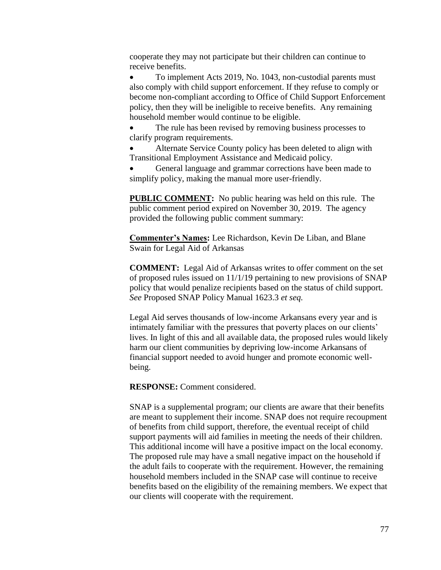cooperate they may not participate but their children can continue to receive benefits.

 To implement Acts 2019, No. 1043, non-custodial parents must also comply with child support enforcement. If they refuse to comply or become non-compliant according to Office of Child Support Enforcement policy, then they will be ineligible to receive benefits. Any remaining household member would continue to be eligible.

 The rule has been revised by removing business processes to clarify program requirements.

 Alternate Service County policy has been deleted to align with Transitional Employment Assistance and Medicaid policy.

 General language and grammar corrections have been made to simplify policy, making the manual more user-friendly.

**PUBLIC COMMENT:** No public hearing was held on this rule. The public comment period expired on November 30, 2019. The agency provided the following public comment summary:

**Commenter's Names:** Lee Richardson, Kevin De Liban, and Blane Swain for Legal Aid of Arkansas

**COMMENT:** Legal Aid of Arkansas writes to offer comment on the set of proposed rules issued on 11/1/19 pertaining to new provisions of SNAP policy that would penalize recipients based on the status of child support. *See* Proposed SNAP Policy Manual 1623.3 *et seq.* 

Legal Aid serves thousands of low-income Arkansans every year and is intimately familiar with the pressures that poverty places on our clients' lives. In light of this and all available data, the proposed rules would likely harm our client communities by depriving low-income Arkansans of financial support needed to avoid hunger and promote economic wellbeing.

**RESPONSE:** Comment considered.

SNAP is a supplemental program; our clients are aware that their benefits are meant to supplement their income. SNAP does not require recoupment of benefits from child support, therefore, the eventual receipt of child support payments will aid families in meeting the needs of their children. This additional income will have a positive impact on the local economy. The proposed rule may have a small negative impact on the household if the adult fails to cooperate with the requirement. However, the remaining household members included in the SNAP case will continue to receive benefits based on the eligibility of the remaining members. We expect that our clients will cooperate with the requirement.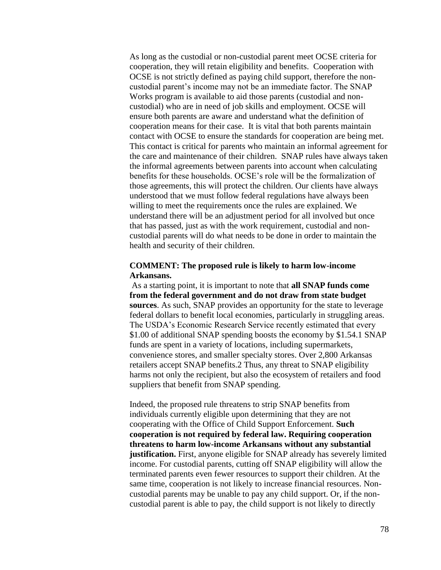As long as the custodial or non-custodial parent meet OCSE criteria for cooperation, they will retain eligibility and benefits. Cooperation with OCSE is not strictly defined as paying child support, therefore the noncustodial parent's income may not be an immediate factor. The SNAP Works program is available to aid those parents (custodial and noncustodial) who are in need of job skills and employment. OCSE will ensure both parents are aware and understand what the definition of cooperation means for their case. It is vital that both parents maintain contact with OCSE to ensure the standards for cooperation are being met. This contact is critical for parents who maintain an informal agreement for the care and maintenance of their children. SNAP rules have always taken the informal agreements between parents into account when calculating benefits for these households. OCSE's role will be the formalization of those agreements, this will protect the children. Our clients have always understood that we must follow federal regulations have always been willing to meet the requirements once the rules are explained. We understand there will be an adjustment period for all involved but once that has passed, just as with the work requirement, custodial and noncustodial parents will do what needs to be done in order to maintain the health and security of their children.

### **COMMENT: The proposed rule is likely to harm low-income Arkansans.**

As a starting point, it is important to note that **all SNAP funds come from the federal government and do not draw from state budget sources**. As such, SNAP provides an opportunity for the state to leverage federal dollars to benefit local economies, particularly in struggling areas. The USDA's Economic Research Service recently estimated that every \$1.00 of additional SNAP spending boosts the economy by \$1.54.1 SNAP funds are spent in a variety of locations, including supermarkets, convenience stores, and smaller specialty stores. Over 2,800 Arkansas retailers accept SNAP benefits.2 Thus, any threat to SNAP eligibility harms not only the recipient, but also the ecosystem of retailers and food suppliers that benefit from SNAP spending.

Indeed, the proposed rule threatens to strip SNAP benefits from individuals currently eligible upon determining that they are not cooperating with the Office of Child Support Enforcement. **Such cooperation is not required by federal law. Requiring cooperation threatens to harm low-income Arkansans without any substantial justification.** First, anyone eligible for SNAP already has severely limited income. For custodial parents, cutting off SNAP eligibility will allow the terminated parents even fewer resources to support their children. At the same time, cooperation is not likely to increase financial resources. Noncustodial parents may be unable to pay any child support. Or, if the noncustodial parent is able to pay, the child support is not likely to directly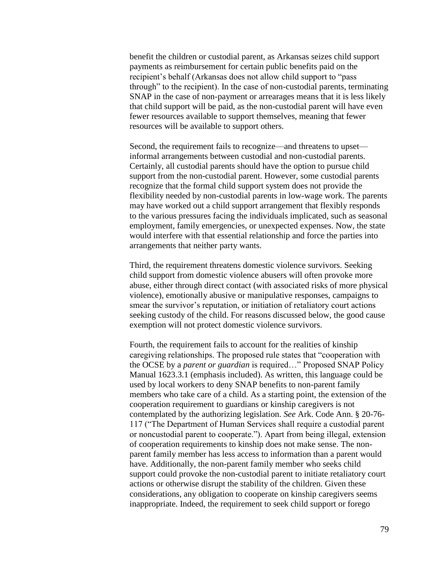benefit the children or custodial parent, as Arkansas seizes child support payments as reimbursement for certain public benefits paid on the recipient's behalf (Arkansas does not allow child support to "pass through" to the recipient). In the case of non-custodial parents, terminating SNAP in the case of non-payment or arrearages means that it is less likely that child support will be paid, as the non-custodial parent will have even fewer resources available to support themselves, meaning that fewer resources will be available to support others.

Second, the requirement fails to recognize—and threatens to upset informal arrangements between custodial and non-custodial parents. Certainly, all custodial parents should have the option to pursue child support from the non-custodial parent. However, some custodial parents recognize that the formal child support system does not provide the flexibility needed by non-custodial parents in low-wage work. The parents may have worked out a child support arrangement that flexibly responds to the various pressures facing the individuals implicated, such as seasonal employment, family emergencies, or unexpected expenses. Now, the state would interfere with that essential relationship and force the parties into arrangements that neither party wants.

Third, the requirement threatens domestic violence survivors. Seeking child support from domestic violence abusers will often provoke more abuse, either through direct contact (with associated risks of more physical violence), emotionally abusive or manipulative responses, campaigns to smear the survivor's reputation, or initiation of retaliatory court actions seeking custody of the child. For reasons discussed below, the good cause exemption will not protect domestic violence survivors.

Fourth, the requirement fails to account for the realities of kinship caregiving relationships. The proposed rule states that "cooperation with the OCSE by a *parent or guardian* is required…" Proposed SNAP Policy Manual 1623.3.1 (emphasis included). As written, this language could be used by local workers to deny SNAP benefits to non-parent family members who take care of a child. As a starting point, the extension of the cooperation requirement to guardians or kinship caregivers is not contemplated by the authorizing legislation. *See* Ark. Code Ann. § 20-76- 117 ("The Department of Human Services shall require a custodial parent or noncustodial parent to cooperate."). Apart from being illegal, extension of cooperation requirements to kinship does not make sense. The nonparent family member has less access to information than a parent would have. Additionally, the non-parent family member who seeks child support could provoke the non-custodial parent to initiate retaliatory court actions or otherwise disrupt the stability of the children. Given these considerations, any obligation to cooperate on kinship caregivers seems inappropriate. Indeed, the requirement to seek child support or forego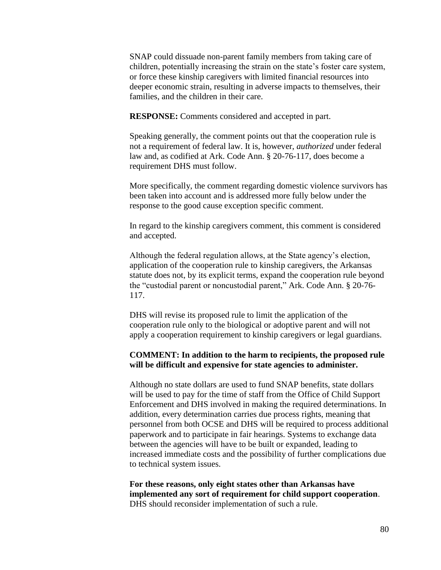SNAP could dissuade non-parent family members from taking care of children, potentially increasing the strain on the state's foster care system, or force these kinship caregivers with limited financial resources into deeper economic strain, resulting in adverse impacts to themselves, their families, and the children in their care.

**RESPONSE:** Comments considered and accepted in part.

Speaking generally, the comment points out that the cooperation rule is not a requirement of federal law. It is, however, *authorized* under federal law and, as codified at Ark. Code Ann. § 20-76-117, does become a requirement DHS must follow.

More specifically, the comment regarding domestic violence survivors has been taken into account and is addressed more fully below under the response to the good cause exception specific comment.

In regard to the kinship caregivers comment, this comment is considered and accepted.

Although the federal regulation allows, at the State agency's election, application of the cooperation rule to kinship caregivers, the Arkansas statute does not, by its explicit terms, expand the cooperation rule beyond the "custodial parent or noncustodial parent," Ark. Code Ann. § 20-76- 117.

DHS will revise its proposed rule to limit the application of the cooperation rule only to the biological or adoptive parent and will not apply a cooperation requirement to kinship caregivers or legal guardians.

#### **COMMENT: In addition to the harm to recipients, the proposed rule will be difficult and expensive for state agencies to administer.**

Although no state dollars are used to fund SNAP benefits, state dollars will be used to pay for the time of staff from the Office of Child Support Enforcement and DHS involved in making the required determinations. In addition, every determination carries due process rights, meaning that personnel from both OCSE and DHS will be required to process additional paperwork and to participate in fair hearings. Systems to exchange data between the agencies will have to be built or expanded, leading to increased immediate costs and the possibility of further complications due to technical system issues.

**For these reasons, only eight states other than Arkansas have implemented any sort of requirement for child support cooperation**. DHS should reconsider implementation of such a rule.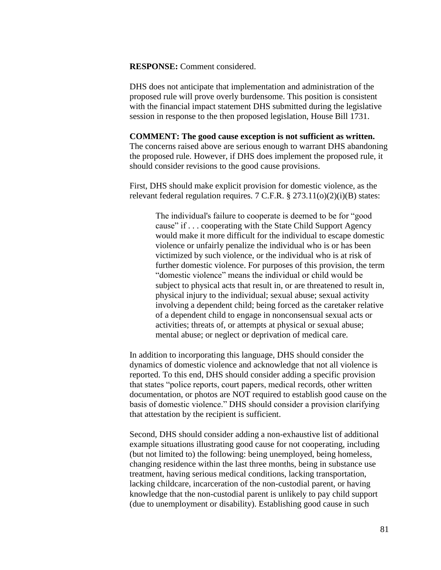**RESPONSE:** Comment considered.

DHS does not anticipate that implementation and administration of the proposed rule will prove overly burdensome. This position is consistent with the financial impact statement DHS submitted during the legislative session in response to the then proposed legislation, House Bill 1731.

#### **COMMENT: The good cause exception is not sufficient as written.**

The concerns raised above are serious enough to warrant DHS abandoning the proposed rule. However, if DHS does implement the proposed rule, it should consider revisions to the good cause provisions.

First, DHS should make explicit provision for domestic violence, as the relevant federal regulation requires. 7 C.F.R. § 273.11(o)(2)(i)(B) states:

> The individual's failure to cooperate is deemed to be for "good cause" if . . . cooperating with the State Child Support Agency would make it more difficult for the individual to escape domestic violence or unfairly penalize the individual who is or has been victimized by such violence, or the individual who is at risk of further domestic violence. For purposes of this provision, the term "domestic violence" means the individual or child would be subject to physical acts that result in, or are threatened to result in, physical injury to the individual; sexual abuse; sexual activity involving a dependent child; being forced as the caretaker relative of a dependent child to engage in nonconsensual sexual acts or activities; threats of, or attempts at physical or sexual abuse; mental abuse; or neglect or deprivation of medical care.

In addition to incorporating this language, DHS should consider the dynamics of domestic violence and acknowledge that not all violence is reported. To this end, DHS should consider adding a specific provision that states "police reports, court papers, medical records, other written documentation, or photos are NOT required to establish good cause on the basis of domestic violence." DHS should consider a provision clarifying that attestation by the recipient is sufficient.

Second, DHS should consider adding a non-exhaustive list of additional example situations illustrating good cause for not cooperating, including (but not limited to) the following: being unemployed, being homeless, changing residence within the last three months, being in substance use treatment, having serious medical conditions, lacking transportation, lacking childcare, incarceration of the non-custodial parent, or having knowledge that the non-custodial parent is unlikely to pay child support (due to unemployment or disability). Establishing good cause in such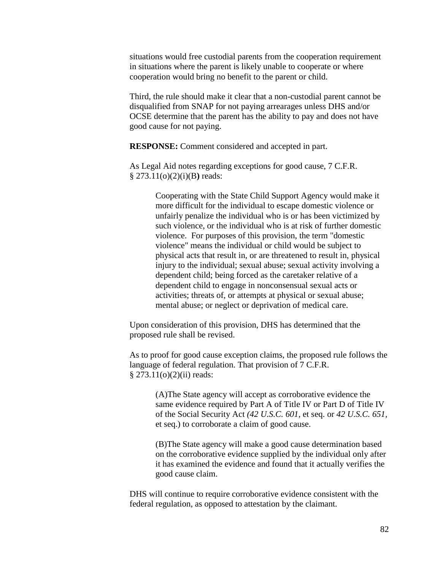situations would free custodial parents from the cooperation requirement in situations where the parent is likely unable to cooperate or where cooperation would bring no benefit to the parent or child.

Third, the rule should make it clear that a non-custodial parent cannot be disqualified from SNAP for not paying arrearages unless DHS and/or OCSE determine that the parent has the ability to pay and does not have good cause for not paying.

**RESPONSE:** Comment considered and accepted in part.

As Legal Aid notes regarding exceptions for good cause, 7 C.F.R. § 273.11(o)(2)(i)(B**)** reads:

> Cooperating with the State Child Support Agency would make it more difficult for the individual to escape domestic violence or unfairly penalize the individual who is or has been victimized by such violence, or the individual who is at risk of further domestic violence. For purposes of this provision, the term "domestic violence" means the individual or child would be subject to physical acts that result in, or are threatened to result in, physical injury to the individual; sexual abuse; sexual activity involving a dependent child; being forced as the caretaker relative of a dependent child to engage in nonconsensual sexual acts or activities; threats of, or attempts at physical or sexual abuse; mental abuse; or neglect or deprivation of medical care.

Upon consideration of this provision, DHS has determined that the proposed rule shall be revised.

As to proof for good cause exception claims, the proposed rule follows the language of federal regulation. That provision of 7 C.F.R. § 273.11(o)(2)(ii) reads:

(A)The State agency will accept as corroborative evidence the same evidence required by Part A of Title IV or Part D of Title IV of the Social Security Act *(42 U.S.C. 601,* et seq. or *42 U.S.C. 651,*  et seq.) to corroborate a claim of good cause.

(B)The State agency will make a good cause determination based on the corroborative evidence supplied by the individual only after it has examined the evidence and found that it actually verifies the good cause claim.

DHS will continue to require corroborative evidence consistent with the federal regulation, as opposed to attestation by the claimant.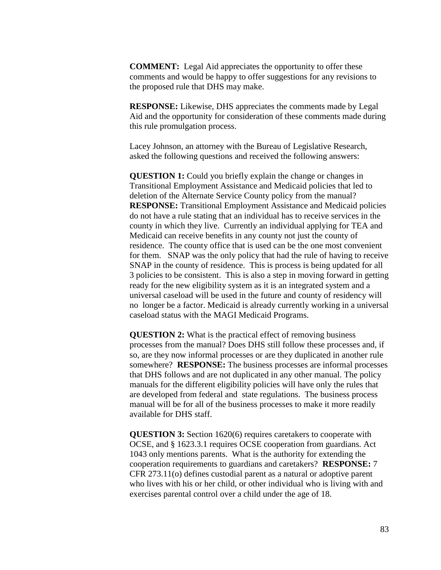**COMMENT:** Legal Aid appreciates the opportunity to offer these comments and would be happy to offer suggestions for any revisions to the proposed rule that DHS may make.

**RESPONSE:** Likewise, DHS appreciates the comments made by Legal Aid and the opportunity for consideration of these comments made during this rule promulgation process.

Lacey Johnson, an attorney with the Bureau of Legislative Research, asked the following questions and received the following answers:

**QUESTION 1:** Could you briefly explain the change or changes in Transitional Employment Assistance and Medicaid policies that led to deletion of the Alternate Service County policy from the manual? **RESPONSE:** Transitional Employment Assistance and Medicaid policies do not have a rule stating that an individual has to receive services in the county in which they live. Currently an individual applying for TEA and Medicaid can receive benefits in any county not just the county of residence. The county office that is used can be the one most convenient for them. SNAP was the only policy that had the rule of having to receive SNAP in the county of residence. This is process is being updated for all 3 policies to be consistent. This is also a step in moving forward in getting ready for the new eligibility system as it is an integrated system and a universal caseload will be used in the future and county of residency will no longer be a factor. Medicaid is already currently working in a universal caseload status with the MAGI Medicaid Programs.

**QUESTION 2:** What is the practical effect of removing business processes from the manual? Does DHS still follow these processes and, if so, are they now informal processes or are they duplicated in another rule somewhere? **RESPONSE:** The business processes are informal processes that DHS follows and are not duplicated in any other manual. The policy manuals for the different eligibility policies will have only the rules that are developed from federal and state regulations. The business process manual will be for all of the business processes to make it more readily available for DHS staff.

**QUESTION 3:** Section 1620(6) requires caretakers to cooperate with OCSE, and § 1623.3.1 requires OCSE cooperation from guardians. Act 1043 only mentions parents. What is the authority for extending the cooperation requirements to guardians and caretakers? **RESPONSE:** 7 CFR 273.11(o) defines custodial parent as a natural or adoptive parent who lives with his or her child, or other individual who is living with and exercises parental control over a child under the age of 18.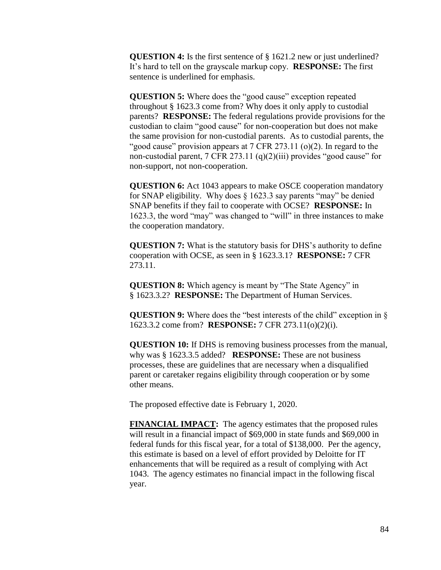**QUESTION 4:** Is the first sentence of § 1621.2 new or just underlined? It's hard to tell on the grayscale markup copy. **RESPONSE:** The first sentence is underlined for emphasis.

**QUESTION 5:** Where does the "good cause" exception repeated throughout § 1623.3 come from? Why does it only apply to custodial parents? **RESPONSE:** The federal regulations provide provisions for the custodian to claim "good cause" for non-cooperation but does not make the same provision for non-custodial parents. As to custodial parents, the "good cause" provision appears at  $7 \text{ CFR } 273.11$  (o)(2). In regard to the non-custodial parent,  $7 \text{ CFR } 273.11 \text{ (q)}(2)(iii)$  provides "good cause" for non-support, not non-cooperation.

**QUESTION 6:** Act 1043 appears to make OSCE cooperation mandatory for SNAP eligibility. Why does § 1623.3 say parents "may" be denied SNAP benefits if they fail to cooperate with OCSE? **RESPONSE:** In 1623.3, the word "may" was changed to "will" in three instances to make the cooperation mandatory.

**QUESTION 7:** What is the statutory basis for DHS's authority to define cooperation with OCSE, as seen in § 1623.3.1? **RESPONSE:** 7 CFR 273.11.

**QUESTION 8:** Which agency is meant by "The State Agency" in § 1623.3.2? **RESPONSE:** The Department of Human Services.

**QUESTION 9:** Where does the "best interests of the child" exception in § 1623.3.2 come from? **RESPONSE:** 7 CFR 273.11(o)(2)(i).

**QUESTION 10:** If DHS is removing business processes from the manual, why was § 1623.3.5 added? **RESPONSE:** These are not business processes, these are guidelines that are necessary when a disqualified parent or caretaker regains eligibility through cooperation or by some other means.

The proposed effective date is February 1, 2020.

**FINANCIAL IMPACT:** The agency estimates that the proposed rules will result in a financial impact of \$69,000 in state funds and \$69,000 in federal funds for this fiscal year, for a total of \$138,000. Per the agency, this estimate is based on a level of effort provided by Deloitte for IT enhancements that will be required as a result of complying with Act 1043. The agency estimates no financial impact in the following fiscal year.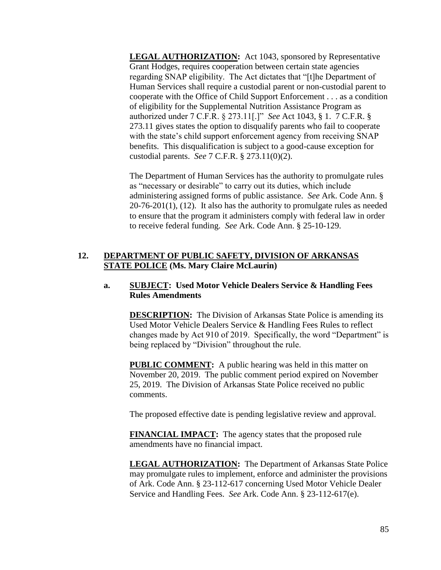**LEGAL AUTHORIZATION:** Act 1043, sponsored by Representative Grant Hodges, requires cooperation between certain state agencies regarding SNAP eligibility. The Act dictates that "[t]he Department of Human Services shall require a custodial parent or non-custodial parent to cooperate with the Office of Child Support Enforcement . . . as a condition of eligibility for the Supplemental Nutrition Assistance Program as authorized under 7 C.F.R. § 273.11[.]" *See* Act 1043, § 1. 7 C.F.R. § 273.11 gives states the option to disqualify parents who fail to cooperate with the state's child support enforcement agency from receiving SNAP benefits. This disqualification is subject to a good-cause exception for custodial parents. *See* 7 C.F.R. § 273.11(0)(2).

The Department of Human Services has the authority to promulgate rules as "necessary or desirable" to carry out its duties, which include administering assigned forms of public assistance. *See* Ark. Code Ann. §  $20-76-201(1)$ ,  $(12)$ . It also has the authority to promulgate rules as needed to ensure that the program it administers comply with federal law in order to receive federal funding. *See* Ark. Code Ann. § 25-10-129.

# **12. DEPARTMENT OF PUBLIC SAFETY, DIVISION OF ARKANSAS STATE POLICE (Ms. Mary Claire McLaurin)**

## **a. SUBJECT: Used Motor Vehicle Dealers Service & Handling Fees Rules Amendments**

**DESCRIPTION:** The Division of Arkansas State Police is amending its Used Motor Vehicle Dealers Service & Handling Fees Rules to reflect changes made by Act 910 of 2019. Specifically, the word "Department" is being replaced by "Division" throughout the rule.

**PUBLIC COMMENT:** A public hearing was held in this matter on November 20, 2019. The public comment period expired on November 25, 2019. The Division of Arkansas State Police received no public comments.

The proposed effective date is pending legislative review and approval.

**FINANCIAL IMPACT:** The agency states that the proposed rule amendments have no financial impact.

**LEGAL AUTHORIZATION:** The Department of Arkansas State Police may promulgate rules to implement, enforce and administer the provisions of Ark. Code Ann. § 23-112-617 concerning Used Motor Vehicle Dealer Service and Handling Fees. *See* Ark. Code Ann. § 23-112-617(e).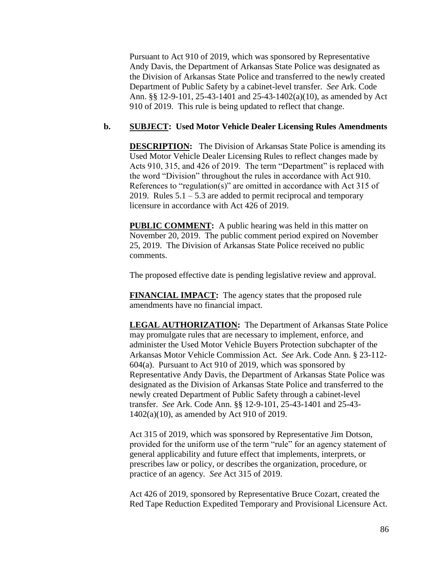Pursuant to Act 910 of 2019, which was sponsored by Representative Andy Davis, the Department of Arkansas State Police was designated as the Division of Arkansas State Police and transferred to the newly created Department of Public Safety by a cabinet-level transfer. *See* Ark. Code Ann. §§ 12-9-101, 25-43-1401 and 25-43-1402(a)(10), as amended by Act 910 of 2019. This rule is being updated to reflect that change.

#### **b. SUBJECT: Used Motor Vehicle Dealer Licensing Rules Amendments**

**DESCRIPTION:** The Division of Arkansas State Police is amending its Used Motor Vehicle Dealer Licensing Rules to reflect changes made by Acts 910, 315, and 426 of 2019. The term "Department" is replaced with the word "Division" throughout the rules in accordance with Act 910. References to "regulation(s)" are omitted in accordance with Act 315 of 2019. Rules  $5.1 - 5.3$  are added to permit reciprocal and temporary licensure in accordance with Act 426 of 2019.

**PUBLIC COMMENT:** A public hearing was held in this matter on November 20, 2019. The public comment period expired on November 25, 2019. The Division of Arkansas State Police received no public comments.

The proposed effective date is pending legislative review and approval.

**FINANCIAL IMPACT:** The agency states that the proposed rule amendments have no financial impact.

**LEGAL AUTHORIZATION:** The Department of Arkansas State Police may promulgate rules that are necessary to implement, enforce, and administer the Used Motor Vehicle Buyers Protection subchapter of the Arkansas Motor Vehicle Commission Act. *See* Ark. Code Ann. § 23-112- 604(a). Pursuant to Act 910 of 2019, which was sponsored by Representative Andy Davis, the Department of Arkansas State Police was designated as the Division of Arkansas State Police and transferred to the newly created Department of Public Safety through a cabinet-level transfer. *See* Ark. Code Ann. §§ 12-9-101, 25-43-1401 and 25-43- 1402(a)(10), as amended by Act 910 of 2019.

Act 315 of 2019, which was sponsored by Representative Jim Dotson, provided for the uniform use of the term "rule" for an agency statement of general applicability and future effect that implements, interprets, or prescribes law or policy, or describes the organization, procedure, or practice of an agency. *See* Act 315 of 2019.

Act 426 of 2019, sponsored by Representative Bruce Cozart, created the Red Tape Reduction Expedited Temporary and Provisional Licensure Act.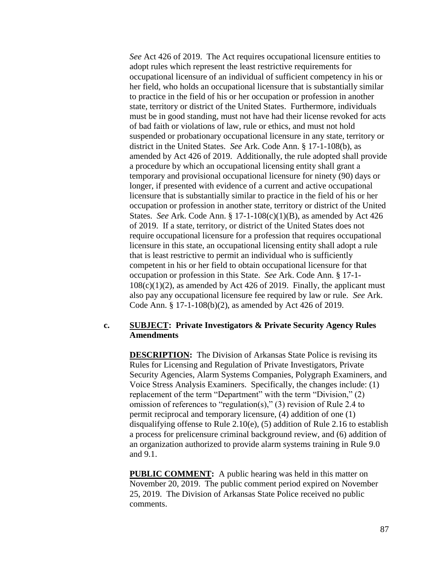*See* Act 426 of 2019. The Act requires occupational licensure entities to adopt rules which represent the least restrictive requirements for occupational licensure of an individual of sufficient competency in his or her field, who holds an occupational licensure that is substantially similar to practice in the field of his or her occupation or profession in another state, territory or district of the United States. Furthermore, individuals must be in good standing, must not have had their license revoked for acts of bad faith or violations of law, rule or ethics, and must not hold suspended or probationary occupational licensure in any state, territory or district in the United States. *See* Ark. Code Ann. § 17-1-108(b), as amended by Act 426 of 2019. Additionally, the rule adopted shall provide a procedure by which an occupational licensing entity shall grant a temporary and provisional occupational licensure for ninety (90) days or longer, if presented with evidence of a current and active occupational licensure that is substantially similar to practice in the field of his or her occupation or profession in another state, territory or district of the United States. *See* Ark. Code Ann. § 17-1-108(c)(1)(B), as amended by Act 426 of 2019. If a state, territory, or district of the United States does not require occupational licensure for a profession that requires occupational licensure in this state, an occupational licensing entity shall adopt a rule that is least restrictive to permit an individual who is sufficiently competent in his or her field to obtain occupational licensure for that occupation or profession in this State. *See* Ark. Code Ann. § 17-1-  $108(c)(1)(2)$ , as amended by Act 426 of 2019. Finally, the applicant must also pay any occupational licensure fee required by law or rule. *See* Ark. Code Ann. § 17-1-108(b)(2), as amended by Act 426 of 2019.

#### **c. SUBJECT: Private Investigators & Private Security Agency Rules Amendments**

**DESCRIPTION:** The Division of Arkansas State Police is revising its Rules for Licensing and Regulation of Private Investigators, Private Security Agencies, Alarm Systems Companies, Polygraph Examiners, and Voice Stress Analysis Examiners. Specifically, the changes include: (1) replacement of the term "Department" with the term "Division," (2) omission of references to "regulation(s)," (3) revision of Rule 2.4 to permit reciprocal and temporary licensure, (4) addition of one (1) disqualifying offense to Rule 2.10(e), (5) addition of Rule 2.16 to establish a process for prelicensure criminal background review, and (6) addition of an organization authorized to provide alarm systems training in Rule 9.0 and 9.1.

**PUBLIC COMMENT:** A public hearing was held in this matter on November 20, 2019. The public comment period expired on November 25, 2019. The Division of Arkansas State Police received no public comments.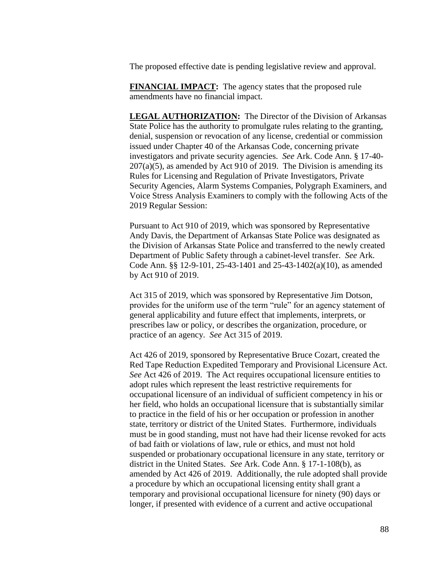The proposed effective date is pending legislative review and approval.

**FINANCIAL IMPACT:** The agency states that the proposed rule amendments have no financial impact.

**LEGAL AUTHORIZATION:** The Director of the Division of Arkansas State Police has the authority to promulgate rules relating to the granting, denial, suspension or revocation of any license, credential or commission issued under Chapter 40 of the Arkansas Code, concerning private investigators and private security agencies. *See* Ark. Code Ann. § 17-40-  $207(a)(5)$ , as amended by Act 910 of 2019. The Division is amending its Rules for Licensing and Regulation of Private Investigators, Private Security Agencies, Alarm Systems Companies, Polygraph Examiners, and Voice Stress Analysis Examiners to comply with the following Acts of the 2019 Regular Session:

Pursuant to Act 910 of 2019, which was sponsored by Representative Andy Davis, the Department of Arkansas State Police was designated as the Division of Arkansas State Police and transferred to the newly created Department of Public Safety through a cabinet-level transfer. *See* Ark. Code Ann. §§ 12-9-101, 25-43-1401 and 25-43-1402(a)(10), as amended by Act 910 of 2019.

Act 315 of 2019, which was sponsored by Representative Jim Dotson, provides for the uniform use of the term "rule" for an agency statement of general applicability and future effect that implements, interprets, or prescribes law or policy, or describes the organization, procedure, or practice of an agency. *See* Act 315 of 2019.

Act 426 of 2019, sponsored by Representative Bruce Cozart, created the Red Tape Reduction Expedited Temporary and Provisional Licensure Act. *See* Act 426 of 2019. The Act requires occupational licensure entities to adopt rules which represent the least restrictive requirements for occupational licensure of an individual of sufficient competency in his or her field, who holds an occupational licensure that is substantially similar to practice in the field of his or her occupation or profession in another state, territory or district of the United States. Furthermore, individuals must be in good standing, must not have had their license revoked for acts of bad faith or violations of law, rule or ethics, and must not hold suspended or probationary occupational licensure in any state, territory or district in the United States. *See* Ark. Code Ann. § 17-1-108(b), as amended by Act 426 of 2019. Additionally, the rule adopted shall provide a procedure by which an occupational licensing entity shall grant a temporary and provisional occupational licensure for ninety (90) days or longer, if presented with evidence of a current and active occupational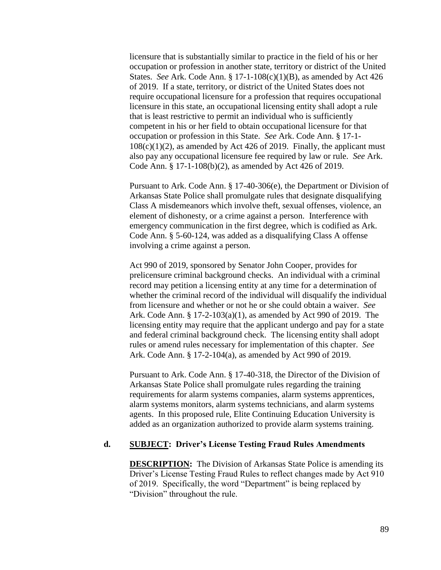licensure that is substantially similar to practice in the field of his or her occupation or profession in another state, territory or district of the United States. *See* Ark. Code Ann. § 17-1-108(c)(1)(B), as amended by Act 426 of 2019. If a state, territory, or district of the United States does not require occupational licensure for a profession that requires occupational licensure in this state, an occupational licensing entity shall adopt a rule that is least restrictive to permit an individual who is sufficiently competent in his or her field to obtain occupational licensure for that occupation or profession in this State. *See* Ark. Code Ann. § 17-1-  $108(c)(1)(2)$ , as amended by Act 426 of 2019. Finally, the applicant must also pay any occupational licensure fee required by law or rule. *See* Ark. Code Ann. § 17-1-108(b)(2), as amended by Act 426 of 2019.

Pursuant to Ark. Code Ann. § 17-40-306(e), the Department or Division of Arkansas State Police shall promulgate rules that designate disqualifying Class A misdemeanors which involve theft, sexual offenses, violence, an element of dishonesty, or a crime against a person. Interference with emergency communication in the first degree, which is codified as Ark. Code Ann. § 5-60-124, was added as a disqualifying Class A offense involving a crime against a person.

Act 990 of 2019, sponsored by Senator John Cooper, provides for prelicensure criminal background checks. An individual with a criminal record may petition a licensing entity at any time for a determination of whether the criminal record of the individual will disqualify the individual from licensure and whether or not he or she could obtain a waiver. *See* Ark. Code Ann. § 17-2-103(a)(1), as amended by Act 990 of 2019. The licensing entity may require that the applicant undergo and pay for a state and federal criminal background check. The licensing entity shall adopt rules or amend rules necessary for implementation of this chapter. *See* Ark. Code Ann. § 17-2-104(a), as amended by Act 990 of 2019.

Pursuant to Ark. Code Ann. § 17-40-318, the Director of the Division of Arkansas State Police shall promulgate rules regarding the training requirements for alarm systems companies, alarm systems apprentices, alarm systems monitors, alarm systems technicians, and alarm systems agents. In this proposed rule, Elite Continuing Education University is added as an organization authorized to provide alarm systems training.

### **d. SUBJECT: Driver's License Testing Fraud Rules Amendments**

**DESCRIPTION:** The Division of Arkansas State Police is amending its Driver's License Testing Fraud Rules to reflect changes made by Act 910 of 2019. Specifically, the word "Department" is being replaced by "Division" throughout the rule.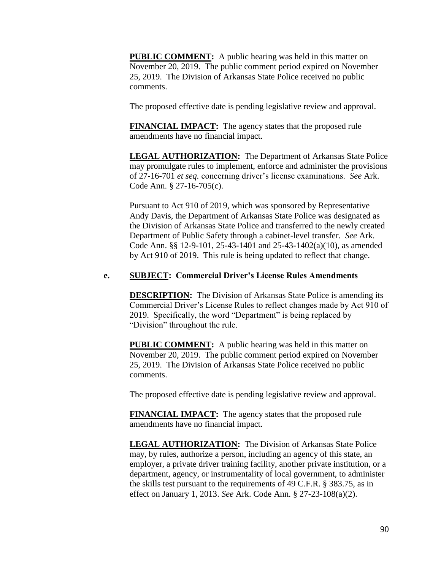**PUBLIC COMMENT:** A public hearing was held in this matter on November 20, 2019. The public comment period expired on November 25, 2019. The Division of Arkansas State Police received no public comments.

The proposed effective date is pending legislative review and approval.

**FINANCIAL IMPACT:** The agency states that the proposed rule amendments have no financial impact.

**LEGAL AUTHORIZATION:** The Department of Arkansas State Police may promulgate rules to implement, enforce and administer the provisions of 27-16-701 *et seq.* concerning driver's license examinations. *See* Ark. Code Ann. § 27-16-705(c).

Pursuant to Act 910 of 2019, which was sponsored by Representative Andy Davis, the Department of Arkansas State Police was designated as the Division of Arkansas State Police and transferred to the newly created Department of Public Safety through a cabinet-level transfer. *See* Ark. Code Ann. §§ 12-9-101, 25-43-1401 and 25-43-1402(a)(10), as amended by Act 910 of 2019. This rule is being updated to reflect that change.

#### **e. SUBJECT: Commercial Driver's License Rules Amendments**

**DESCRIPTION:** The Division of Arkansas State Police is amending its Commercial Driver's License Rules to reflect changes made by Act 910 of 2019. Specifically, the word "Department" is being replaced by "Division" throughout the rule.

**PUBLIC COMMENT:** A public hearing was held in this matter on November 20, 2019. The public comment period expired on November 25, 2019. The Division of Arkansas State Police received no public comments.

The proposed effective date is pending legislative review and approval.

**FINANCIAL IMPACT:** The agency states that the proposed rule amendments have no financial impact.

**LEGAL AUTHORIZATION:** The Division of Arkansas State Police may, by rules, authorize a person, including an agency of this state, an employer, a private driver training facility, another private institution, or a department, agency, or instrumentality of local government, to administer the skills test pursuant to the requirements of 49 C.F.R. § 383.75, as in effect on January 1, 2013. *See* Ark. Code Ann. § 27-23-108(a)(2).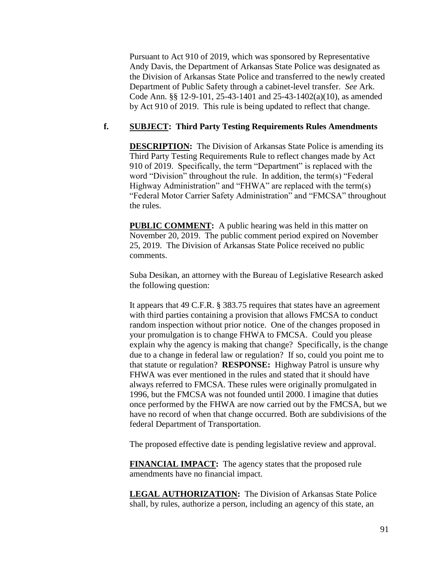Pursuant to Act 910 of 2019, which was sponsored by Representative Andy Davis, the Department of Arkansas State Police was designated as the Division of Arkansas State Police and transferred to the newly created Department of Public Safety through a cabinet-level transfer. *See* Ark. Code Ann. §§ 12-9-101, 25-43-1401 and 25-43-1402(a)(10), as amended by Act 910 of 2019. This rule is being updated to reflect that change.

## **f. SUBJECT: Third Party Testing Requirements Rules Amendments**

**DESCRIPTION:** The Division of Arkansas State Police is amending its Third Party Testing Requirements Rule to reflect changes made by Act 910 of 2019. Specifically, the term "Department" is replaced with the word "Division" throughout the rule. In addition, the term(s) "Federal Highway Administration" and "FHWA" are replaced with the term(s) "Federal Motor Carrier Safety Administration" and "FMCSA" throughout the rules.

**PUBLIC COMMENT:** A public hearing was held in this matter on November 20, 2019. The public comment period expired on November 25, 2019. The Division of Arkansas State Police received no public comments.

Suba Desikan, an attorney with the Bureau of Legislative Research asked the following question:

It appears that 49 C.F.R. § 383.75 requires that states have an agreement with third parties containing a provision that allows FMCSA to conduct random inspection without prior notice. One of the changes proposed in your promulgation is to change FHWA to FMCSA. Could you please explain why the agency is making that change? Specifically, is the change due to a change in federal law or regulation? If so, could you point me to that statute or regulation? **RESPONSE:** Highway Patrol is unsure why FHWA was ever mentioned in the rules and stated that it should have always referred to FMCSA. These rules were originally promulgated in 1996, but the FMCSA was not founded until 2000. I imagine that duties once performed by the FHWA are now carried out by the FMCSA, but we have no record of when that change occurred. Both are subdivisions of the federal Department of Transportation.

The proposed effective date is pending legislative review and approval.

**FINANCIAL IMPACT:** The agency states that the proposed rule amendments have no financial impact.

**LEGAL AUTHORIZATION:** The Division of Arkansas State Police shall, by rules, authorize a person, including an agency of this state, an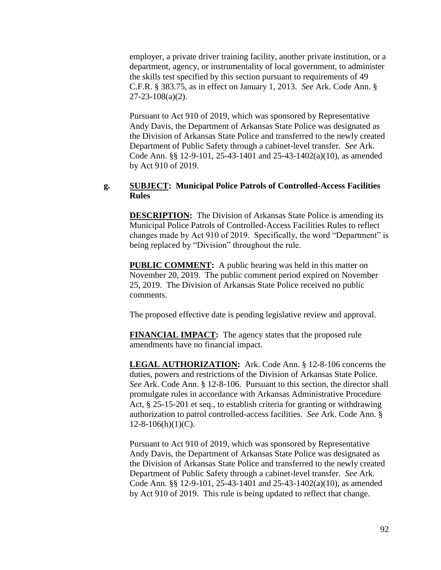employer, a private driver training facility, another private institution, or a department, agency, or instrumentality of local government, to administer the skills test specified by this section pursuant to requirements of 49 C.F.R. § 383.75, as in effect on January 1, 2013. *See* Ark. Code Ann. § 27-23-108(a)(2).

Pursuant to Act 910 of 2019, which was sponsored by Representative Andy Davis, the Department of Arkansas State Police was designated as the Division of Arkansas State Police and transferred to the newly created Department of Public Safety through a cabinet-level transfer. *See* Ark. Code Ann. §§ 12-9-101, 25-43-1401 and 25-43-1402(a)(10), as amended by Act 910 of 2019.

#### **g. SUBJECT: Municipal Police Patrols of Controlled-Access Facilities Rules**

**DESCRIPTION:** The Division of Arkansas State Police is amending its Municipal Police Patrols of Controlled-Access Facilities Rules to reflect changes made by Act 910 of 2019. Specifically, the word "Department" is being replaced by "Division" throughout the rule.

**PUBLIC COMMENT:** A public hearing was held in this matter on November 20, 2019. The public comment period expired on November 25, 2019. The Division of Arkansas State Police received no public comments.

The proposed effective date is pending legislative review and approval.

**FINANCIAL IMPACT:** The agency states that the proposed rule amendments have no financial impact.

**LEGAL AUTHORIZATION:** Ark. Code Ann. § 12-8-106 concerns the duties, powers and restrictions of the Division of Arkansas State Police. *See* Ark. Code Ann. § 12-8-106. Pursuant to this section, the director shall promulgate rules in accordance with Arkansas Administrative Procedure Act, § 25-15-201 et seq., to establish criteria for granting or withdrawing authorization to patrol controlled-access facilities. *See* Ark. Code Ann. §  $12-8-106(h)(1)(C)$ .

Pursuant to Act 910 of 2019, which was sponsored by Representative Andy Davis, the Department of Arkansas State Police was designated as the Division of Arkansas State Police and transferred to the newly created Department of Public Safety through a cabinet-level transfer. *See* Ark. Code Ann. §§ 12-9-101, 25-43-1401 and 25-43-1402(a)(10), as amended by Act 910 of 2019. This rule is being updated to reflect that change.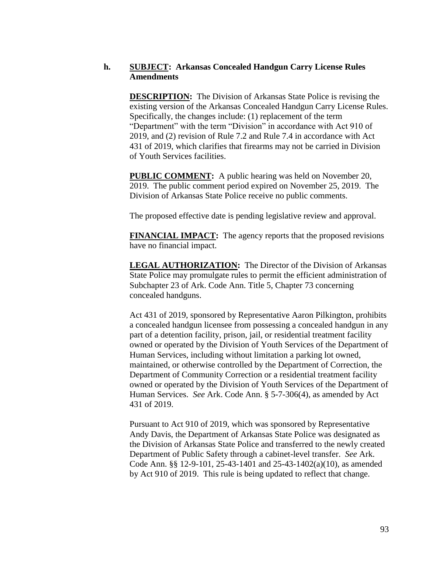## **h. SUBJECT: Arkansas Concealed Handgun Carry License Rules Amendments**

**DESCRIPTION:** The Division of Arkansas State Police is revising the existing version of the Arkansas Concealed Handgun Carry License Rules. Specifically, the changes include: (1) replacement of the term "Department" with the term "Division" in accordance with Act 910 of 2019, and (2) revision of Rule 7.2 and Rule 7.4 in accordance with Act 431 of 2019, which clarifies that firearms may not be carried in Division of Youth Services facilities.

**PUBLIC COMMENT:** A public hearing was held on November 20, 2019. The public comment period expired on November 25, 2019. The Division of Arkansas State Police receive no public comments.

The proposed effective date is pending legislative review and approval.

**FINANCIAL IMPACT:** The agency reports that the proposed revisions have no financial impact.

**LEGAL AUTHORIZATION:** The Director of the Division of Arkansas State Police may promulgate rules to permit the efficient administration of Subchapter 23 of Ark. Code Ann. Title 5, Chapter 73 concerning concealed handguns.

Act 431 of 2019, sponsored by Representative Aaron Pilkington, prohibits a concealed handgun licensee from possessing a concealed handgun in any part of a detention facility, prison, jail, or residential treatment facility owned or operated by the Division of Youth Services of the Department of Human Services, including without limitation a parking lot owned, maintained, or otherwise controlled by the Department of Correction, the Department of Community Correction or a residential treatment facility owned or operated by the Division of Youth Services of the Department of Human Services. *See* Ark. Code Ann. § 5-7-306(4), as amended by Act 431 of 2019.

Pursuant to Act 910 of 2019, which was sponsored by Representative Andy Davis, the Department of Arkansas State Police was designated as the Division of Arkansas State Police and transferred to the newly created Department of Public Safety through a cabinet-level transfer. *See* Ark. Code Ann. §§ 12-9-101, 25-43-1401 and 25-43-1402(a)(10), as amended by Act 910 of 2019. This rule is being updated to reflect that change.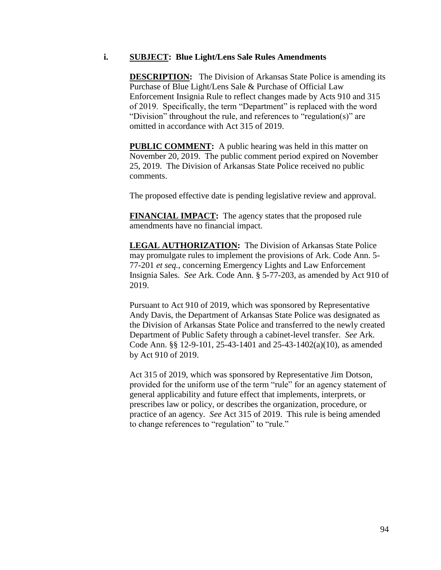#### **i. SUBJECT: Blue Light/Lens Sale Rules Amendments**

**DESCRIPTION:** The Division of Arkansas State Police is amending its Purchase of Blue Light/Lens Sale & Purchase of Official Law Enforcement Insignia Rule to reflect changes made by Acts 910 and 315 of 2019. Specifically, the term "Department" is replaced with the word "Division" throughout the rule, and references to "regulation(s)" are omitted in accordance with Act 315 of 2019.

**PUBLIC COMMENT:** A public hearing was held in this matter on November 20, 2019. The public comment period expired on November 25, 2019. The Division of Arkansas State Police received no public comments.

The proposed effective date is pending legislative review and approval.

**FINANCIAL IMPACT:** The agency states that the proposed rule amendments have no financial impact.

**LEGAL AUTHORIZATION:** The Division of Arkansas State Police may promulgate rules to implement the provisions of Ark. Code Ann. 5- 77-201 *et seq.*, concerning Emergency Lights and Law Enforcement Insignia Sales. *See* Ark. Code Ann. § 5-77-203, as amended by Act 910 of 2019.

Pursuant to Act 910 of 2019, which was sponsored by Representative Andy Davis, the Department of Arkansas State Police was designated as the Division of Arkansas State Police and transferred to the newly created Department of Public Safety through a cabinet-level transfer. *See* Ark. Code Ann. §§ 12-9-101, 25-43-1401 and 25-43-1402(a)(10), as amended by Act 910 of 2019.

Act 315 of 2019, which was sponsored by Representative Jim Dotson, provided for the uniform use of the term "rule" for an agency statement of general applicability and future effect that implements, interprets, or prescribes law or policy, or describes the organization, procedure, or practice of an agency. *See* Act 315 of 2019. This rule is being amended to change references to "regulation" to "rule."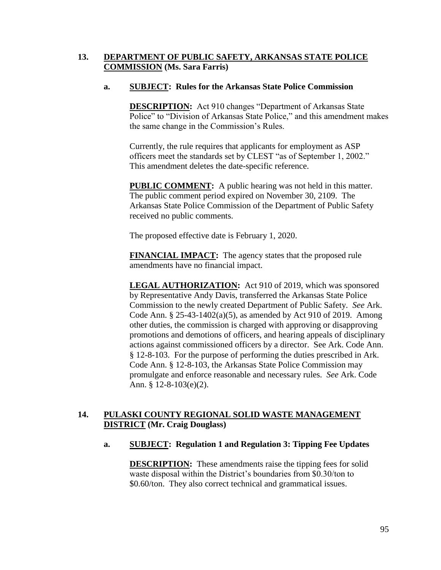# **13. DEPARTMENT OF PUBLIC SAFETY, ARKANSAS STATE POLICE COMMISSION (Ms. Sara Farris)**

## **a. SUBJECT: Rules for the Arkansas State Police Commission**

**DESCRIPTION:** Act 910 changes "Department of Arkansas State Police" to "Division of Arkansas State Police," and this amendment makes the same change in the Commission's Rules.

Currently, the rule requires that applicants for employment as ASP officers meet the standards set by CLEST "as of September 1, 2002." This amendment deletes the date-specific reference.

**PUBLIC COMMENT:** A public hearing was not held in this matter. The public comment period expired on November 30, 2109. The Arkansas State Police Commission of the Department of Public Safety received no public comments.

The proposed effective date is February 1, 2020.

**FINANCIAL IMPACT:** The agency states that the proposed rule amendments have no financial impact.

**LEGAL AUTHORIZATION:** Act 910 of 2019, which was sponsored by Representative Andy Davis, transferred the Arkansas State Police Commission to the newly created Department of Public Safety. *See* Ark. Code Ann. § 25-43-1402(a)(5), as amended by Act 910 of 2019. Among other duties, the commission is charged with approving or disapproving promotions and demotions of officers, and hearing appeals of disciplinary actions against commissioned officers by a director. See Ark. Code Ann. § 12-8-103. For the purpose of performing the duties prescribed in Ark. Code Ann. § 12-8-103, the Arkansas State Police Commission may promulgate and enforce reasonable and necessary rules. *See* Ark. Code Ann. § 12-8-103(e)(2).

# **14. PULASKI COUNTY REGIONAL SOLID WASTE MANAGEMENT DISTRICT (Mr. Craig Douglass)**

#### **a. SUBJECT: Regulation 1 and Regulation 3: Tipping Fee Updates**

**DESCRIPTION:** These amendments raise the tipping fees for solid waste disposal within the District's boundaries from \$0.30/ton to \$0.60/ton. They also correct technical and grammatical issues.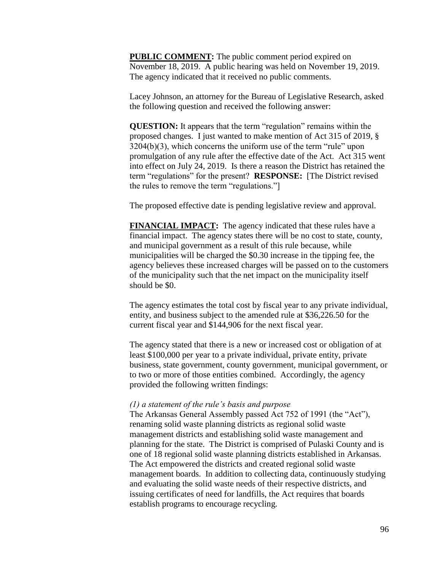**PUBLIC COMMENT:** The public comment period expired on November 18, 2019. A public hearing was held on November 19, 2019. The agency indicated that it received no public comments.

Lacey Johnson, an attorney for the Bureau of Legislative Research, asked the following question and received the following answer:

**QUESTION:** It appears that the term "regulation" remains within the proposed changes. I just wanted to make mention of Act 315 of 2019, § 3204(b)(3), which concerns the uniform use of the term "rule" upon promulgation of any rule after the effective date of the Act. Act 315 went into effect on July 24, 2019. Is there a reason the District has retained the term "regulations" for the present? **RESPONSE:** [The District revised the rules to remove the term "regulations."]

The proposed effective date is pending legislative review and approval.

**FINANCIAL IMPACT:** The agency indicated that these rules have a financial impact. The agency states there will be no cost to state, county, and municipal government as a result of this rule because, while municipalities will be charged the \$0.30 increase in the tipping fee, the agency believes these increased charges will be passed on to the customers of the municipality such that the net impact on the municipality itself should be \$0.

The agency estimates the total cost by fiscal year to any private individual, entity, and business subject to the amended rule at \$36,226.50 for the current fiscal year and \$144,906 for the next fiscal year.

The agency stated that there is a new or increased cost or obligation of at least \$100,000 per year to a private individual, private entity, private business, state government, county government, municipal government, or to two or more of those entities combined. Accordingly, the agency provided the following written findings:

#### *(1) a statement of the rule's basis and purpose*

The Arkansas General Assembly passed Act 752 of 1991 (the "Act"), renaming solid waste planning districts as regional solid waste management districts and establishing solid waste management and planning for the state. The District is comprised of Pulaski County and is one of 18 regional solid waste planning districts established in Arkansas. The Act empowered the districts and created regional solid waste management boards. In addition to collecting data, continuously studying and evaluating the solid waste needs of their respective districts, and issuing certificates of need for landfills, the Act requires that boards establish programs to encourage recycling.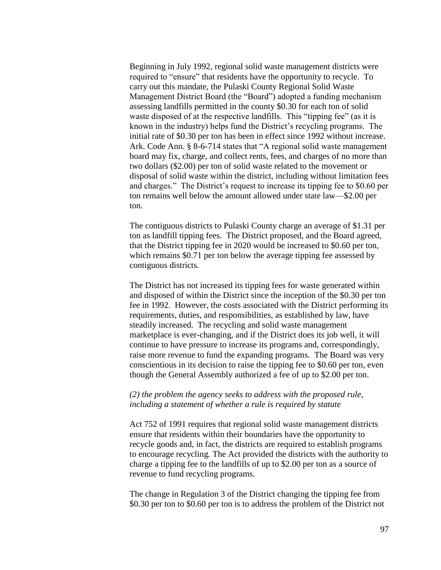Beginning in July 1992, regional solid waste management districts were required to "ensure" that residents have the opportunity to recycle. To carry out this mandate, the Pulaski County Regional Solid Waste Management District Board (the "Board") adopted a funding mechanism assessing landfills permitted in the county \$0.30 for each ton of solid waste disposed of at the respective landfills. This "tipping fee" (as it is known in the industry) helps fund the District's recycling programs. The initial rate of \$0.30 per ton has been in effect since 1992 without increase. Ark. Code Ann. § 8-6-714 states that "A regional solid waste management board may fix, charge, and collect rents, fees, and charges of no more than two dollars (\$2.00) per ton of solid waste related to the movement or disposal of solid waste within the district, including without limitation fees and charges." The District's request to increase its tipping fee to \$0.60 per ton remains well below the amount allowed under state law—\$2.00 per ton.

The contiguous districts to Pulaski County charge an average of \$1.31 per ton as landfill tipping fees. The District proposed, and the Board agreed, that the District tipping fee in 2020 would be increased to \$0.60 per ton, which remains \$0.71 per ton below the average tipping fee assessed by contiguous districts.

The District has not increased its tipping fees for waste generated within and disposed of within the District since the inception of the \$0.30 per ton fee in 1992. However, the costs associated with the District performing its requirements, duties, and responsibilities, as established by law, have steadily increased. The recycling and solid waste management marketplace is ever-changing, and if the District does its job well, it will continue to have pressure to increase its programs and, correspondingly, raise more revenue to fund the expanding programs. The Board was very conscientious in its decision to raise the tipping fee to \$0.60 per ton, even though the General Assembly authorized a fee of up to \$2.00 per ton.

#### *(2) the problem the agency seeks to address with the proposed rule, including a statement of whether a rule is required by statute*

Act 752 of 1991 requires that regional solid waste management districts ensure that residents within their boundaries have the opportunity to recycle goods and, in fact, the districts are required to establish programs to encourage recycling. The Act provided the districts with the authority to charge a tipping fee to the landfills of up to \$2.00 per ton as a source of revenue to fund recycling programs.

The change in Regulation 3 of the District changing the tipping fee from \$0.30 per ton to \$0.60 per ton is to address the problem of the District not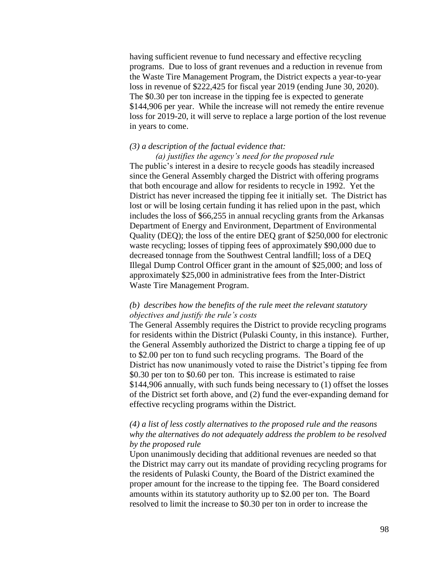having sufficient revenue to fund necessary and effective recycling programs. Due to loss of grant revenues and a reduction in revenue from the Waste Tire Management Program, the District expects a year-to-year loss in revenue of \$222,425 for fiscal year 2019 (ending June 30, 2020). The \$0.30 per ton increase in the tipping fee is expected to generate \$144,906 per year. While the increase will not remedy the entire revenue loss for 2019-20, it will serve to replace a large portion of the lost revenue in years to come.

#### *(3) a description of the factual evidence that:*

*(a) justifies the agency's need for the proposed rule* The public's interest in a desire to recycle goods has steadily increased since the General Assembly charged the District with offering programs that both encourage and allow for residents to recycle in 1992. Yet the District has never increased the tipping fee it initially set. The District has lost or will be losing certain funding it has relied upon in the past, which includes the loss of \$66,255 in annual recycling grants from the Arkansas Department of Energy and Environment, Department of Environmental Quality (DEQ); the loss of the entire DEQ grant of \$250,000 for electronic waste recycling; losses of tipping fees of approximately \$90,000 due to decreased tonnage from the Southwest Central landfill; loss of a DEQ Illegal Dump Control Officer grant in the amount of \$25,000; and loss of approximately \$25,000 in administrative fees from the Inter-District Waste Tire Management Program.

## *(b) describes how the benefits of the rule meet the relevant statutory objectives and justify the rule's costs*

The General Assembly requires the District to provide recycling programs for residents within the District (Pulaski County, in this instance). Further, the General Assembly authorized the District to charge a tipping fee of up to \$2.00 per ton to fund such recycling programs. The Board of the District has now unanimously voted to raise the District's tipping fee from \$0.30 per ton to \$0.60 per ton. This increase is estimated to raise \$144,906 annually, with such funds being necessary to (1) offset the losses of the District set forth above, and (2) fund the ever-expanding demand for effective recycling programs within the District.

## *(4) a list of less costly alternatives to the proposed rule and the reasons why the alternatives do not adequately address the problem to be resolved by the proposed rule*

Upon unanimously deciding that additional revenues are needed so that the District may carry out its mandate of providing recycling programs for the residents of Pulaski County, the Board of the District examined the proper amount for the increase to the tipping fee. The Board considered amounts within its statutory authority up to \$2.00 per ton. The Board resolved to limit the increase to \$0.30 per ton in order to increase the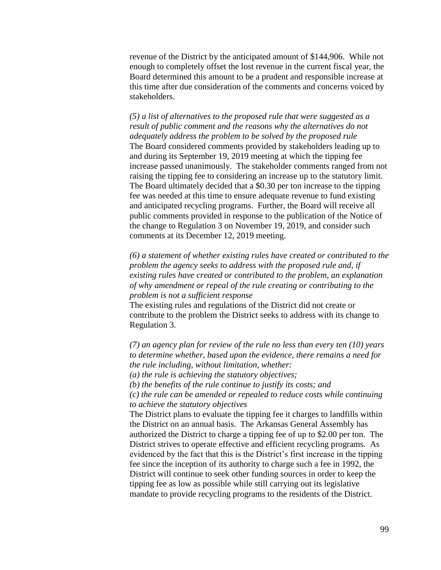revenue of the District by the anticipated amount of \$144,906. While not enough to completely offset the lost revenue in the current fiscal year, the Board determined this amount to be a prudent and responsible increase at this time after due consideration of the comments and concerns voiced by stakeholders.

*(5) a list of alternatives to the proposed rule that were suggested as a result of public comment and the reasons why the alternatives do not adequately address the problem to be solved by the proposed rule* The Board considered comments provided by stakeholders leading up to and during its September 19, 2019 meeting at which the tipping fee increase passed unanimously. The stakeholder comments ranged from not raising the tipping fee to considering an increase up to the statutory limit. The Board ultimately decided that a \$0.30 per ton increase to the tipping fee was needed at this time to ensure adequate revenue to fund existing and anticipated recycling programs. Further, the Board will receive all public comments provided in response to the publication of the Notice of the change to Regulation 3 on November 19, 2019, and consider such comments at its December 12, 2019 meeting.

*(6) a statement of whether existing rules have created or contributed to the problem the agency seeks to address with the proposed rule and, if existing rules have created or contributed to the problem, an explanation of why amendment or repeal of the rule creating or contributing to the problem is not a sufficient response*

The existing rules and regulations of the District did not create or contribute to the problem the District seeks to address with its change to Regulation 3.

*(7) an agency plan for review of the rule no less than every ten (10) years to determine whether, based upon the evidence, there remains a need for the rule including, without limitation, whether:* 

*(a) the rule is achieving the statutory objectives;*

*(b) the benefits of the rule continue to justify its costs; and*

*(c) the rule can be amended or repealed to reduce costs while continuing to achieve the statutory objectives*

The District plans to evaluate the tipping fee it charges to landfills within the District on an annual basis. The Arkansas General Assembly has authorized the District to charge a tipping fee of up to \$2.00 per ton. The District strives to operate effective and efficient recycling programs. As evidenced by the fact that this is the District's first increase in the tipping fee since the inception of its authority to charge such a fee in 1992, the District will continue to seek other funding sources in order to keep the tipping fee as low as possible while still carrying out its legislative mandate to provide recycling programs to the residents of the District.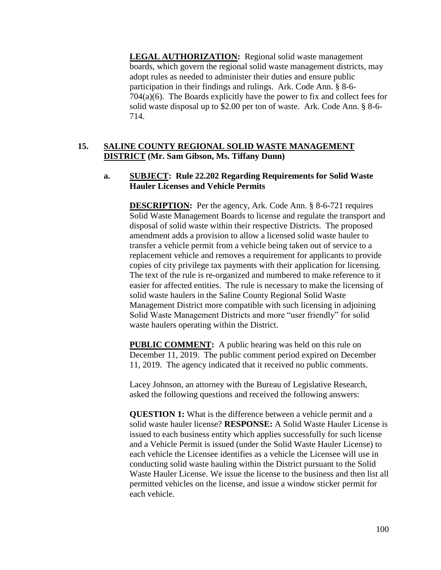**LEGAL AUTHORIZATION:** Regional solid waste management boards, which govern the regional solid waste management districts, may adopt rules as needed to administer their duties and ensure public participation in their findings and rulings. Ark. Code Ann. § 8-6- 704(a)(6). The Boards explicitly have the power to fix and collect fees for solid waste disposal up to \$2.00 per ton of waste. Ark. Code Ann. § 8-6- 714.

# **15. SALINE COUNTY REGIONAL SOLID WASTE MANAGEMENT DISTRICT (Mr. Sam Gibson, Ms. Tiffany Dunn)**

## **a. SUBJECT: Rule 22.202 Regarding Requirements for Solid Waste Hauler Licenses and Vehicle Permits**

**DESCRIPTION:** Per the agency, Ark. Code Ann. § 8-6-721 requires Solid Waste Management Boards to license and regulate the transport and disposal of solid waste within their respective Districts. The proposed amendment adds a provision to allow a licensed solid waste hauler to transfer a vehicle permit from a vehicle being taken out of service to a replacement vehicle and removes a requirement for applicants to provide copies of city privilege tax payments with their application for licensing. The text of the rule is re-organized and numbered to make reference to it easier for affected entities. The rule is necessary to make the licensing of solid waste haulers in the Saline County Regional Solid Waste Management District more compatible with such licensing in adjoining Solid Waste Management Districts and more "user friendly" for solid waste haulers operating within the District.

**PUBLIC COMMENT:** A public hearing was held on this rule on December 11, 2019. The public comment period expired on December 11, 2019. The agency indicated that it received no public comments.

Lacey Johnson, an attorney with the Bureau of Legislative Research, asked the following questions and received the following answers:

**QUESTION 1:** What is the difference between a vehicle permit and a solid waste hauler license? **RESPONSE:** A Solid Waste Hauler License is issued to each business entity which applies successfully for such license and a Vehicle Permit is issued (under the Solid Waste Hauler License) to each vehicle the Licensee identifies as a vehicle the Licensee will use in conducting solid waste hauling within the District pursuant to the Solid Waste Hauler License. We issue the license to the business and then list all permitted vehicles on the license, and issue a window sticker permit for each vehicle.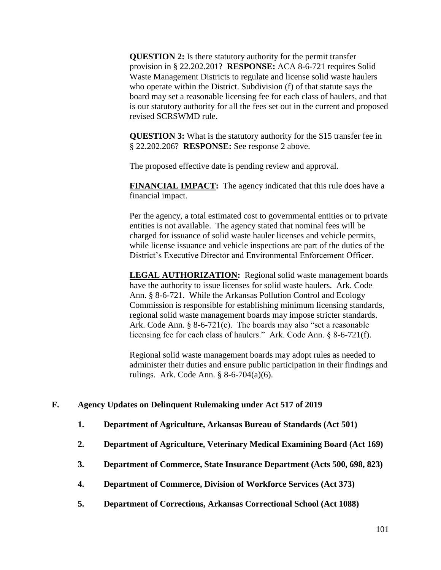**QUESTION 2:** Is there statutory authority for the permit transfer provision in § 22.202.201? **RESPONSE:** ACA 8-6-721 requires Solid Waste Management Districts to regulate and license solid waste haulers who operate within the District. Subdivision (f) of that statute says the board may set a reasonable licensing fee for each class of haulers, and that is our statutory authority for all the fees set out in the current and proposed revised SCRSWMD rule.

**QUESTION 3:** What is the statutory authority for the \$15 transfer fee in § 22.202.206? **RESPONSE:** See response 2 above.

The proposed effective date is pending review and approval.

**FINANCIAL IMPACT:** The agency indicated that this rule does have a financial impact.

Per the agency, a total estimated cost to governmental entities or to private entities is not available. The agency stated that nominal fees will be charged for issuance of solid waste hauler licenses and vehicle permits, while license issuance and vehicle inspections are part of the duties of the District's Executive Director and Environmental Enforcement Officer.

**LEGAL AUTHORIZATION:** Regional solid waste management boards have the authority to issue licenses for solid waste haulers. Ark. Code Ann. § 8-6-721. While the Arkansas Pollution Control and Ecology Commission is responsible for establishing minimum licensing standards, regional solid waste management boards may impose stricter standards. Ark. Code Ann. § 8-6-721(e). The boards may also "set a reasonable licensing fee for each class of haulers." Ark. Code Ann. § 8-6-721(f).

Regional solid waste management boards may adopt rules as needed to administer their duties and ensure public participation in their findings and rulings. Ark. Code Ann. § 8-6-704(a)(6).

# **F. Agency Updates on Delinquent Rulemaking under Act 517 of 2019**

- **1. Department of Agriculture, Arkansas Bureau of Standards (Act 501)**
- **2. Department of Agriculture, Veterinary Medical Examining Board (Act 169)**
- **3. Department of Commerce, State Insurance Department (Acts 500, 698, 823)**
- **4. Department of Commerce, Division of Workforce Services (Act 373)**
- **5. Department of Corrections, Arkansas Correctional School (Act 1088)**